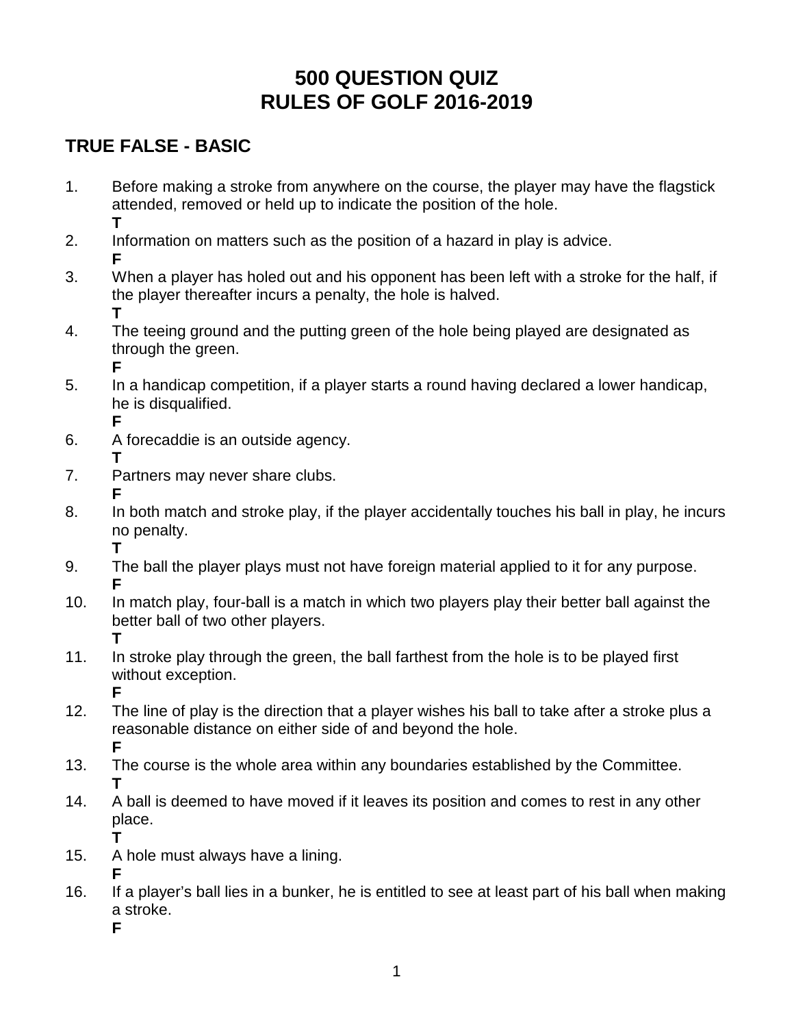# **500 QUESTION QUIZ RULES OF GOLF 2016-2019**

# **TRUE FALSE - BASIC**

- 1. Before making a stroke from anywhere on the course, the player may have the flagstick attended, removed or held up to indicate the position of the hole. **T**
- 2. Information on matters such as the position of a hazard in play is advice. **F**
- 3. When a player has holed out and his opponent has been left with a stroke for the half, if the player thereafter incurs a penalty, the hole is halved. **T**
- 4. The teeing ground and the putting green of the hole being played are designated as through the green. **F**
- 5. In a handicap competition, if a player starts a round having declared a lower handicap, he is disqualified. **F**
- 6. A forecaddie is an outside agency. **T**
- 7. Partners may never share clubs. **F**
- 8. In both match and stroke play, if the player accidentally touches his ball in play, he incurs no penalty. **T**
- 9. The ball the player plays must not have foreign material applied to it for any purpose. **F**
- 10. In match play, four-ball is a match in which two players play their better ball against the better ball of two other players. **T**
- 11. In stroke play through the green, the ball farthest from the hole is to be played first without exception. **F**
- 12. The line of play is the direction that a player wishes his ball to take after a stroke plus a reasonable distance on either side of and beyond the hole. **F**
- 13. The course is the whole area within any boundaries established by the Committee. **T**
- 14. A ball is deemed to have moved if it leaves its position and comes to rest in any other place.
- 15. A hole must always have a lining.
- **F** 16. If a player's ball lies in a bunker, he is entitled to see at least part of his ball when making a stroke.

**F**

**T**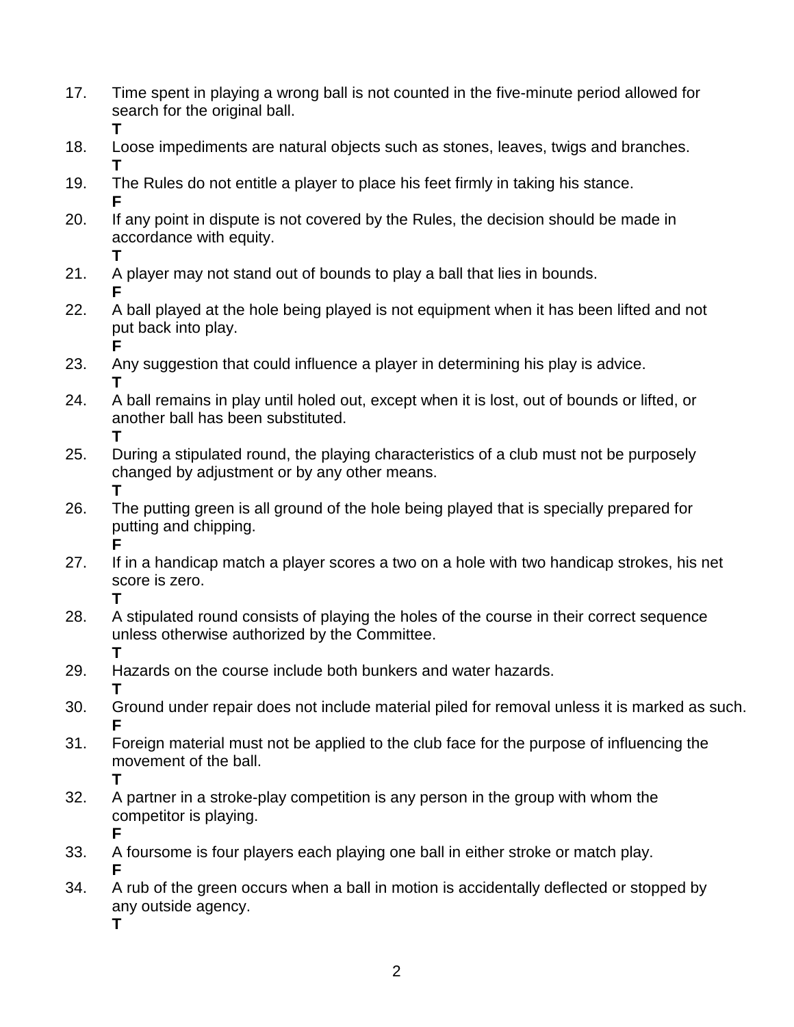- 17. Time spent in playing a wrong ball is not counted in the five-minute period allowed for search for the original ball. **T**
- 18. Loose impediments are natural objects such as stones, leaves, twigs and branches. **T**
- 19. The Rules do not entitle a player to place his feet firmly in taking his stance. **F**
- 20. If any point in dispute is not covered by the Rules, the decision should be made in accordance with equity. **T**
- 21. A player may not stand out of bounds to play a ball that lies in bounds.
- **F** 22. A ball played at the hole being played is not equipment when it has been lifted and not put back into play.
- **F** 23. Any suggestion that could influence a player in determining his play is advice. **T**
- 24. A ball remains in play until holed out, except when it is lost, out of bounds or lifted, or another ball has been substituted. **T**
- 25. During a stipulated round, the playing characteristics of a club must not be purposely changed by adjustment or by any other means. **T**
- 26. The putting green is all ground of the hole being played that is specially prepared for putting and chipping. **F**
- 27. If in a handicap match a player scores a two on a hole with two handicap strokes, his net score is zero. **T**
- 28. A stipulated round consists of playing the holes of the course in their correct sequence unless otherwise authorized by the Committee. **T**
- 29. Hazards on the course include both bunkers and water hazards. **T**
- 30. Ground under repair does not include material piled for removal unless it is marked as such. **F**
- 31. Foreign material must not be applied to the club face for the purpose of influencing the movement of the ball. **T**
- 32. A partner in a stroke-play competition is any person in the group with whom the competitor is playing.
	- **F**
- 33. A foursome is four players each playing one ball in either stroke or match play. **F**
- 34. A rub of the green occurs when a ball in motion is accidentally deflected or stopped by any outside agency.
	- **T**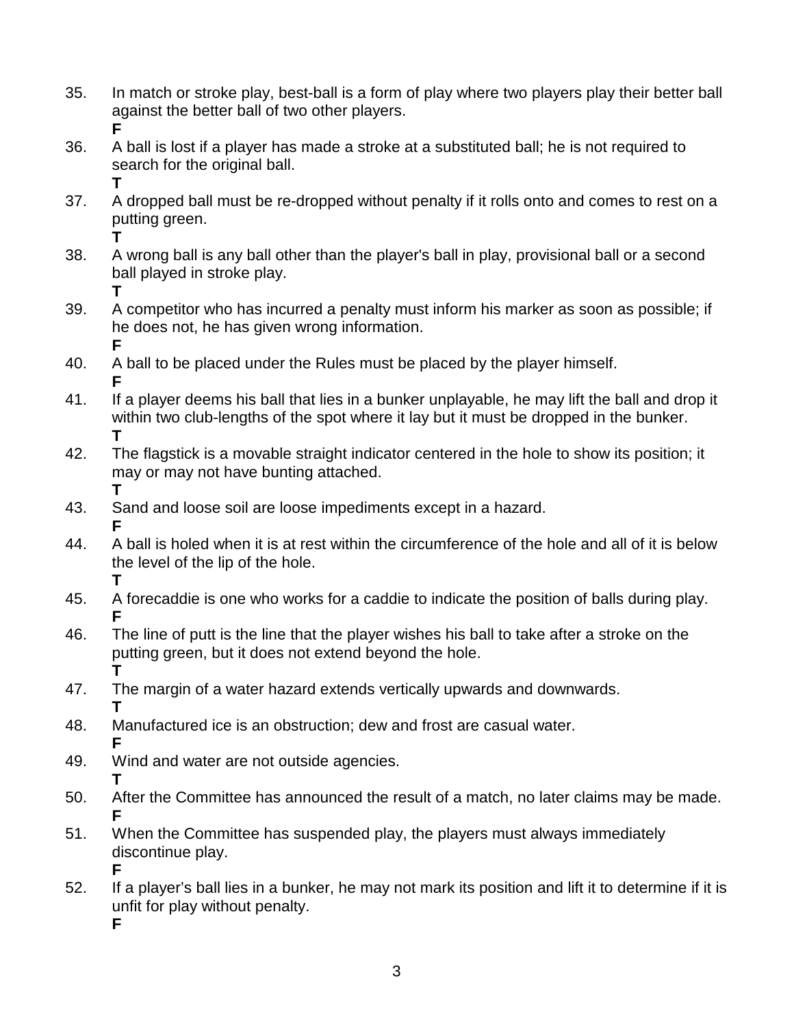- 35. In match or stroke play, best-ball is a form of play where two players play their better ball against the better ball of two other players. **F**
- 36. A ball is lost if a player has made a stroke at a substituted ball; he is not required to search for the original ball. **T**
- 37. A dropped ball must be re-dropped without penalty if it rolls onto and comes to rest on a putting green.
	- **T**
- 38. A wrong ball is any ball other than the player's ball in play, provisional ball or a second ball played in stroke play.
	- **T**

39. A competitor who has incurred a penalty must inform his marker as soon as possible; if he does not, he has given wrong information. **F**

- 40. A ball to be placed under the Rules must be placed by the player himself. **F**
- 41. If a player deems his ball that lies in a bunker unplayable, he may lift the ball and drop it within two club-lengths of the spot where it lay but it must be dropped in the bunker. **T**
- 42. The flagstick is a movable straight indicator centered in the hole to show its position; it may or may not have bunting attached. **T**
- 43. Sand and loose soil are loose impediments except in a hazard. **F**
- 44. A ball is holed when it is at rest within the circumference of the hole and all of it is below the level of the lip of the hole. **T**
- 45. A forecaddie is one who works for a caddie to indicate the position of balls during play. **F**
- 46. The line of putt is the line that the player wishes his ball to take after a stroke on the putting green, but it does not extend beyond the hole. **T**
- 47. The margin of a water hazard extends vertically upwards and downwards. **T**
- 48. Manufactured ice is an obstruction; dew and frost are casual water. **F**
- 49. Wind and water are not outside agencies. **T**
- 50. After the Committee has announced the result of a match, no later claims may be made. **F**
- 51. When the Committee has suspended play, the players must always immediately discontinue play. **F**
- 52. If a player's ball lies in a bunker, he may not mark its position and lift it to determine if it is unfit for play without penalty. **F**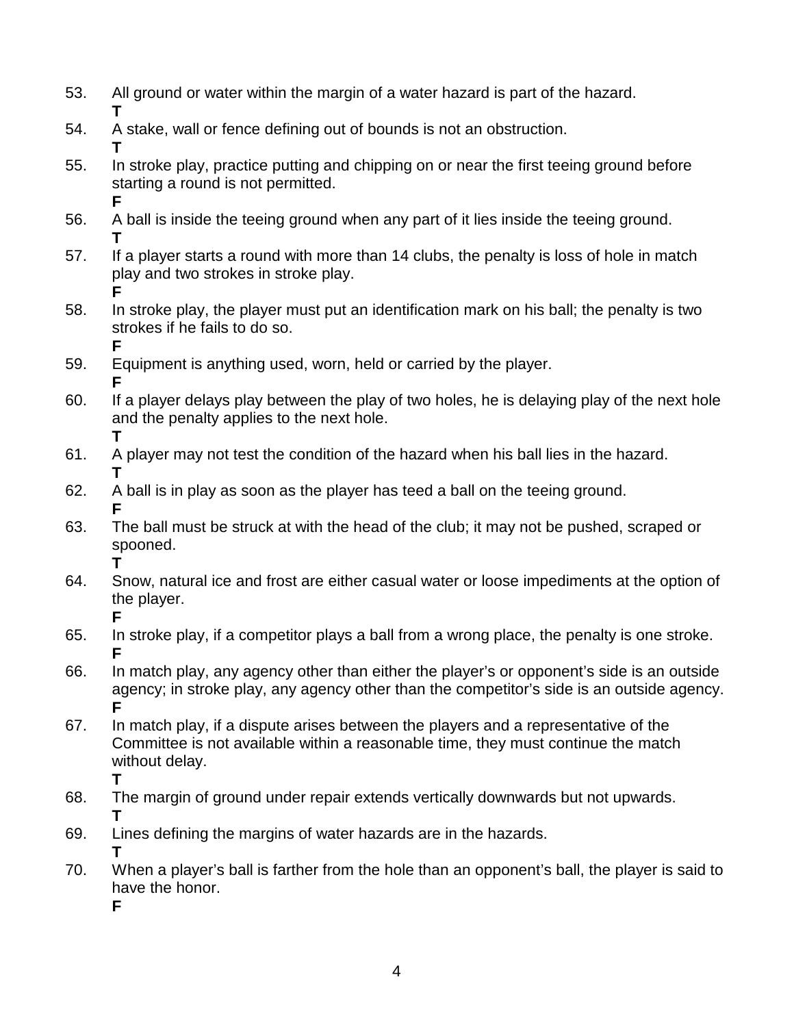- 53. All ground or water within the margin of a water hazard is part of the hazard. **T**
- 54. A stake, wall or fence defining out of bounds is not an obstruction. **T**
- 55. In stroke play, practice putting and chipping on or near the first teeing ground before starting a round is not permitted. **F**
- 56. A ball is inside the teeing ground when any part of it lies inside the teeing ground. **T**
- 57. If a player starts a round with more than 14 clubs, the penalty is loss of hole in match play and two strokes in stroke play. **F**
- 58. In stroke play, the player must put an identification mark on his ball; the penalty is two strokes if he fails to do so. **F**
- 59. Equipment is anything used, worn, held or carried by the player.
- **F** 60. If a player delays play between the play of two holes, he is delaying play of the next hole and the penalty applies to the next hole. **T**
- 61. A player may not test the condition of the hazard when his ball lies in the hazard. **T**
- 62. A ball is in play as soon as the player has teed a ball on the teeing ground. **F**
- 63. The ball must be struck at with the head of the club; it may not be pushed, scraped or spooned. **T**
- 64. Snow, natural ice and frost are either casual water or loose impediments at the option of the player. **F**
- 65. In stroke play, if a competitor plays a ball from a wrong place, the penalty is one stroke. **F**
- 66. In match play, any agency other than either the player's or opponent's side is an outside agency; in stroke play, any agency other than the competitor's side is an outside agency. **F**
- 67. In match play, if a dispute arises between the players and a representative of the Committee is not available within a reasonable time, they must continue the match without delay. **T**
- 68. The margin of ground under repair extends vertically downwards but not upwards. **T**
- 69. Lines defining the margins of water hazards are in the hazards. **T**
- 70. When a player's ball is farther from the hole than an opponent's ball, the player is said to have the honor.
	- **F**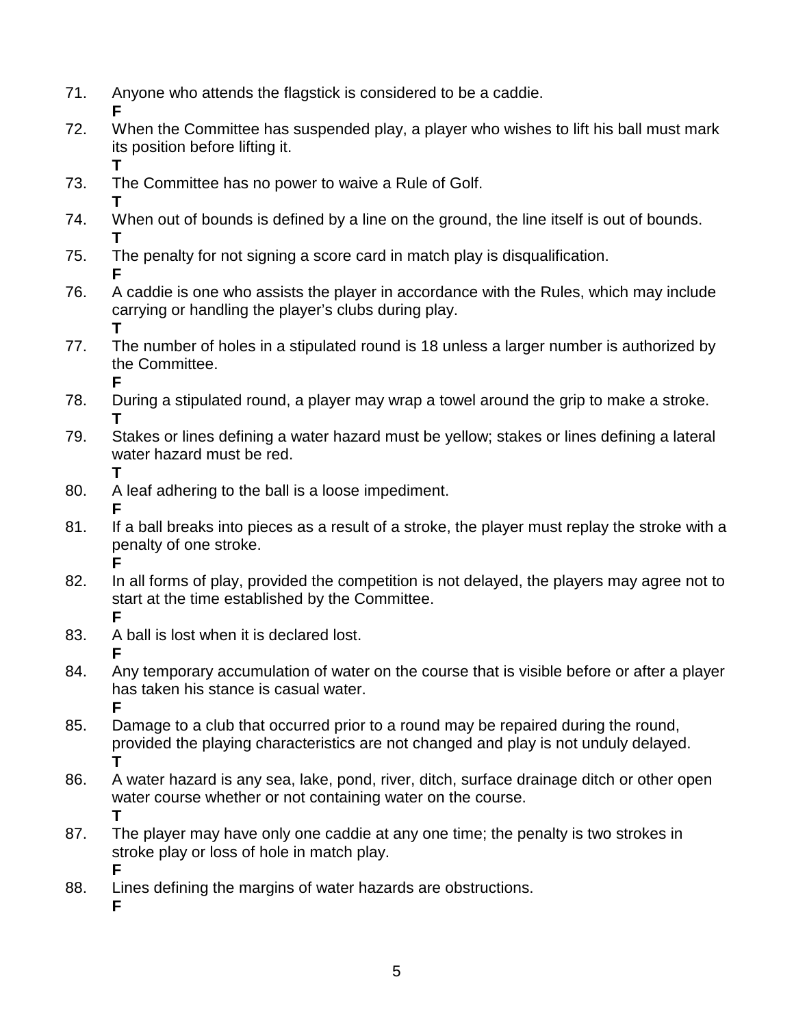- 71. Anyone who attends the flagstick is considered to be a caddie.
- **F** 72. When the Committee has suspended play, a player who wishes to lift his ball must mark its position before lifting it.
- 73. The Committee has no power to waive a Rule of Golf. **T**

**T**

**F**

**T**

- 74. When out of bounds is defined by a line on the ground, the line itself is out of bounds. **T**
- 75. The penalty for not signing a score card in match play is disqualification. **F**
- 76. A caddie is one who assists the player in accordance with the Rules, which may include carrying or handling the player's clubs during play. **T**
- 77. The number of holes in a stipulated round is 18 unless a larger number is authorized by the Committee.
- 78. During a stipulated round, a player may wrap a towel around the grip to make a stroke. **T**
- 79. Stakes or lines defining a water hazard must be yellow; stakes or lines defining a lateral water hazard must be red.
- 80. A leaf adhering to the ball is a loose impediment.
- **F** 81. If a ball breaks into pieces as a result of a stroke, the player must replay the stroke with a penalty of one stroke. **F**
- 82. In all forms of play, provided the competition is not delayed, the players may agree not to start at the time established by the Committee. **F**
- 83. A ball is lost when it is declared lost. **F**
- 84. Any temporary accumulation of water on the course that is visible before or after a player has taken his stance is casual water. **F**
- 85. Damage to a club that occurred prior to a round may be repaired during the round, provided the playing characteristics are not changed and play is not unduly delayed. **T**
- 86. A water hazard is any sea, lake, pond, river, ditch, surface drainage ditch or other open water course whether or not containing water on the course. **T**
- 87. The player may have only one caddie at any one time; the penalty is two strokes in stroke play or loss of hole in match play. **F**
- 88. Lines defining the margins of water hazards are obstructions. **F**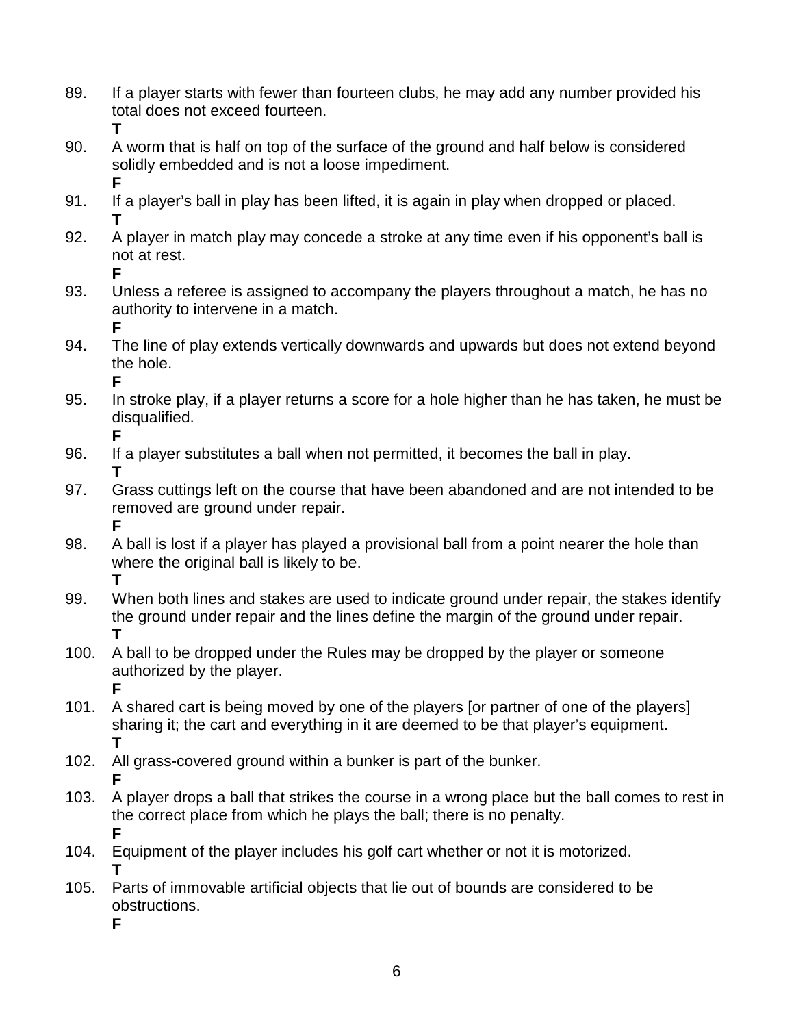- 89. If a player starts with fewer than fourteen clubs, he may add any number provided his total does not exceed fourteen. **T**
- 90. A worm that is half on top of the surface of the ground and half below is considered solidly embedded and is not a loose impediment. **F**
- 91. If a player's ball in play has been lifted, it is again in play when dropped or placed. **T**
- 92. A player in match play may concede a stroke at any time even if his opponent's ball is not at rest. **F**
- 93. Unless a referee is assigned to accompany the players throughout a match, he has no authority to intervene in a match. **F**
- 94. The line of play extends vertically downwards and upwards but does not extend beyond the hole. **F**
- 95. In stroke play, if a player returns a score for a hole higher than he has taken, he must be disqualified. **F**
- 96. If a player substitutes a ball when not permitted, it becomes the ball in play. **T**
- 97. Grass cuttings left on the course that have been abandoned and are not intended to be removed are ground under repair. **F**
- 98. A ball is lost if a player has played a provisional ball from a point nearer the hole than where the original ball is likely to be. **T**
- 99. When both lines and stakes are used to indicate ground under repair, the stakes identify the ground under repair and the lines define the margin of the ground under repair. **T**
- 100. A ball to be dropped under the Rules may be dropped by the player or someone authorized by the player. **F**
- 101. A shared cart is being moved by one of the players [or partner of one of the players] sharing it; the cart and everything in it are deemed to be that player's equipment. **T**
- 102. All grass-covered ground within a bunker is part of the bunker. **F**
- 103. A player drops a ball that strikes the course in a wrong place but the ball comes to rest in the correct place from which he plays the ball; there is no penalty. **F**
- 104. Equipment of the player includes his golf cart whether or not it is motorized. **T**
- 105. Parts of immovable artificial objects that lie out of bounds are considered to be obstructions. **F**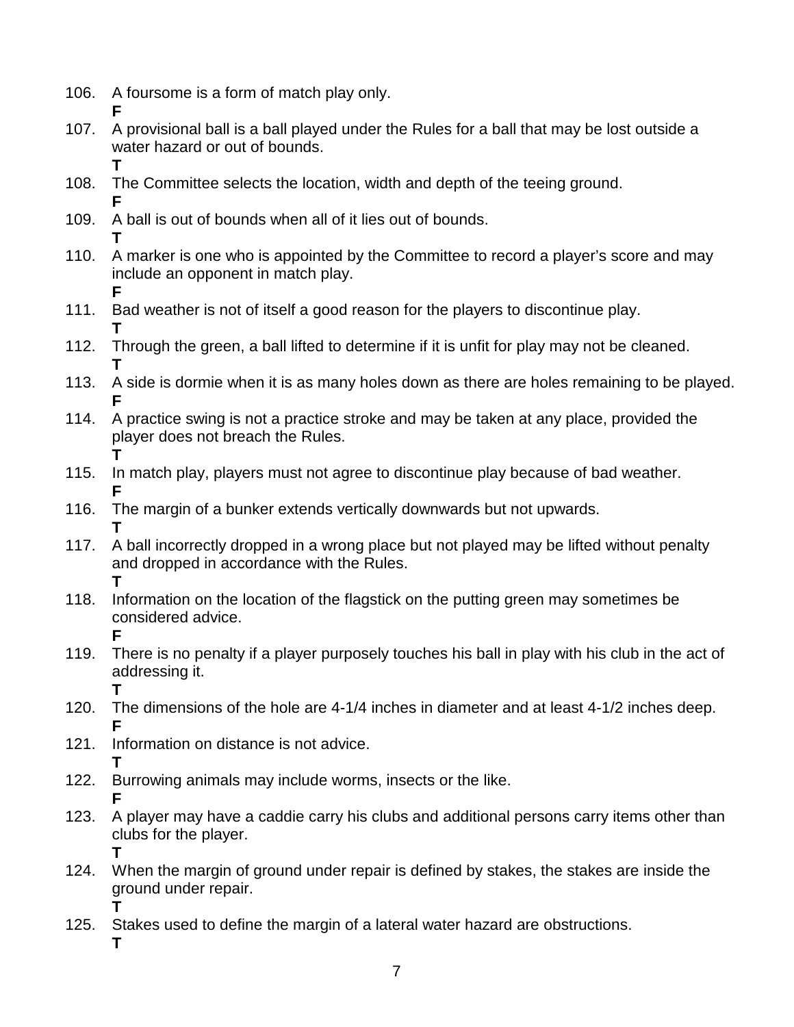106. A foursome is a form of match play only.

**T**

- **F** 107. A provisional ball is a ball played under the Rules for a ball that may be lost outside a water hazard or out of bounds.
- 108. The Committee selects the location, width and depth of the teeing ground. **F**
- 109. A ball is out of bounds when all of it lies out of bounds.
- **T** 110. A marker is one who is appointed by the Committee to record a player's score and may include an opponent in match play.
- **F** 111. Bad weather is not of itself a good reason for the players to discontinue play. **T**
- 112. Through the green, a ball lifted to determine if it is unfit for play may not be cleaned. **T**
- 113. A side is dormie when it is as many holes down as there are holes remaining to be played. **F**
- 114. A practice swing is not a practice stroke and may be taken at any place, provided the player does not breach the Rules. **T**
- 115. In match play, players must not agree to discontinue play because of bad weather. **F**
- 116. The margin of a bunker extends vertically downwards but not upwards. **T**
- 117. A ball incorrectly dropped in a wrong place but not played may be lifted without penalty and dropped in accordance with the Rules. **T**
- 118. Information on the location of the flagstick on the putting green may sometimes be considered advice.
- **F** 119. There is no penalty if a player purposely touches his ball in play with his club in the act of addressing it. **T**
- 120. The dimensions of the hole are 4-1/4 inches in diameter and at least 4-1/2 inches deep. **F**
- 121. Information on distance is not advice. **T**
- 122. Burrowing animals may include worms, insects or the like. **F**
- 123. A player may have a caddie carry his clubs and additional persons carry items other than clubs for the player. **T**
- 124. When the margin of ground under repair is defined by stakes, the stakes are inside the ground under repair. **T**
- 125. Stakes used to define the margin of a lateral water hazard are obstructions. **T**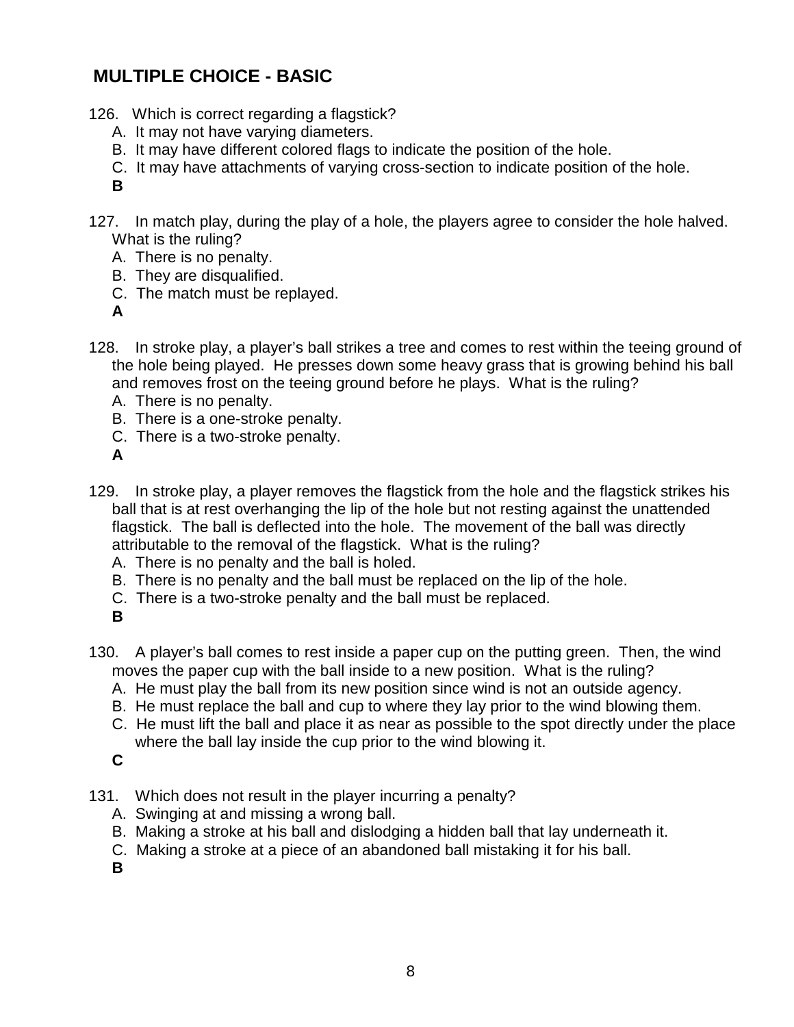### **MULTIPLE CHOICE - BASIC**

- 126. Which is correct regarding a flagstick?
	- A. It may not have varying diameters.
	- B. It may have different colored flags to indicate the position of the hole.
	- C. It may have attachments of varying cross-section to indicate position of the hole.
	- **B**
- 127. In match play, during the play of a hole, the players agree to consider the hole halved. What is the ruling?
	- A. There is no penalty.
	- B. They are disqualified.
	- C. The match must be replayed.
	- **A**
- 128. In stroke play, a player's ball strikes a tree and comes to rest within the teeing ground of the hole being played. He presses down some heavy grass that is growing behind his ball and removes frost on the teeing ground before he plays. What is the ruling?
	- A. There is no penalty.
	- B. There is a one-stroke penalty.
	- C. There is a two-stroke penalty.
	- **A**
- 129. In stroke play, a player removes the flagstick from the hole and the flagstick strikes his ball that is at rest overhanging the lip of the hole but not resting against the unattended flagstick. The ball is deflected into the hole. The movement of the ball was directly attributable to the removal of the flagstick. What is the ruling?
	- A. There is no penalty and the ball is holed.
	- B. There is no penalty and the ball must be replaced on the lip of the hole.
	- C. There is a two-stroke penalty and the ball must be replaced.
	- **B**
- 130. A player's ball comes to rest inside a paper cup on the putting green. Then, the wind moves the paper cup with the ball inside to a new position. What is the ruling?
	- A. He must play the ball from its new position since wind is not an outside agency.
	- B. He must replace the ball and cup to where they lay prior to the wind blowing them.
	- C. He must lift the ball and place it as near as possible to the spot directly under the place where the ball lay inside the cup prior to the wind blowing it.

- 131. Which does not result in the player incurring a penalty?
	- A. Swinging at and missing a wrong ball.
	- B. Making a stroke at his ball and dislodging a hidden ball that lay underneath it.
	- C. Making a stroke at a piece of an abandoned ball mistaking it for his ball.
	- **B**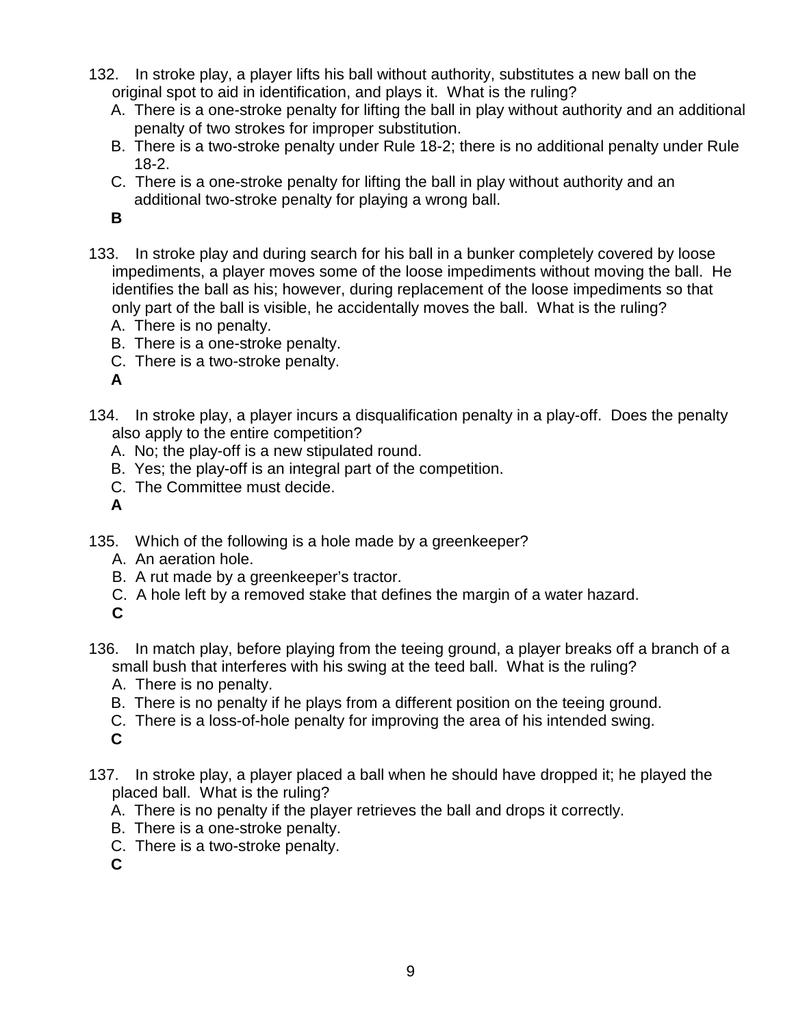- 132. In stroke play, a player lifts his ball without authority, substitutes a new ball on the original spot to aid in identification, and plays it. What is the ruling?
	- A. There is a one-stroke penalty for lifting the ball in play without authority and an additional penalty of two strokes for improper substitution.
	- B. There is a two-stroke penalty under Rule 18-2; there is no additional penalty under Rule 18-2.
	- C. There is a one-stroke penalty for lifting the ball in play without authority and an additional two-stroke penalty for playing a wrong ball.

- 133. In stroke play and during search for his ball in a bunker completely covered by loose impediments, a player moves some of the loose impediments without moving the ball. He identifies the ball as his; however, during replacement of the loose impediments so that only part of the ball is visible, he accidentally moves the ball. What is the ruling?
	- A. There is no penalty.
	- B. There is a one-stroke penalty.
	- C. There is a two-stroke penalty.

**A**

- 134. In stroke play, a player incurs a disqualification penalty in a play-off. Does the penalty also apply to the entire competition?
	- A. No; the play-off is a new stipulated round.
	- B. Yes; the play-off is an integral part of the competition.
	- C. The Committee must decide.
	- **A**
- 135. Which of the following is a hole made by a greenkeeper?
	- A. An aeration hole.
	- B. A rut made by a greenkeeper's tractor.
	- C. A hole left by a removed stake that defines the margin of a water hazard.
	- **C**
- 136. In match play, before playing from the teeing ground, a player breaks off a branch of a small bush that interferes with his swing at the teed ball. What is the ruling?
	- A. There is no penalty.
	- B. There is no penalty if he plays from a different position on the teeing ground.
	- C. There is a loss-of-hole penalty for improving the area of his intended swing.
	- **C**
- 137. In stroke play, a player placed a ball when he should have dropped it; he played the placed ball. What is the ruling?
	- A. There is no penalty if the player retrieves the ball and drops it correctly.
	- B. There is a one-stroke penalty.
	- C. There is a two-stroke penalty.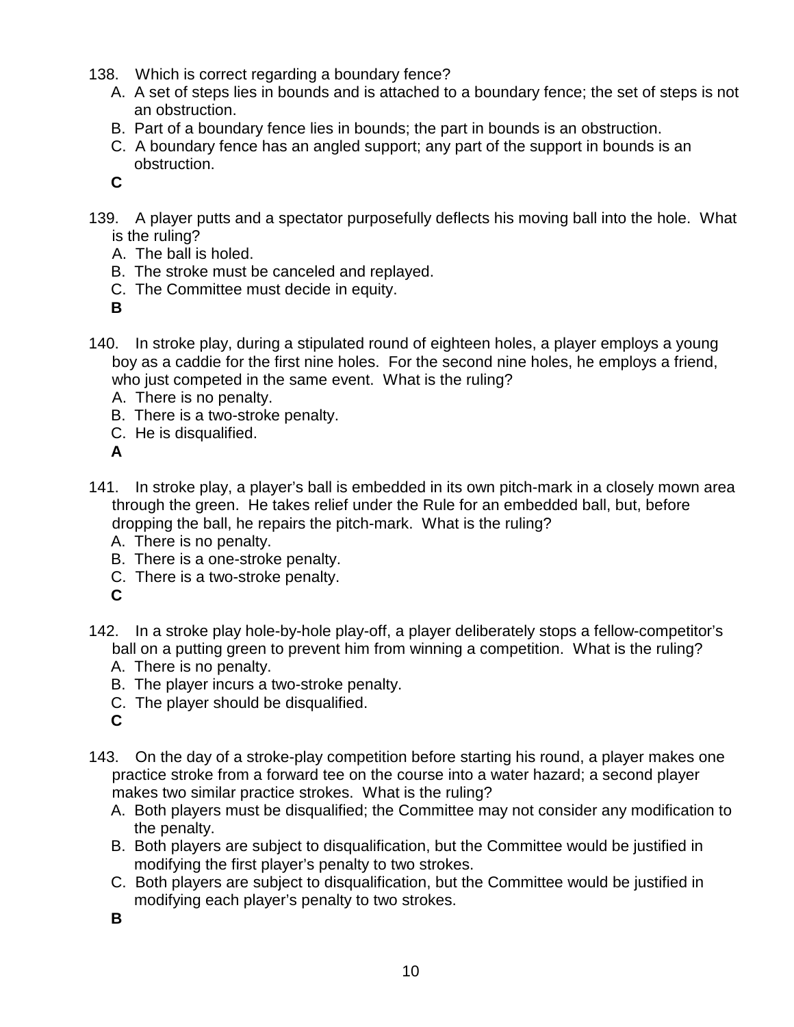- 138. Which is correct regarding a boundary fence?
	- A. A set of steps lies in bounds and is attached to a boundary fence; the set of steps is not an obstruction.
	- B. Part of a boundary fence lies in bounds; the part in bounds is an obstruction.
	- C. A boundary fence has an angled support; any part of the support in bounds is an obstruction.
	- **C**
- 139. A player putts and a spectator purposefully deflects his moving ball into the hole. What is the ruling?
	- A. The ball is holed.
	- B. The stroke must be canceled and replayed.
	- C. The Committee must decide in equity.
	- **B**
- 140. In stroke play, during a stipulated round of eighteen holes, a player employs a young boy as a caddie for the first nine holes. For the second nine holes, he employs a friend, who just competed in the same event. What is the ruling?
	- A. There is no penalty.
	- B. There is a two-stroke penalty.
	- C. He is disqualified.
	- **A**
- 141. In stroke play, a player's ball is embedded in its own pitch-mark in a closely mown area through the green. He takes relief under the Rule for an embedded ball, but, before dropping the ball, he repairs the pitch-mark. What is the ruling?
	- A. There is no penalty.
	- B. There is a one-stroke penalty.
	- C. There is a two-stroke penalty.
	- **C**
- 142. In a stroke play hole-by-hole play-off, a player deliberately stops a fellow-competitor's ball on a putting green to prevent him from winning a competition. What is the ruling?
	- A. There is no penalty.
	- B. The player incurs a two-stroke penalty.
	- C. The player should be disqualified.
	- **C**
- 143. On the day of a stroke-play competition before starting his round, a player makes one practice stroke from a forward tee on the course into a water hazard; a second player makes two similar practice strokes. What is the ruling?
	- A. Both players must be disqualified; the Committee may not consider any modification to the penalty.
	- B. Both players are subject to disqualification, but the Committee would be justified in modifying the first player's penalty to two strokes.
	- C. Both players are subject to disqualification, but the Committee would be justified in modifying each player's penalty to two strokes.
	- **B**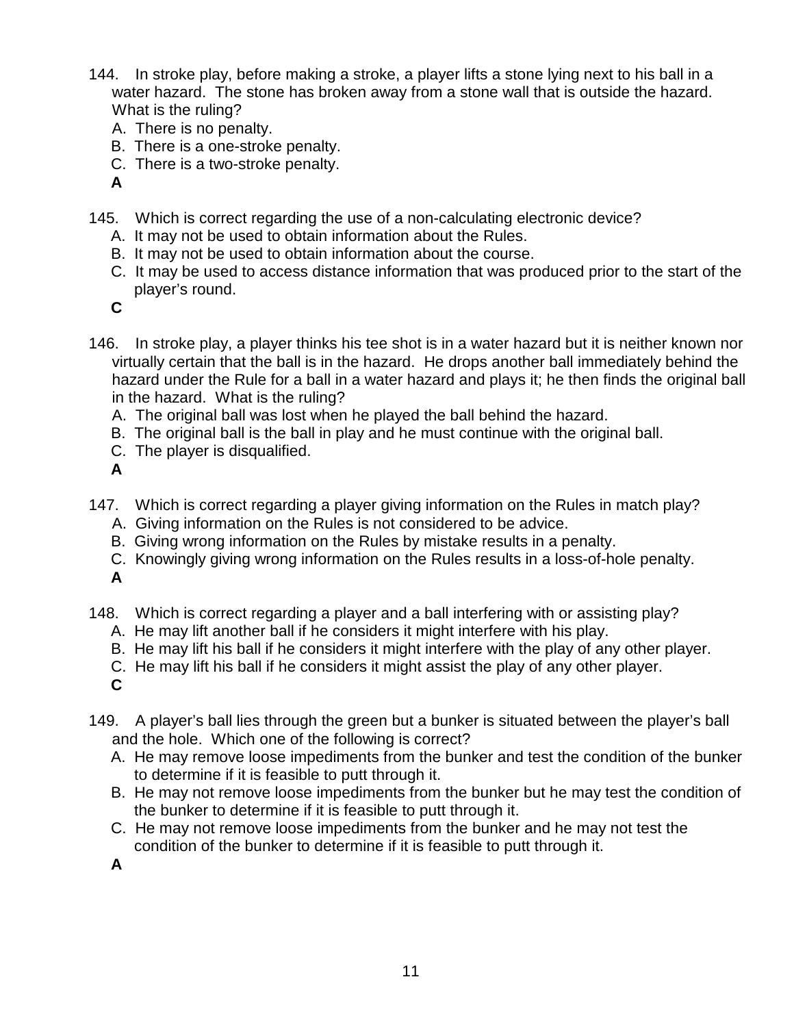- 144. In stroke play, before making a stroke, a player lifts a stone lying next to his ball in a water hazard. The stone has broken away from a stone wall that is outside the hazard. What is the ruling?
	- A. There is no penalty.
	- B. There is a one-stroke penalty.
	- C. There is a two-stroke penalty.
	- **A**
- 145. Which is correct regarding the use of a non-calculating electronic device?
	- A. It may not be used to obtain information about the Rules.
	- B. It may not be used to obtain information about the course.
	- C. It may be used to access distance information that was produced prior to the start of the player's round.
	- **C**
- 146. In stroke play, a player thinks his tee shot is in a water hazard but it is neither known nor virtually certain that the ball is in the hazard. He drops another ball immediately behind the hazard under the Rule for a ball in a water hazard and plays it; he then finds the original ball in the hazard. What is the ruling?
	- A. The original ball was lost when he played the ball behind the hazard.
	- B. The original ball is the ball in play and he must continue with the original ball.
	- C. The player is disqualified.
	- **A**
- 147. Which is correct regarding a player giving information on the Rules in match play?
	- A. Giving information on the Rules is not considered to be advice.
	- B. Giving wrong information on the Rules by mistake results in a penalty.
	- C. Knowingly giving wrong information on the Rules results in a loss-of-hole penalty. **A**
- 148. Which is correct regarding a player and a ball interfering with or assisting play?
	- A. He may lift another ball if he considers it might interfere with his play.
	- B. He may lift his ball if he considers it might interfere with the play of any other player.
	- C. He may lift his ball if he considers it might assist the play of any other player.
	- **C**
- 149. A player's ball lies through the green but a bunker is situated between the player's ball and the hole. Which one of the following is correct?
	- A. He may remove loose impediments from the bunker and test the condition of the bunker to determine if it is feasible to putt through it.
	- B. He may not remove loose impediments from the bunker but he may test the condition of the bunker to determine if it is feasible to putt through it.
	- C. He may not remove loose impediments from the bunker and he may not test the condition of the bunker to determine if it is feasible to putt through it.
	- **A**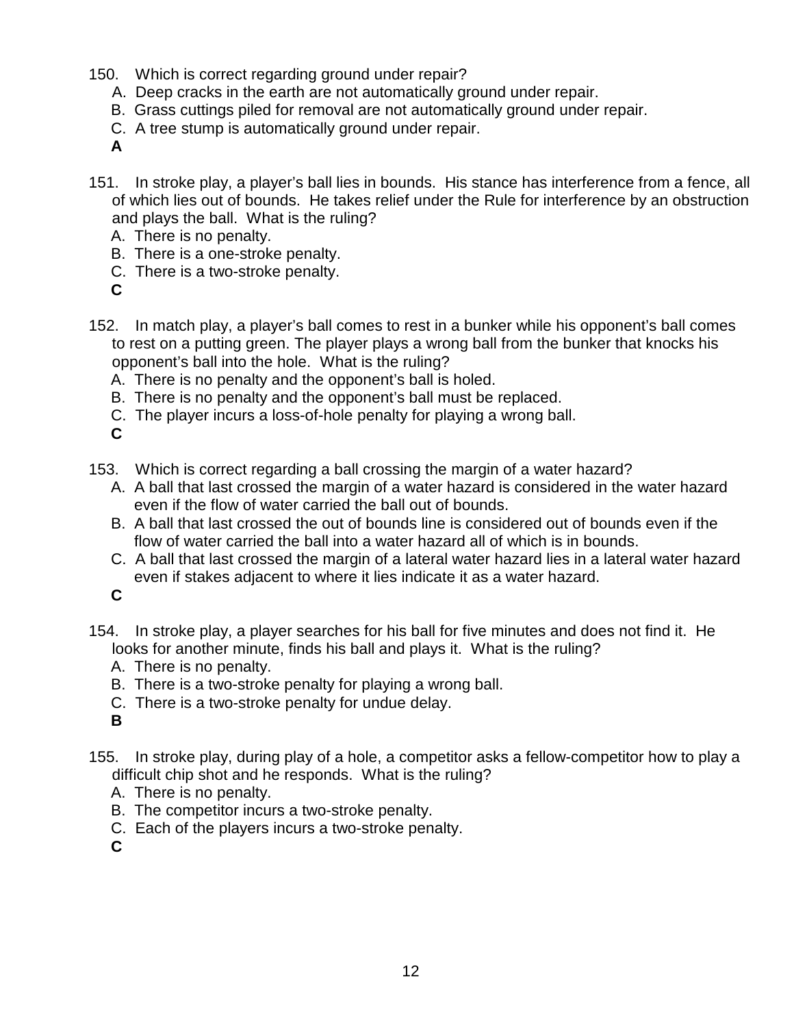- 150. Which is correct regarding ground under repair?
	- A. Deep cracks in the earth are not automatically ground under repair.
	- B. Grass cuttings piled for removal are not automatically ground under repair.
	- C. A tree stump is automatically ground under repair.

- 151. In stroke play, a player's ball lies in bounds. His stance has interference from a fence, all of which lies out of bounds. He takes relief under the Rule for interference by an obstruction and plays the ball. What is the ruling?
	- A. There is no penalty.
	- B. There is a one-stroke penalty.
	- C. There is a two-stroke penalty.
	- **C**
- 152. In match play, a player's ball comes to rest in a bunker while his opponent's ball comes to rest on a putting green. The player plays a wrong ball from the bunker that knocks his opponent's ball into the hole. What is the ruling?
	- A. There is no penalty and the opponent's ball is holed.
	- B. There is no penalty and the opponent's ball must be replaced.
	- C. The player incurs a loss-of-hole penalty for playing a wrong ball.
	- **C**
- 153. Which is correct regarding a ball crossing the margin of a water hazard?
	- A. A ball that last crossed the margin of a water hazard is considered in the water hazard even if the flow of water carried the ball out of bounds.
	- B. A ball that last crossed the out of bounds line is considered out of bounds even if the flow of water carried the ball into a water hazard all of which is in bounds.
	- C. A ball that last crossed the margin of a lateral water hazard lies in a lateral water hazard even if stakes adjacent to where it lies indicate it as a water hazard.

**C**

- 154. In stroke play, a player searches for his ball for five minutes and does not find it. He looks for another minute, finds his ball and plays it. What is the ruling?
	- A. There is no penalty.
	- B. There is a two-stroke penalty for playing a wrong ball.
	- C. There is a two-stroke penalty for undue delay.
	- **B**
- 155. In stroke play, during play of a hole, a competitor asks a fellow-competitor how to play a difficult chip shot and he responds. What is the ruling?
	- A. There is no penalty.
	- B. The competitor incurs a two-stroke penalty.
	- C. Each of the players incurs a two-stroke penalty.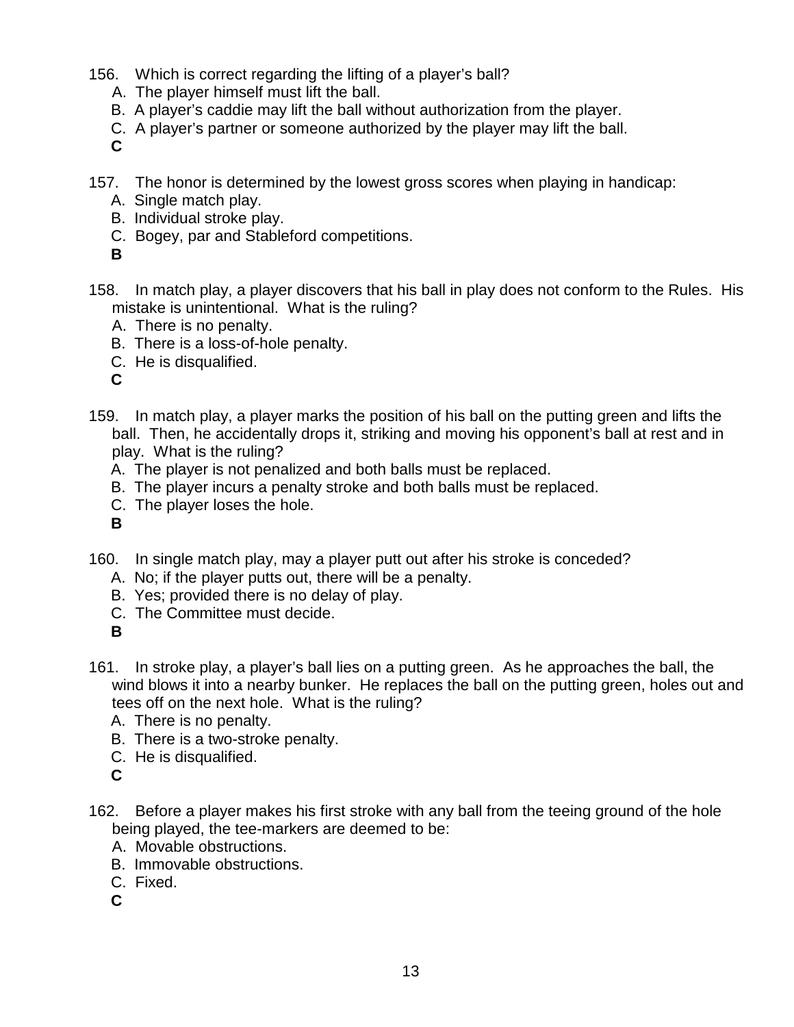- 156. Which is correct regarding the lifting of a player's ball?
	- A. The player himself must lift the ball.
	- B. A player's caddie may lift the ball without authorization from the player.
	- C. A player's partner or someone authorized by the player may lift the ball.

- 157. The honor is determined by the lowest gross scores when playing in handicap:
	- A. Single match play.
	- B. Individual stroke play.
	- C. Bogey, par and Stableford competitions.
	- **B**
- 158. In match play, a player discovers that his ball in play does not conform to the Rules. His mistake is unintentional. What is the ruling?
	- A. There is no penalty.
	- B. There is a loss-of-hole penalty.
	- C. He is disqualified.
	- **C**
- 159. In match play, a player marks the position of his ball on the putting green and lifts the ball. Then, he accidentally drops it, striking and moving his opponent's ball at rest and in play. What is the ruling?
	- A. The player is not penalized and both balls must be replaced.
	- B. The player incurs a penalty stroke and both balls must be replaced.
	- C. The player loses the hole.
	- **B**
- 160. In single match play, may a player putt out after his stroke is conceded?
	- A. No; if the player putts out, there will be a penalty.
	- B. Yes; provided there is no delay of play.
	- C. The Committee must decide.

- 161. In stroke play, a player's ball lies on a putting green. As he approaches the ball, the wind blows it into a nearby bunker. He replaces the ball on the putting green, holes out and tees off on the next hole. What is the ruling?
	- A. There is no penalty.
	- B. There is a two-stroke penalty.
	- C. He is disqualified.
	- **C**
- 162. Before a player makes his first stroke with any ball from the teeing ground of the hole being played, the tee-markers are deemed to be:
	- A. Movable obstructions.
	- B. Immovable obstructions.
	- C. Fixed.
	- **C**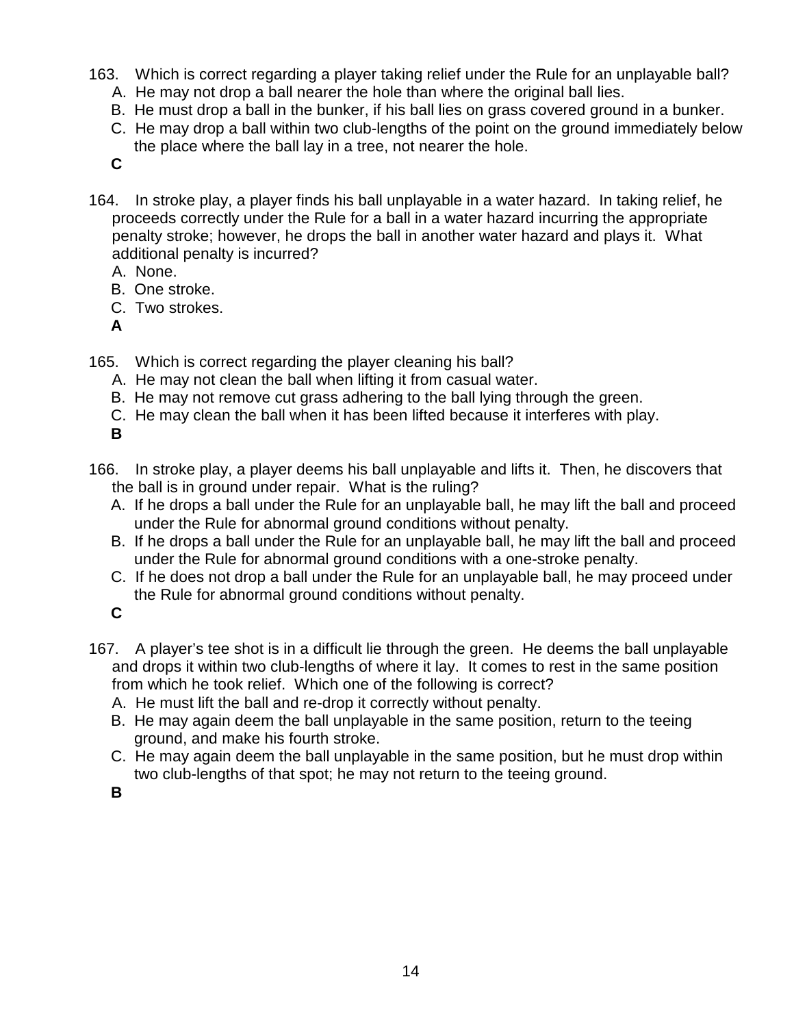- 163. Which is correct regarding a player taking relief under the Rule for an unplayable ball?
	- A. He may not drop a ball nearer the hole than where the original ball lies.
	- B. He must drop a ball in the bunker, if his ball lies on grass covered ground in a bunker.
	- C. He may drop a ball within two club-lengths of the point on the ground immediately below the place where the ball lay in a tree, not nearer the hole.
	- **C**
- 164. In stroke play, a player finds his ball unplayable in a water hazard. In taking relief, he proceeds correctly under the Rule for a ball in a water hazard incurring the appropriate penalty stroke; however, he drops the ball in another water hazard and plays it. What additional penalty is incurred?
	- A. None.
	- B. One stroke.
	- C. Two strokes.
	- **A**
- 165. Which is correct regarding the player cleaning his ball?
	- A. He may not clean the ball when lifting it from casual water.
	- B. He may not remove cut grass adhering to the ball lying through the green.
	- C. He may clean the ball when it has been lifted because it interferes with play.
	- **B**
- 166. In stroke play, a player deems his ball unplayable and lifts it. Then, he discovers that the ball is in ground under repair. What is the ruling?
	- A. If he drops a ball under the Rule for an unplayable ball, he may lift the ball and proceed under the Rule for abnormal ground conditions without penalty.
	- B. If he drops a ball under the Rule for an unplayable ball, he may lift the ball and proceed under the Rule for abnormal ground conditions with a one-stroke penalty.
	- C. If he does not drop a ball under the Rule for an unplayable ball, he may proceed under the Rule for abnormal ground conditions without penalty.
	- **C**
- 167. A player's tee shot is in a difficult lie through the green. He deems the ball unplayable and drops it within two club-lengths of where it lay. It comes to rest in the same position from which he took relief. Which one of the following is correct?
	- A. He must lift the ball and re-drop it correctly without penalty.
	- B. He may again deem the ball unplayable in the same position, return to the teeing ground, and make his fourth stroke.
	- C. He may again deem the ball unplayable in the same position, but he must drop within two club-lengths of that spot; he may not return to the teeing ground.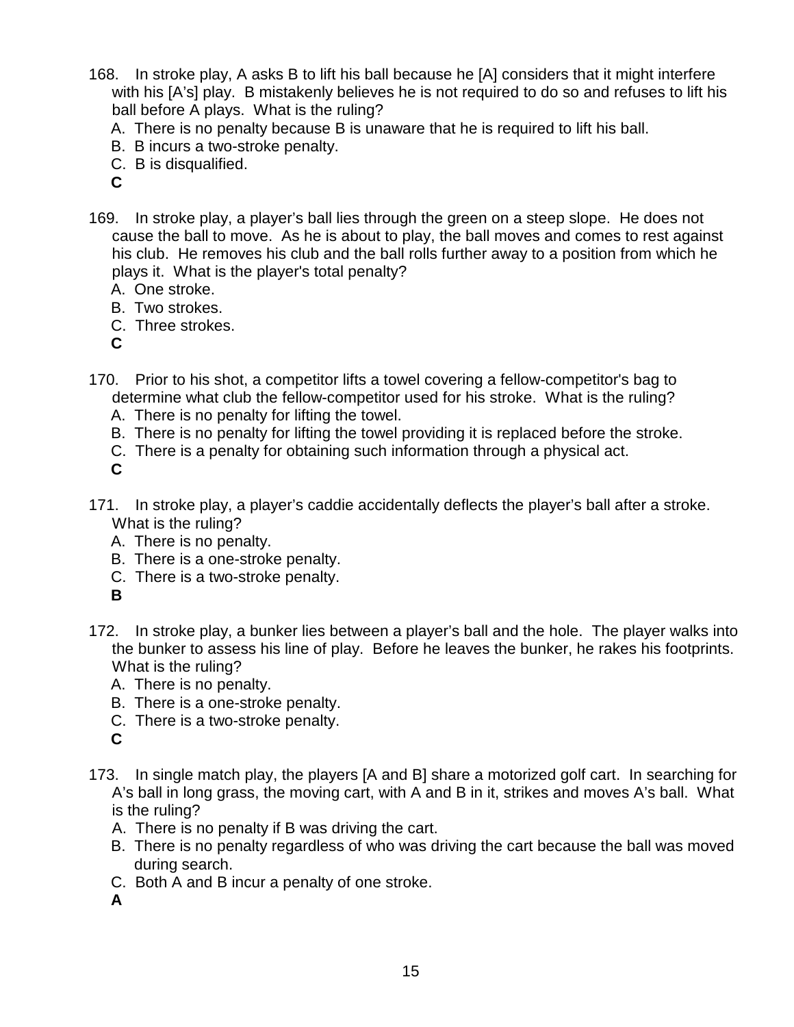- 168. In stroke play, A asks B to lift his ball because he [A] considers that it might interfere with his [A's] play. B mistakenly believes he is not required to do so and refuses to lift his ball before A plays. What is the ruling?
	- A. There is no penalty because B is unaware that he is required to lift his ball.
	- B. B incurs a two-stroke penalty.
	- C. B is disqualified.
	- **C**
- 169. In stroke play, a player's ball lies through the green on a steep slope. He does not cause the ball to move. As he is about to play, the ball moves and comes to rest against his club. He removes his club and the ball rolls further away to a position from which he plays it. What is the player's total penalty?
	- A. One stroke.
	- B. Two strokes.
	- C. Three strokes.
	- **C**
- 170. Prior to his shot, a competitor lifts a towel covering a fellow-competitor's bag to determine what club the fellow-competitor used for his stroke. What is the ruling?
	- A. There is no penalty for lifting the towel.
	- B. There is no penalty for lifting the towel providing it is replaced before the stroke.
	- C. There is a penalty for obtaining such information through a physical act.

- 171. In stroke play, a player's caddie accidentally deflects the player's ball after a stroke. What is the ruling?
	- A. There is no penalty.
	- B. There is a one-stroke penalty.
	- C. There is a two-stroke penalty.
	- **B**
- 172. In stroke play, a bunker lies between a player's ball and the hole. The player walks into the bunker to assess his line of play. Before he leaves the bunker, he rakes his footprints. What is the ruling?
	- A. There is no penalty.
	- B. There is a one-stroke penalty.
	- C. There is a two-stroke penalty.
	- **C**
- 173. In single match play, the players [A and B] share a motorized golf cart. In searching for A's ball in long grass, the moving cart, with A and B in it, strikes and moves A's ball. What is the ruling?
	- A. There is no penalty if B was driving the cart.
	- B. There is no penalty regardless of who was driving the cart because the ball was moved during search.
	- C. Both A and B incur a penalty of one stroke.
	- **A**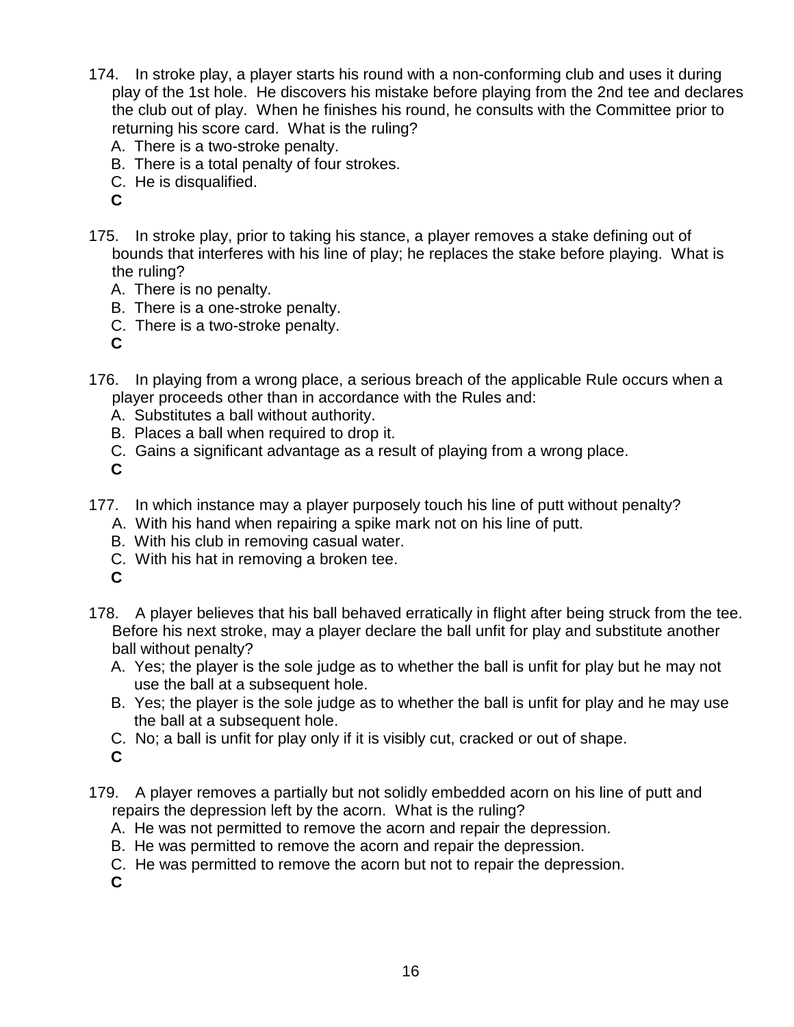- 174. In stroke play, a player starts his round with a non-conforming club and uses it during play of the 1st hole. He discovers his mistake before playing from the 2nd tee and declares the club out of play. When he finishes his round, he consults with the Committee prior to returning his score card. What is the ruling?
	- A. There is a two-stroke penalty.
	- B. There is a total penalty of four strokes.
	- C. He is disqualified.
	- **C**
- 175. In stroke play, prior to taking his stance, a player removes a stake defining out of bounds that interferes with his line of play; he replaces the stake before playing. What is the ruling?
	- A. There is no penalty.
	- B. There is a one-stroke penalty.
	- C. There is a two-stroke penalty.

- 176. In playing from a wrong place, a serious breach of the applicable Rule occurs when a player proceeds other than in accordance with the Rules and:
	- A. Substitutes a ball without authority.
	- B. Places a ball when required to drop it.
	- C. Gains a significant advantage as a result of playing from a wrong place.

**C**

- 177. In which instance may a player purposely touch his line of putt without penalty?
	- A. With his hand when repairing a spike mark not on his line of putt.
	- B. With his club in removing casual water.
	- C. With his hat in removing a broken tee.
	- **C**
- 178. A player believes that his ball behaved erratically in flight after being struck from the tee. Before his next stroke, may a player declare the ball unfit for play and substitute another ball without penalty?
	- A. Yes; the player is the sole judge as to whether the ball is unfit for play but he may not use the ball at a subsequent hole.
	- B. Yes; the player is the sole judge as to whether the ball is unfit for play and he may use the ball at a subsequent hole.
	- C. No; a ball is unfit for play only if it is visibly cut, cracked or out of shape.
	- **C**
- 179. A player removes a partially but not solidly embedded acorn on his line of putt and repairs the depression left by the acorn. What is the ruling?
	- A. He was not permitted to remove the acorn and repair the depression.
	- B. He was permitted to remove the acorn and repair the depression.
	- C. He was permitted to remove the acorn but not to repair the depression.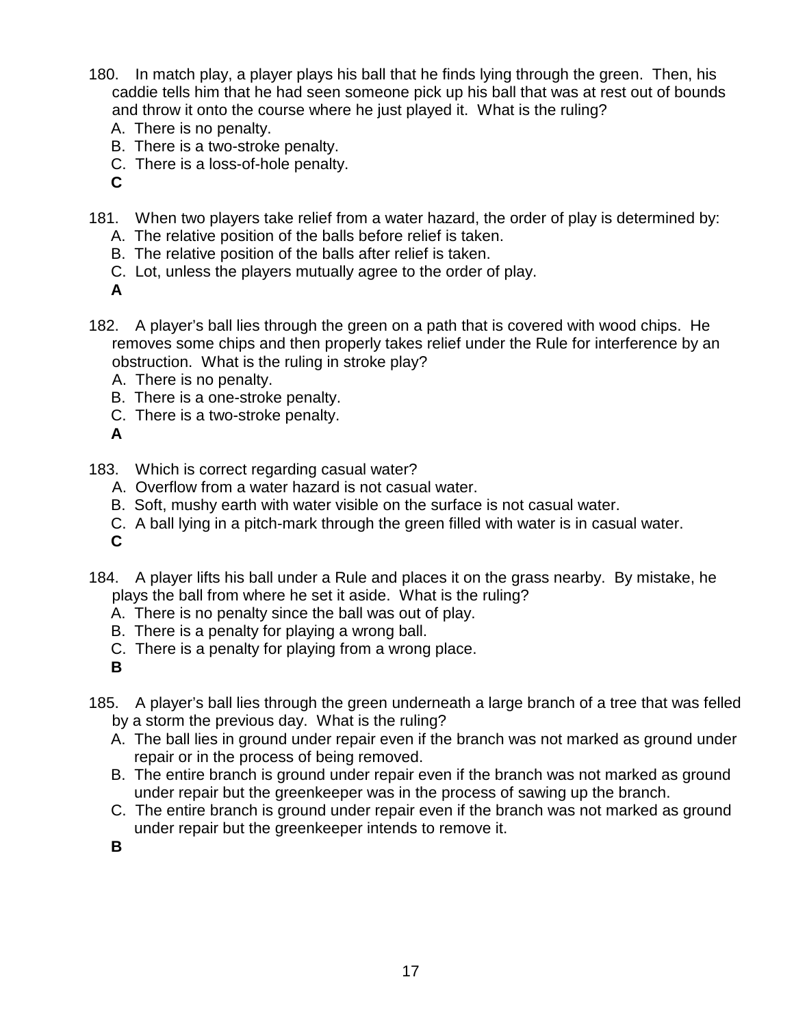- 180. In match play, a player plays his ball that he finds lying through the green. Then, his caddie tells him that he had seen someone pick up his ball that was at rest out of bounds and throw it onto the course where he just played it. What is the ruling?
	- A. There is no penalty.
	- B. There is a two-stroke penalty.
	- C. There is a loss-of-hole penalty.
	- **C**
- 181. When two players take relief from a water hazard, the order of play is determined by:
	- A. The relative position of the balls before relief is taken.
	- B. The relative position of the balls after relief is taken.
	- C. Lot, unless the players mutually agree to the order of play.
	- **A**
- 182. A player's ball lies through the green on a path that is covered with wood chips. He removes some chips and then properly takes relief under the Rule for interference by an obstruction. What is the ruling in stroke play?
	- A. There is no penalty.
	- B. There is a one-stroke penalty.
	- C. There is a two-stroke penalty.
	- **A**
- 183. Which is correct regarding casual water?
	- A. Overflow from a water hazard is not casual water.
	- B. Soft, mushy earth with water visible on the surface is not casual water.
	- C. A ball lying in a pitch-mark through the green filled with water is in casual water.
	- **C**
- 184. A player lifts his ball under a Rule and places it on the grass nearby. By mistake, he plays the ball from where he set it aside. What is the ruling?
	- A. There is no penalty since the ball was out of play.
	- B. There is a penalty for playing a wrong ball.
	- C. There is a penalty for playing from a wrong place.
	- **B**
- 185. A player's ball lies through the green underneath a large branch of a tree that was felled by a storm the previous day. What is the ruling?
	- A. The ball lies in ground under repair even if the branch was not marked as ground under repair or in the process of being removed.
	- B. The entire branch is ground under repair even if the branch was not marked as ground under repair but the greenkeeper was in the process of sawing up the branch.
	- C. The entire branch is ground under repair even if the branch was not marked as ground under repair but the greenkeeper intends to remove it.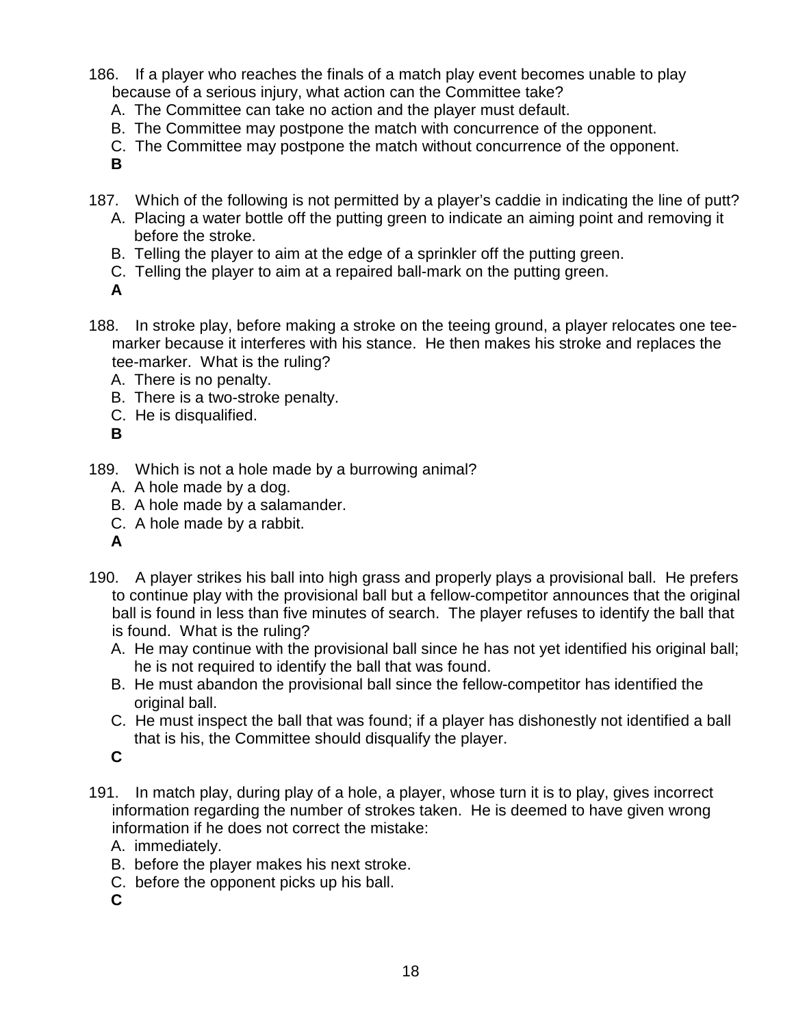186. If a player who reaches the finals of a match play event becomes unable to play because of a serious injury, what action can the Committee take?

- A. The Committee can take no action and the player must default.
- B. The Committee may postpone the match with concurrence of the opponent.
- C. The Committee may postpone the match without concurrence of the opponent.
- **B**
- 187. Which of the following is not permitted by a player's caddie in indicating the line of putt?
	- A. Placing a water bottle off the putting green to indicate an aiming point and removing it before the stroke.
	- B. Telling the player to aim at the edge of a sprinkler off the putting green.
	- C. Telling the player to aim at a repaired ball-mark on the putting green.
	- **A**
- 188. In stroke play, before making a stroke on the teeing ground, a player relocates one teemarker because it interferes with his stance. He then makes his stroke and replaces the tee-marker. What is the ruling?
	- A. There is no penalty.
	- B. There is a two-stroke penalty.
	- C. He is disqualified.
	- **B**
- 189. Which is not a hole made by a burrowing animal?
	- A. A hole made by a dog.
	- B. A hole made by a salamander.
	- C. A hole made by a rabbit.
	- **A**
- 190. A player strikes his ball into high grass and properly plays a provisional ball. He prefers to continue play with the provisional ball but a fellow-competitor announces that the original ball is found in less than five minutes of search. The player refuses to identify the ball that is found. What is the ruling?
	- A. He may continue with the provisional ball since he has not yet identified his original ball; he is not required to identify the ball that was found.
	- B. He must abandon the provisional ball since the fellow-competitor has identified the original ball.
	- C. He must inspect the ball that was found; if a player has dishonestly not identified a ball that is his, the Committee should disqualify the player.

- 191. In match play, during play of a hole, a player, whose turn it is to play, gives incorrect information regarding the number of strokes taken. He is deemed to have given wrong information if he does not correct the mistake:
	- A. immediately.
	- B. before the player makes his next stroke.
	- C. before the opponent picks up his ball.
	- **C**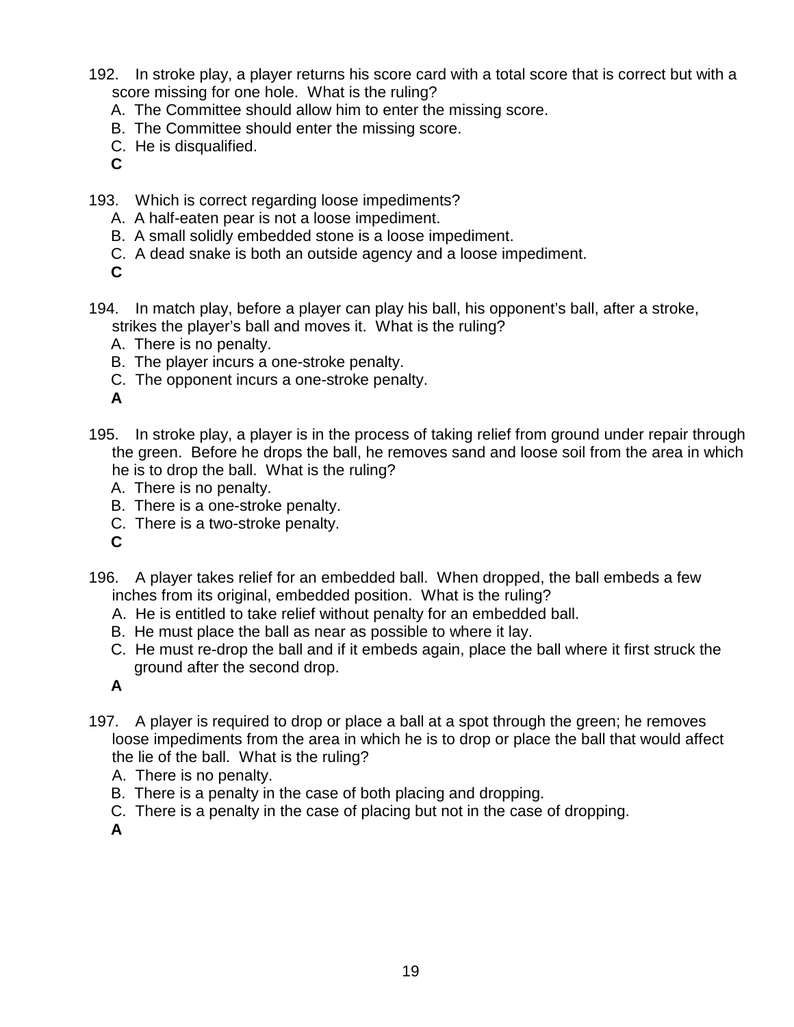- 192. In stroke play, a player returns his score card with a total score that is correct but with a score missing for one hole. What is the ruling?
	- A. The Committee should allow him to enter the missing score.
	- B. The Committee should enter the missing score.
	- C. He is disqualified.
	- **C**
- 193. Which is correct regarding loose impediments?
	- A. A half-eaten pear is not a loose impediment.
	- B. A small solidly embedded stone is a loose impediment.
	- C. A dead snake is both an outside agency and a loose impediment.
	- **C**
- 194. In match play, before a player can play his ball, his opponent's ball, after a stroke, strikes the player's ball and moves it. What is the ruling?
	- A. There is no penalty.
	- B. The player incurs a one-stroke penalty.
	- C. The opponent incurs a one-stroke penalty.
	- **A**
- 195. In stroke play, a player is in the process of taking relief from ground under repair through the green. Before he drops the ball, he removes sand and loose soil from the area in which he is to drop the ball. What is the ruling?
	- A. There is no penalty.
	- B. There is a one-stroke penalty.
	- C. There is a two-stroke penalty.
	- **C**
- 196. A player takes relief for an embedded ball. When dropped, the ball embeds a few inches from its original, embedded position. What is the ruling?
	- A. He is entitled to take relief without penalty for an embedded ball.
	- B. He must place the ball as near as possible to where it lay.
	- C. He must re-drop the ball and if it embeds again, place the ball where it first struck the ground after the second drop.

- 197. A player is required to drop or place a ball at a spot through the green; he removes loose impediments from the area in which he is to drop or place the ball that would affect the lie of the ball. What is the ruling?
	- A. There is no penalty.
	- B. There is a penalty in the case of both placing and dropping.
	- C. There is a penalty in the case of placing but not in the case of dropping.

**A**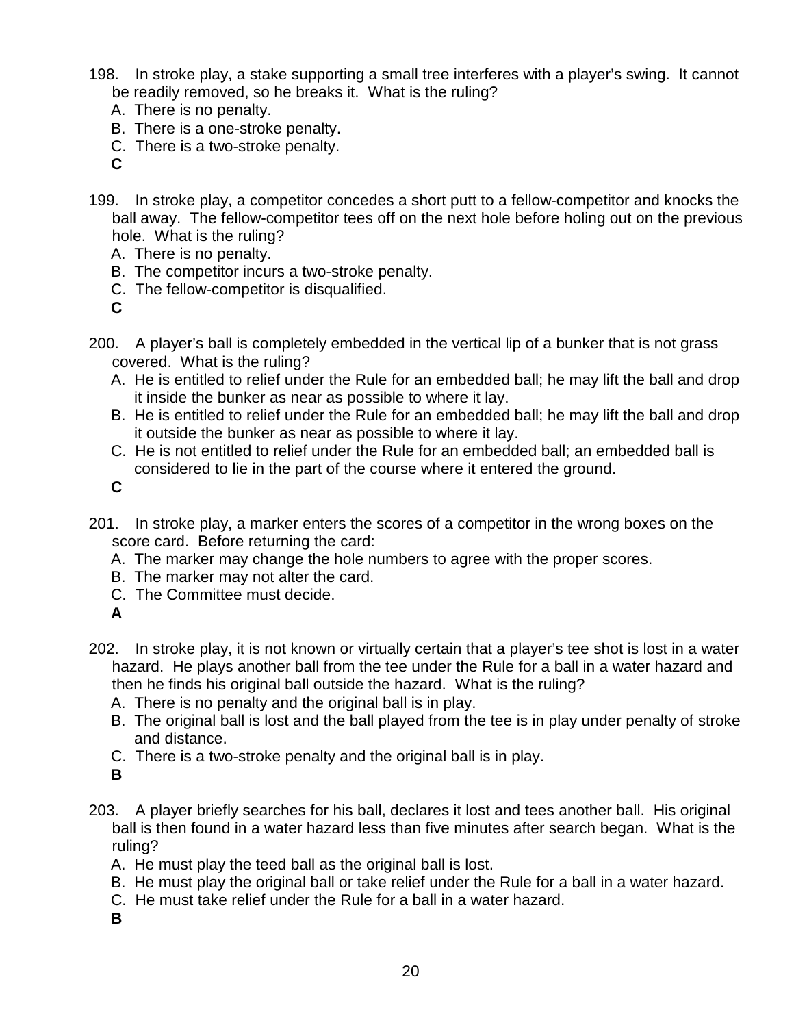- 198. In stroke play, a stake supporting a small tree interferes with a player's swing. It cannot be readily removed, so he breaks it. What is the ruling?
	- A. There is no penalty.
	- B. There is a one-stroke penalty.
	- C. There is a two-stroke penalty.
	- **C**
- 199. In stroke play, a competitor concedes a short putt to a fellow-competitor and knocks the ball away. The fellow-competitor tees off on the next hole before holing out on the previous hole. What is the ruling?
	- A. There is no penalty.
	- B. The competitor incurs a two-stroke penalty.
	- C. The fellow-competitor is disqualified.
	- **C**
- 200. A player's ball is completely embedded in the vertical lip of a bunker that is not grass covered. What is the ruling?
	- A. He is entitled to relief under the Rule for an embedded ball; he may lift the ball and drop it inside the bunker as near as possible to where it lay.
	- B. He is entitled to relief under the Rule for an embedded ball; he may lift the ball and drop it outside the bunker as near as possible to where it lay.
	- C. He is not entitled to relief under the Rule for an embedded ball; an embedded ball is considered to lie in the part of the course where it entered the ground.
	- **C**
- 201. In stroke play, a marker enters the scores of a competitor in the wrong boxes on the score card. Before returning the card:
	- A. The marker may change the hole numbers to agree with the proper scores.
	- B. The marker may not alter the card.
	- C. The Committee must decide.
	- **A**
- 202. In stroke play, it is not known or virtually certain that a player's tee shot is lost in a water hazard. He plays another ball from the tee under the Rule for a ball in a water hazard and then he finds his original ball outside the hazard. What is the ruling?
	- A. There is no penalty and the original ball is in play.
	- B. The original ball is lost and the ball played from the tee is in play under penalty of stroke and distance.
	- C. There is a two-stroke penalty and the original ball is in play.
	- **B**
- 203. A player briefly searches for his ball, declares it lost and tees another ball. His original ball is then found in a water hazard less than five minutes after search began. What is the ruling?
	- A. He must play the teed ball as the original ball is lost.
	- B. He must play the original ball or take relief under the Rule for a ball in a water hazard.
	- C. He must take relief under the Rule for a ball in a water hazard.
	- **B**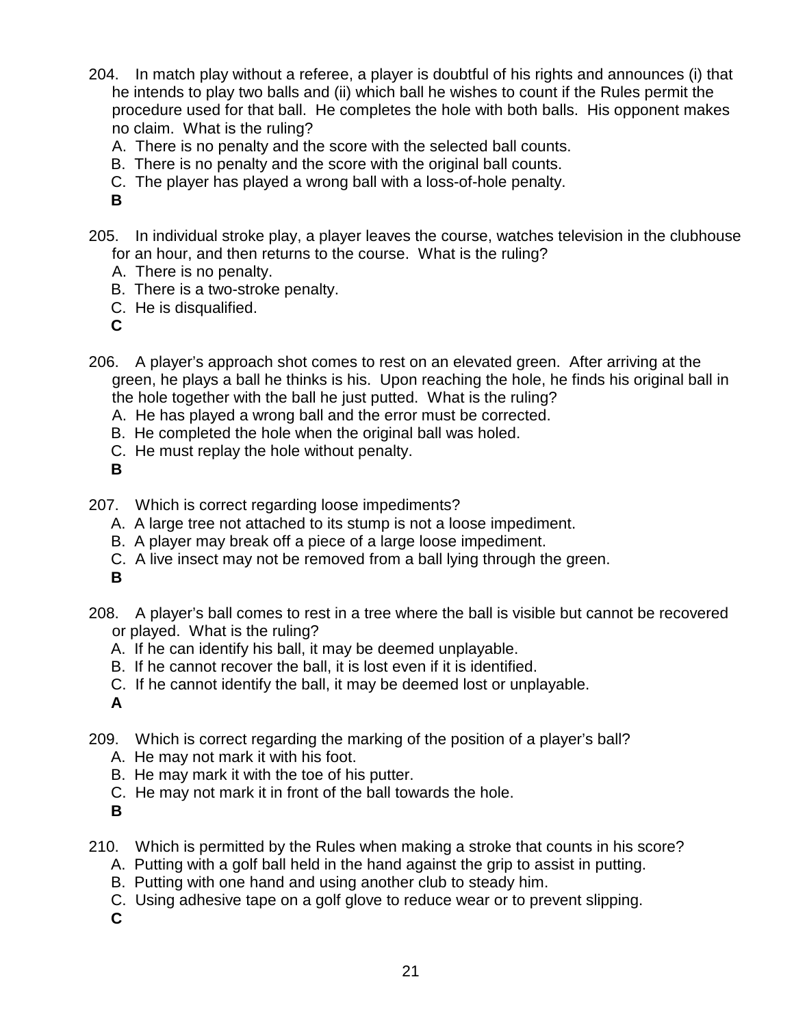- 204. In match play without a referee, a player is doubtful of his rights and announces (i) that he intends to play two balls and (ii) which ball he wishes to count if the Rules permit the procedure used for that ball. He completes the hole with both balls. His opponent makes no claim. What is the ruling?
	- A. There is no penalty and the score with the selected ball counts.
	- B. There is no penalty and the score with the original ball counts.
	- C. The player has played a wrong ball with a loss-of-hole penalty.

- 205. In individual stroke play, a player leaves the course, watches television in the clubhouse for an hour, and then returns to the course. What is the ruling?
	- A. There is no penalty.
	- B. There is a two-stroke penalty.
	- C. He is disqualified.
	- **C**
- 206. A player's approach shot comes to rest on an elevated green. After arriving at the green, he plays a ball he thinks is his. Upon reaching the hole, he finds his original ball in the hole together with the ball he just putted. What is the ruling?
	- A. He has played a wrong ball and the error must be corrected.
	- B. He completed the hole when the original ball was holed.
	- C. He must replay the hole without penalty.
	- **B**
- 207. Which is correct regarding loose impediments?
	- A. A large tree not attached to its stump is not a loose impediment.
	- B. A player may break off a piece of a large loose impediment.
	- C. A live insect may not be removed from a ball lying through the green.
	- **B**
- 208. A player's ball comes to rest in a tree where the ball is visible but cannot be recovered or played. What is the ruling?
	- A. If he can identify his ball, it may be deemed unplayable.
	- B. If he cannot recover the ball, it is lost even if it is identified.
	- C. If he cannot identify the ball, it may be deemed lost or unplayable.

**A**

- 209. Which is correct regarding the marking of the position of a player's ball?
	- A. He may not mark it with his foot.
	- B. He may mark it with the toe of his putter.
	- C. He may not mark it in front of the ball towards the hole.
	- **B**
- 210. Which is permitted by the Rules when making a stroke that counts in his score?
	- A. Putting with a golf ball held in the hand against the grip to assist in putting.
	- B. Putting with one hand and using another club to steady him.
	- C. Using adhesive tape on a golf glove to reduce wear or to prevent slipping.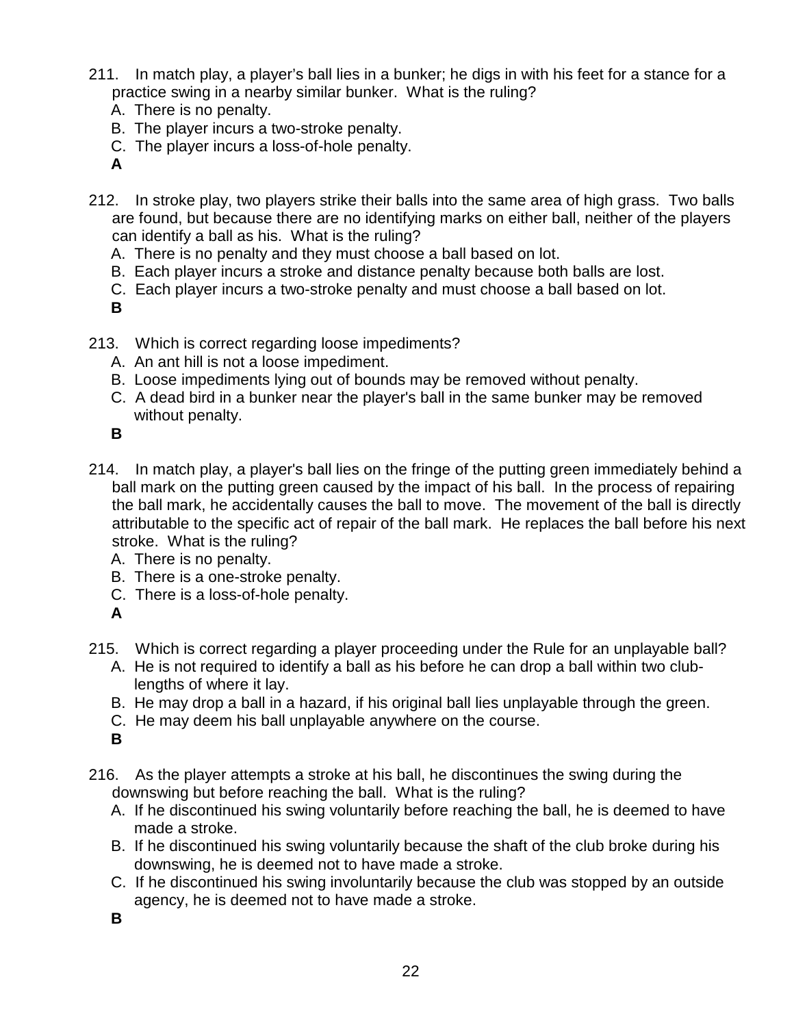- 211. In match play, a player's ball lies in a bunker; he digs in with his feet for a stance for a practice swing in a nearby similar bunker. What is the ruling?
	- A. There is no penalty.
	- B. The player incurs a two-stroke penalty.
	- C. The player incurs a loss-of-hole penalty.
	- **A**
- 212. In stroke play, two players strike their balls into the same area of high grass. Two balls are found, but because there are no identifying marks on either ball, neither of the players can identify a ball as his. What is the ruling?
	- A. There is no penalty and they must choose a ball based on lot.
	- B. Each player incurs a stroke and distance penalty because both balls are lost.
	- C. Each player incurs a two-stroke penalty and must choose a ball based on lot.
	- **B**
- 213. Which is correct regarding loose impediments?
	- A. An ant hill is not a loose impediment.
	- B. Loose impediments lying out of bounds may be removed without penalty.
	- C. A dead bird in a bunker near the player's ball in the same bunker may be removed without penalty.
	- **B**
- 214. In match play, a player's ball lies on the fringe of the putting green immediately behind a ball mark on the putting green caused by the impact of his ball. In the process of repairing the ball mark, he accidentally causes the ball to move. The movement of the ball is directly attributable to the specific act of repair of the ball mark. He replaces the ball before his next stroke. What is the ruling?
	- A. There is no penalty.
	- B. There is a one-stroke penalty.
	- C. There is a loss-of-hole penalty.
	- **A**
- 215. Which is correct regarding a player proceeding under the Rule for an unplayable ball?
	- A. He is not required to identify a ball as his before he can drop a ball within two clublengths of where it lay.
	- B. He may drop a ball in a hazard, if his original ball lies unplayable through the green.
	- C. He may deem his ball unplayable anywhere on the course.
	- **B**
- 216. As the player attempts a stroke at his ball, he discontinues the swing during the downswing but before reaching the ball. What is the ruling?
	- A. If he discontinued his swing voluntarily before reaching the ball, he is deemed to have made a stroke.
	- B. If he discontinued his swing voluntarily because the shaft of the club broke during his downswing, he is deemed not to have made a stroke.
	- C. If he discontinued his swing involuntarily because the club was stopped by an outside agency, he is deemed not to have made a stroke.
	- **B**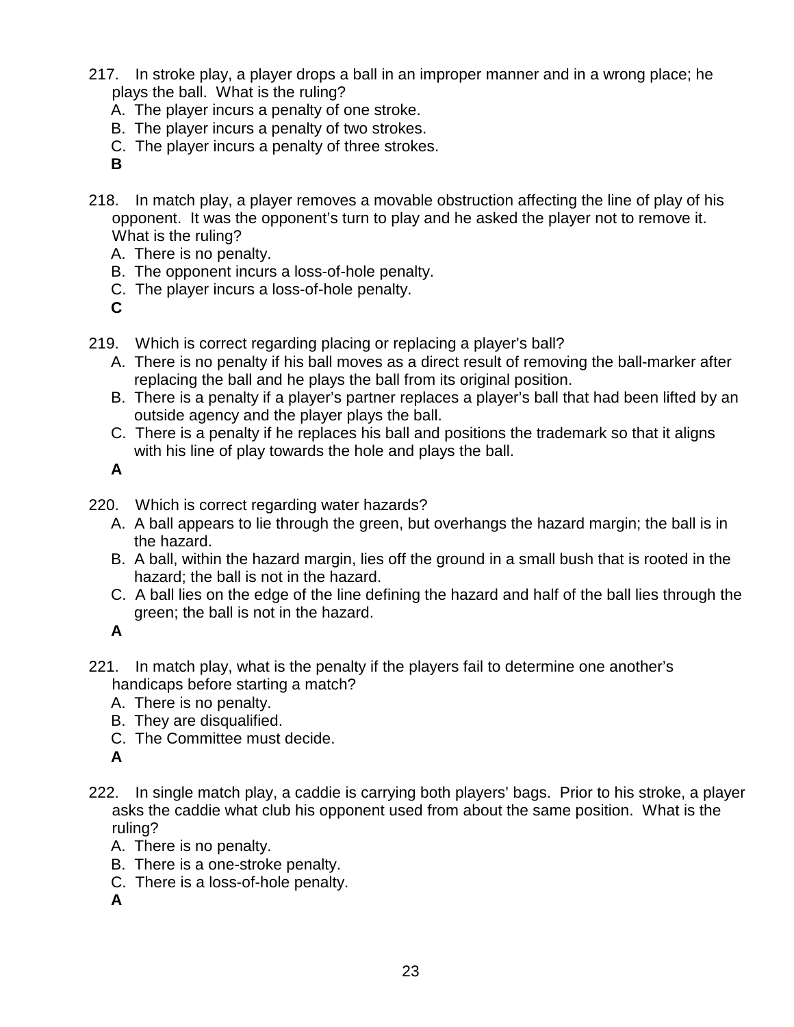- 217. In stroke play, a player drops a ball in an improper manner and in a wrong place; he plays the ball. What is the ruling?
	- A. The player incurs a penalty of one stroke.
	- B. The player incurs a penalty of two strokes.
	- C. The player incurs a penalty of three strokes.
	- **B**
- 218. In match play, a player removes a movable obstruction affecting the line of play of his opponent. It was the opponent's turn to play and he asked the player not to remove it. What is the ruling?
	- A. There is no penalty.
	- B. The opponent incurs a loss-of-hole penalty.
	- C. The player incurs a loss-of-hole penalty.
	- **C**
- 219. Which is correct regarding placing or replacing a player's ball?
	- A. There is no penalty if his ball moves as a direct result of removing the ball-marker after replacing the ball and he plays the ball from its original position.
	- B. There is a penalty if a player's partner replaces a player's ball that had been lifted by an outside agency and the player plays the ball.
	- C. There is a penalty if he replaces his ball and positions the trademark so that it aligns with his line of play towards the hole and plays the ball.

- 220. Which is correct regarding water hazards?
	- A. A ball appears to lie through the green, but overhangs the hazard margin; the ball is in the hazard.
	- B. A ball, within the hazard margin, lies off the ground in a small bush that is rooted in the hazard; the ball is not in the hazard.
	- C. A ball lies on the edge of the line defining the hazard and half of the ball lies through the green; the ball is not in the hazard.

**A**

- 221. In match play, what is the penalty if the players fail to determine one another's handicaps before starting a match?
	- A. There is no penalty.
	- B. They are disqualified.
	- C. The Committee must decide.

**A**

- 222. In single match play, a caddie is carrying both players' bags. Prior to his stroke, a player asks the caddie what club his opponent used from about the same position. What is the ruling?
	- A. There is no penalty.
	- B. There is a one-stroke penalty.
	- C. There is a loss-of-hole penalty.
	- **A**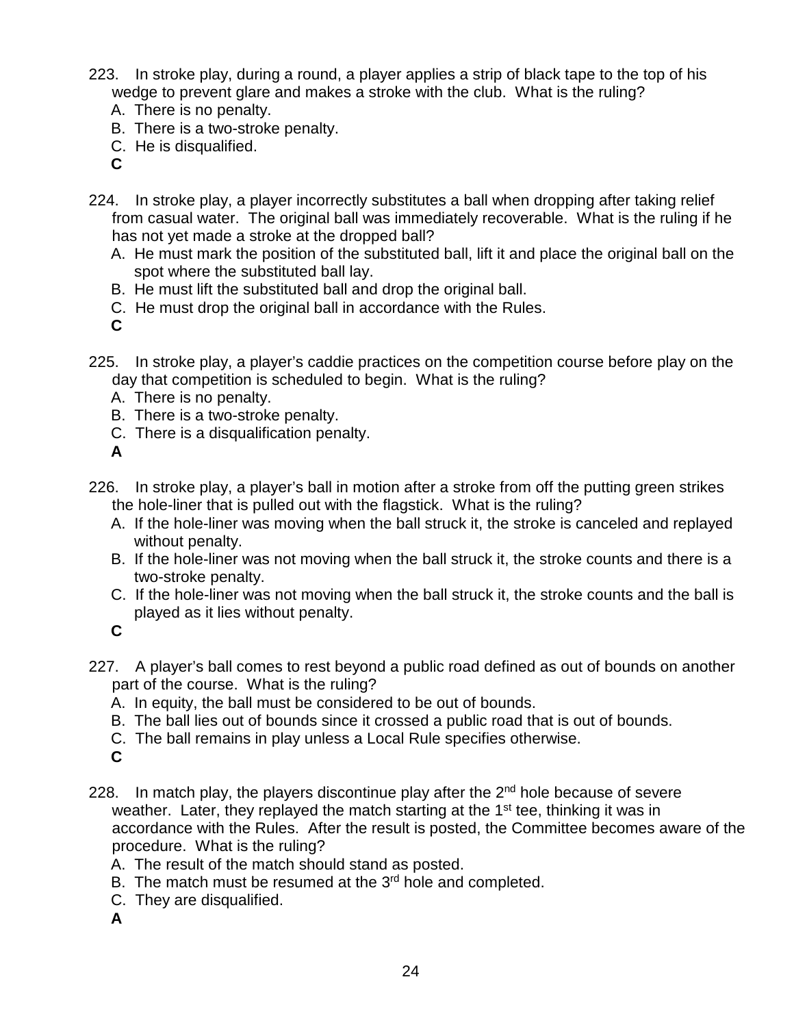- 223. In stroke play, during a round, a player applies a strip of black tape to the top of his wedge to prevent glare and makes a stroke with the club. What is the ruling?
	- A. There is no penalty.
	- B. There is a two-stroke penalty.
	- C. He is disqualified.
	- **C**
- 224. In stroke play, a player incorrectly substitutes a ball when dropping after taking relief from casual water. The original ball was immediately recoverable. What is the ruling if he has not yet made a stroke at the dropped ball?
	- A. He must mark the position of the substituted ball, lift it and place the original ball on the spot where the substituted ball lay.
	- B. He must lift the substituted ball and drop the original ball.
	- C. He must drop the original ball in accordance with the Rules.
	- **C**
- 225. In stroke play, a player's caddie practices on the competition course before play on the day that competition is scheduled to begin. What is the ruling?
	- A. There is no penalty.
	- B. There is a two-stroke penalty.
	- C. There is a disqualification penalty.

- 226. In stroke play, a player's ball in motion after a stroke from off the putting green strikes the hole-liner that is pulled out with the flagstick. What is the ruling?
	- A. If the hole-liner was moving when the ball struck it, the stroke is canceled and replayed without penalty.
	- B. If the hole-liner was not moving when the ball struck it, the stroke counts and there is a two-stroke penalty.
	- C. If the hole-liner was not moving when the ball struck it, the stroke counts and the ball is played as it lies without penalty.

- 227. A player's ball comes to rest beyond a public road defined as out of bounds on another part of the course. What is the ruling?
	- A. In equity, the ball must be considered to be out of bounds.
	- B. The ball lies out of bounds since it crossed a public road that is out of bounds.
	- C. The ball remains in play unless a Local Rule specifies otherwise.
	- **C**
- 228. In match play, the players discontinue play after the  $2<sup>nd</sup>$  hole because of severe weather. Later, they replayed the match starting at the 1<sup>st</sup> tee, thinking it was in accordance with the Rules. After the result is posted, the Committee becomes aware of the procedure. What is the ruling?
	- A. The result of the match should stand as posted.
	- B. The match must be resumed at the  $3<sup>rd</sup>$  hole and completed.
	- C. They are disqualified.
	- **A**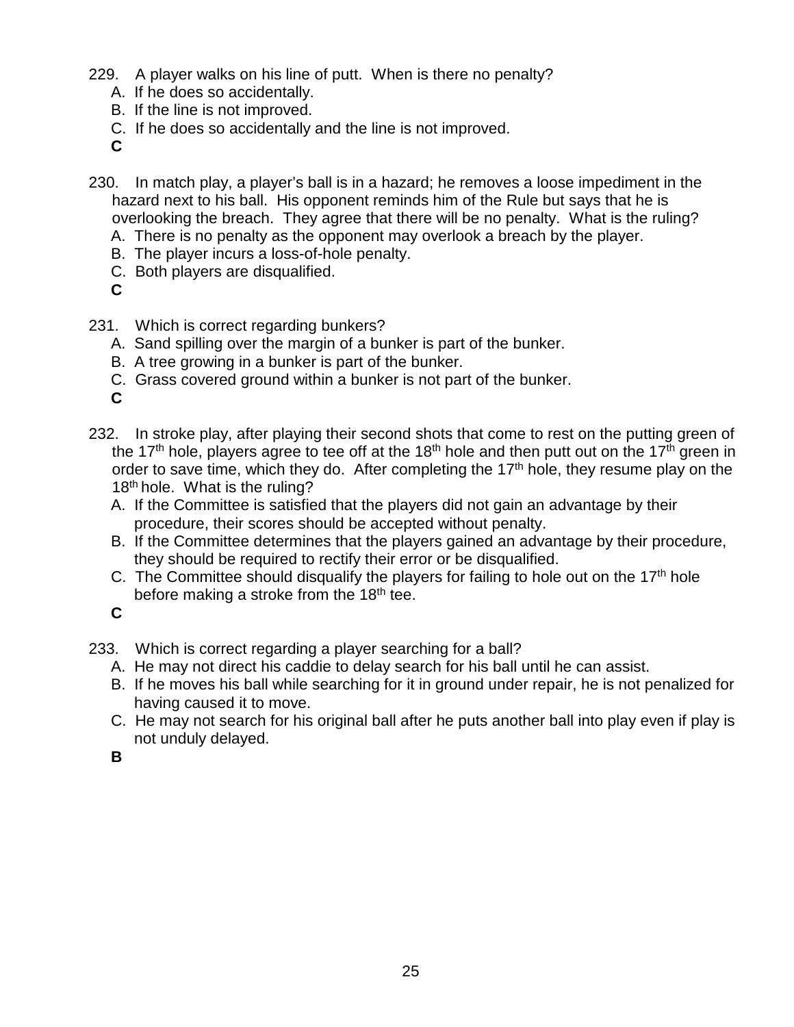- 229. A player walks on his line of putt. When is there no penalty?
	- A. If he does so accidentally.
	- B. If the line is not improved.
	- C. If he does so accidentally and the line is not improved.

- 230. In match play, a player's ball is in a hazard; he removes a loose impediment in the hazard next to his ball. His opponent reminds him of the Rule but says that he is overlooking the breach. They agree that there will be no penalty. What is the ruling?
	- A. There is no penalty as the opponent may overlook a breach by the player.
	- B. The player incurs a loss-of-hole penalty.
	- C. Both players are disqualified.
	- **C**
- 231. Which is correct regarding bunkers?
	- A. Sand spilling over the margin of a bunker is part of the bunker.
	- B. A tree growing in a bunker is part of the bunker.
	- C. Grass covered ground within a bunker is not part of the bunker.

**C**

- 232. In stroke play, after playing their second shots that come to rest on the putting green of the 17<sup>th</sup> hole, players agree to tee off at the 18<sup>th</sup> hole and then putt out on the 17<sup>th</sup> green in order to save time, which they do. After completing the  $17<sup>th</sup>$  hole, they resume play on the 18<sup>th</sup> hole. What is the ruling?
	- A. If the Committee is satisfied that the players did not gain an advantage by their procedure, their scores should be accepted without penalty.
	- B. If the Committee determines that the players gained an advantage by their procedure, they should be required to rectify their error or be disqualified.
	- C. The Committee should disqualify the players for failing to hole out on the  $17<sup>th</sup>$  hole before making a stroke from the 18<sup>th</sup> tee.

**C**

- 233. Which is correct regarding a player searching for a ball?
	- A. He may not direct his caddie to delay search for his ball until he can assist.
	- B. If he moves his ball while searching for it in ground under repair, he is not penalized for having caused it to move.
	- C. He may not search for his original ball after he puts another ball into play even if play is not unduly delayed.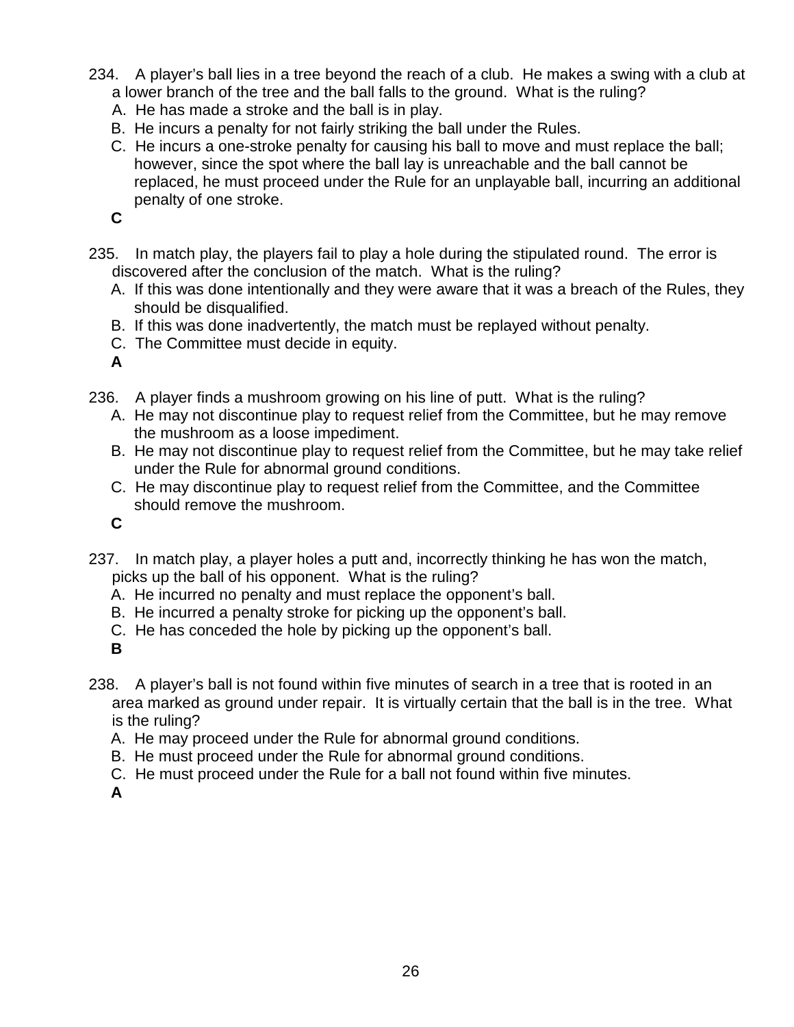- 234. A player's ball lies in a tree beyond the reach of a club. He makes a swing with a club at a lower branch of the tree and the ball falls to the ground. What is the ruling?
	- A. He has made a stroke and the ball is in play.
	- B. He incurs a penalty for not fairly striking the ball under the Rules.
	- C. He incurs a one-stroke penalty for causing his ball to move and must replace the ball; however, since the spot where the ball lay is unreachable and the ball cannot be replaced, he must proceed under the Rule for an unplayable ball, incurring an additional penalty of one stroke.

- 235. In match play, the players fail to play a hole during the stipulated round. The error is discovered after the conclusion of the match. What is the ruling?
	- A. If this was done intentionally and they were aware that it was a breach of the Rules, they should be disqualified.
	- B. If this was done inadvertently, the match must be replayed without penalty.
	- C. The Committee must decide in equity.

**A**

- 236. A player finds a mushroom growing on his line of putt. What is the ruling?
	- A. He may not discontinue play to request relief from the Committee, but he may remove the mushroom as a loose impediment.
	- B. He may not discontinue play to request relief from the Committee, but he may take relief under the Rule for abnormal ground conditions.
	- C. He may discontinue play to request relief from the Committee, and the Committee should remove the mushroom.

**C**

- 237. In match play, a player holes a putt and, incorrectly thinking he has won the match, picks up the ball of his opponent. What is the ruling?
	- A. He incurred no penalty and must replace the opponent's ball.
	- B. He incurred a penalty stroke for picking up the opponent's ball.
	- C. He has conceded the hole by picking up the opponent's ball.
	- **B**
- 238. A player's ball is not found within five minutes of search in a tree that is rooted in an area marked as ground under repair. It is virtually certain that the ball is in the tree. What is the ruling?
	- A. He may proceed under the Rule for abnormal ground conditions.
	- B. He must proceed under the Rule for abnormal ground conditions.
	- C. He must proceed under the Rule for a ball not found within five minutes.

**A**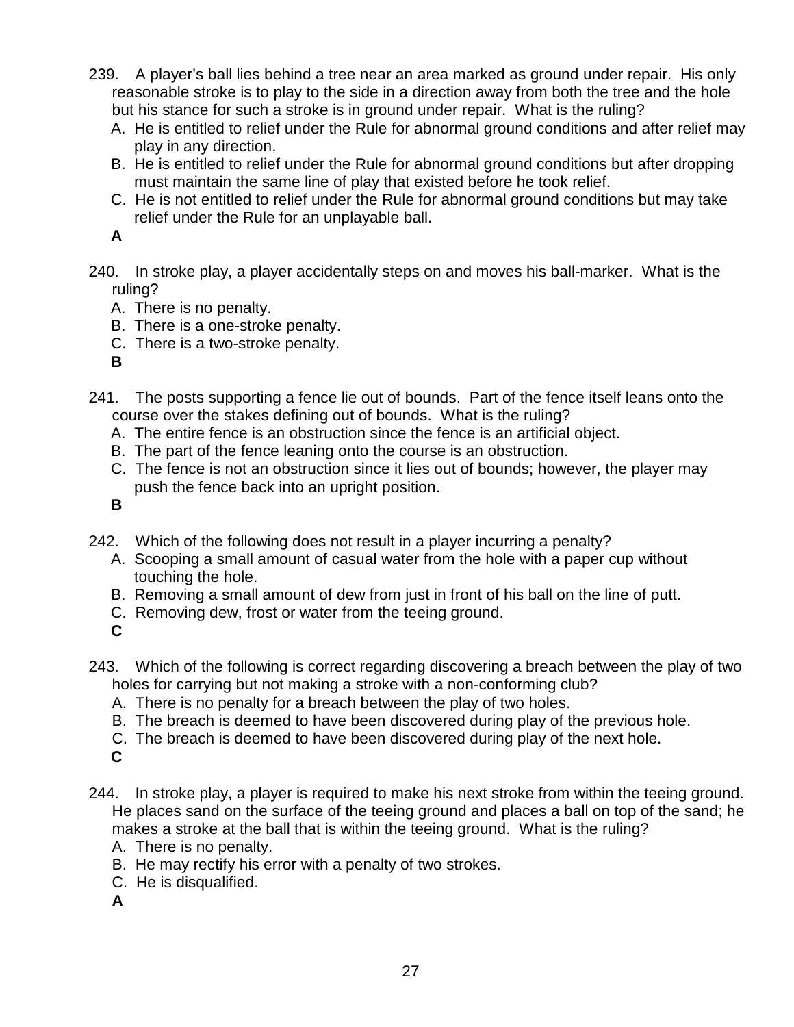- 239. A player's ball lies behind a tree near an area marked as ground under repair. His only reasonable stroke is to play to the side in a direction away from both the tree and the hole but his stance for such a stroke is in ground under repair. What is the ruling?
	- A. He is entitled to relief under the Rule for abnormal ground conditions and after relief may play in any direction.
	- B. He is entitled to relief under the Rule for abnormal ground conditions but after dropping must maintain the same line of play that existed before he took relief.
	- C. He is not entitled to relief under the Rule for abnormal ground conditions but may take relief under the Rule for an unplayable ball.

- 240. In stroke play, a player accidentally steps on and moves his ball-marker. What is the ruling?
	- A. There is no penalty.
	- B. There is a one-stroke penalty.
	- C. There is a two-stroke penalty.
	- **B**
- 241. The posts supporting a fence lie out of bounds. Part of the fence itself leans onto the course over the stakes defining out of bounds. What is the ruling?
	- A. The entire fence is an obstruction since the fence is an artificial object.
	- B. The part of the fence leaning onto the course is an obstruction.
	- C. The fence is not an obstruction since it lies out of bounds; however, the player may push the fence back into an upright position.

- 242. Which of the following does not result in a player incurring a penalty?
	- A. Scooping a small amount of casual water from the hole with a paper cup without touching the hole.
	- B. Removing a small amount of dew from just in front of his ball on the line of putt.
	- C. Removing dew, frost or water from the teeing ground.
	- **C**
- 243. Which of the following is correct regarding discovering a breach between the play of two holes for carrying but not making a stroke with a non-conforming club?
	- A. There is no penalty for a breach between the play of two holes.
	- B. The breach is deemed to have been discovered during play of the previous hole.
	- C. The breach is deemed to have been discovered during play of the next hole.
	- **C**
- 244. In stroke play, a player is required to make his next stroke from within the teeing ground. He places sand on the surface of the teeing ground and places a ball on top of the sand; he makes a stroke at the ball that is within the teeing ground. What is the ruling?
	- A. There is no penalty.
	- B. He may rectify his error with a penalty of two strokes.
	- C. He is disqualified.
	- **A**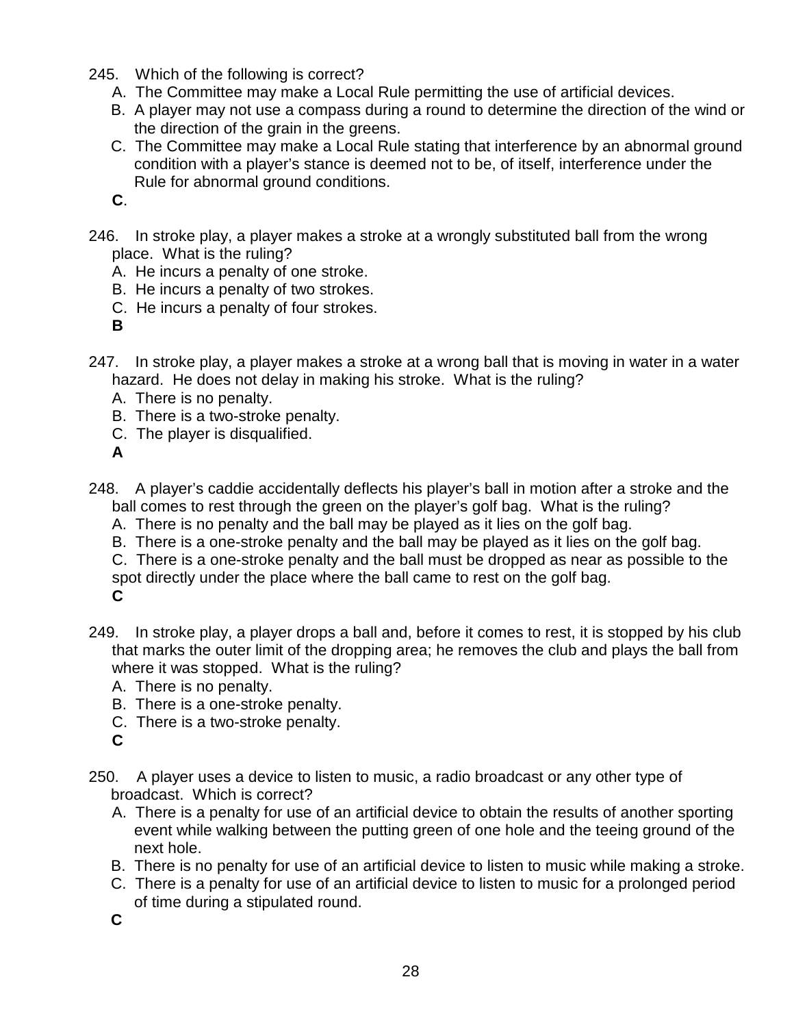- 245. Which of the following is correct?
	- A. The Committee may make a Local Rule permitting the use of artificial devices.
	- B. A player may not use a compass during a round to determine the direction of the wind or the direction of the grain in the greens.
	- C. The Committee may make a Local Rule stating that interference by an abnormal ground condition with a player's stance is deemed not to be, of itself, interference under the Rule for abnormal ground conditions.
	- **C**.

246. In stroke play, a player makes a stroke at a wrongly substituted ball from the wrong place. What is the ruling?

- A. He incurs a penalty of one stroke.
- B. He incurs a penalty of two strokes.
- C. He incurs a penalty of four strokes.
- **B**
- 247. In stroke play, a player makes a stroke at a wrong ball that is moving in water in a water hazard. He does not delay in making his stroke. What is the ruling?
	- A. There is no penalty.
	- B. There is a two-stroke penalty.
	- C. The player is disqualified.

**A**

- 248. A player's caddie accidentally deflects his player's ball in motion after a stroke and the ball comes to rest through the green on the player's golf bag. What is the ruling?
	- A. There is no penalty and the ball may be played as it lies on the golf bag.
	- B. There is a one-stroke penalty and the ball may be played as it lies on the golf bag.
	- C. There is a one-stroke penalty and the ball must be dropped as near as possible to the spot directly under the place where the ball came to rest on the golf bag. **C**
- 249. In stroke play, a player drops a ball and, before it comes to rest, it is stopped by his club that marks the outer limit of the dropping area; he removes the club and plays the ball from where it was stopped. What is the ruling?
	- A. There is no penalty.
	- B. There is a one-stroke penalty.
	- C. There is a two-stroke penalty.
	- **C**
- 250. A player uses a device to listen to music, a radio broadcast or any other type of broadcast. Which is correct?
	- A. There is a penalty for use of an artificial device to obtain the results of another sporting event while walking between the putting green of one hole and the teeing ground of the next hole.
	- B. There is no penalty for use of an artificial device to listen to music while making a stroke.
	- C. There is a penalty for use of an artificial device to listen to music for a prolonged period of time during a stipulated round.
	- **C**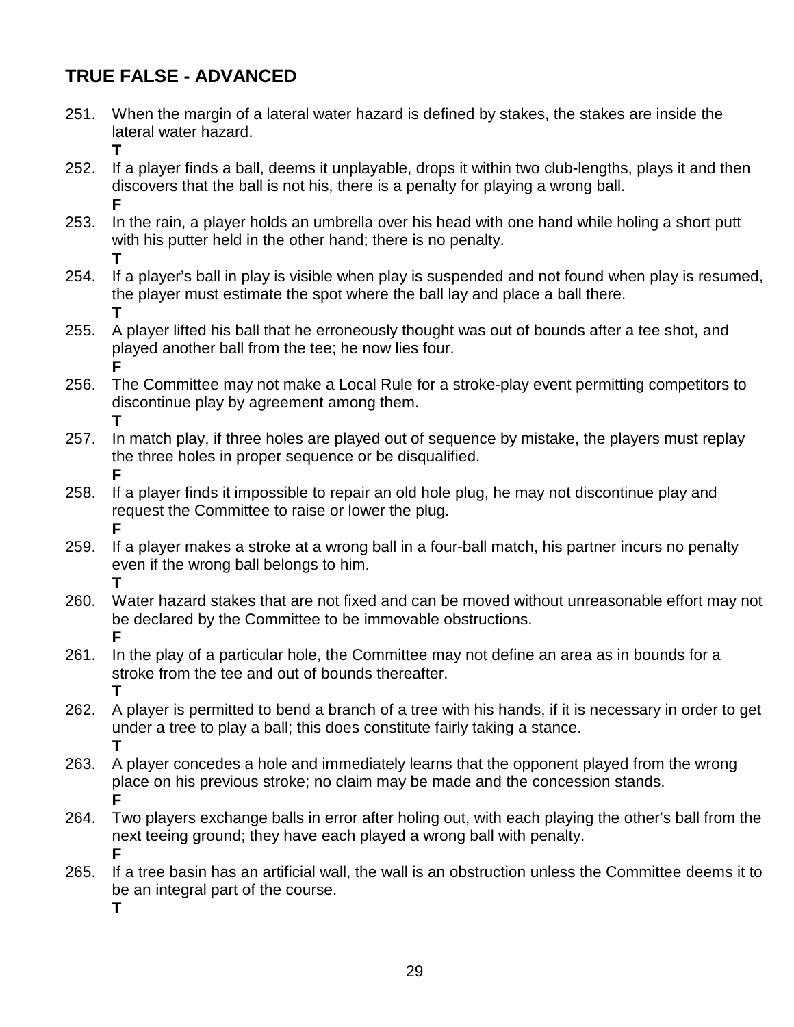## **TRUE FALSE - ADVANCED**

- 251. When the margin of a lateral water hazard is defined by stakes, the stakes are inside the lateral water hazard.
- **T** 252. If a player finds a ball, deems it unplayable, drops it within two club-lengths, plays it and then discovers that the ball is not his, there is a penalty for playing a wrong ball. **F**
	- 253. In the rain, a player holds an umbrella over his head with one hand while holing a short putt with his putter held in the other hand; there is no penalty. **T**
	- 254. If a player's ball in play is visible when play is suspended and not found when play is resumed, the player must estimate the spot where the ball lay and place a ball there. **T**
	- 255. A player lifted his ball that he erroneously thought was out of bounds after a tee shot, and played another ball from the tee; he now lies four. **F**
	- 256. The Committee may not make a Local Rule for a stroke-play event permitting competitors to discontinue play by agreement among them. **T**
	- 257. In match play, if three holes are played out of sequence by mistake, the players must replay the three holes in proper sequence or be disqualified. **F**
	- 258. If a player finds it impossible to repair an old hole plug, he may not discontinue play and request the Committee to raise or lower the plug. **F**
	- 259. If a player makes a stroke at a wrong ball in a four-ball match, his partner incurs no penalty even if the wrong ball belongs to him. **T**
	- 260. Water hazard stakes that are not fixed and can be moved without unreasonable effort may not be declared by the Committee to be immovable obstructions. **F**
	- 261. In the play of a particular hole, the Committee may not define an area as in bounds for a stroke from the tee and out of bounds thereafter. **T**
	- 262. A player is permitted to bend a branch of a tree with his hands, if it is necessary in order to get under a tree to play a ball; this does constitute fairly taking a stance. **T**
	- 263. A player concedes a hole and immediately learns that the opponent played from the wrong place on his previous stroke; no claim may be made and the concession stands. **F**
	- 264. Two players exchange balls in error after holing out, with each playing the other's ball from the next teeing ground; they have each played a wrong ball with penalty. **F**
	- 265. If a tree basin has an artificial wall, the wall is an obstruction unless the Committee deems it to be an integral part of the course.
		- **T**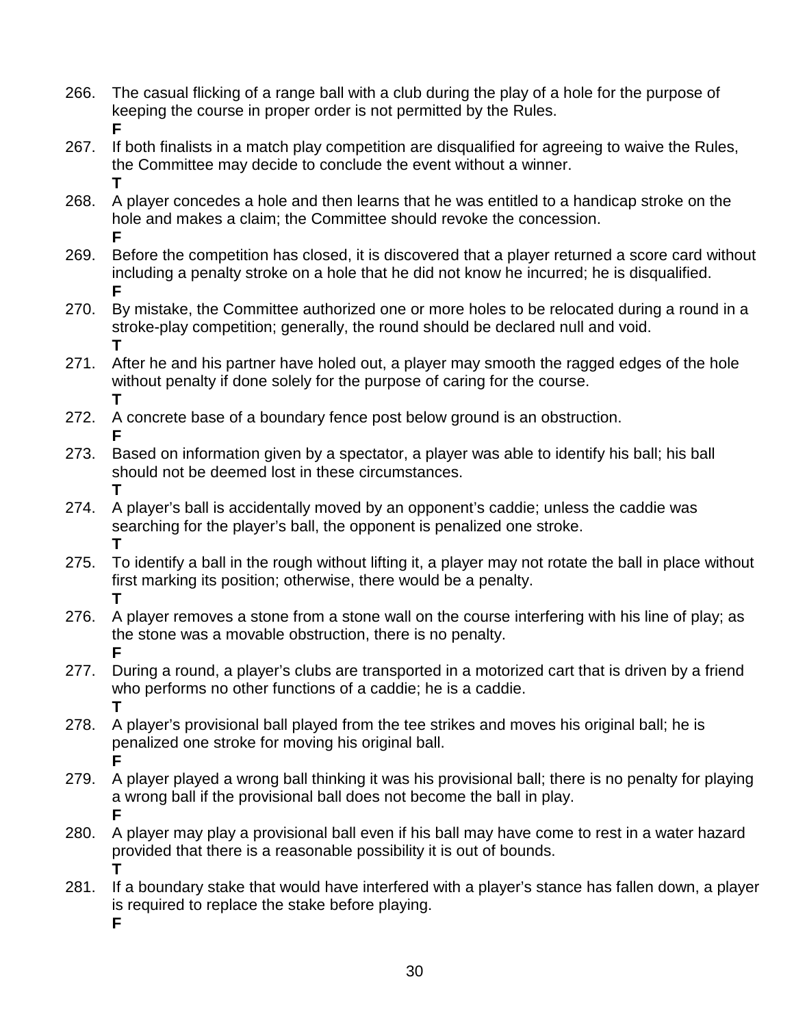- 266. The casual flicking of a range ball with a club during the play of a hole for the purpose of keeping the course in proper order is not permitted by the Rules. **F**
- 267. If both finalists in a match play competition are disqualified for agreeing to waive the Rules, the Committee may decide to conclude the event without a winner. **T**
- 268. A player concedes a hole and then learns that he was entitled to a handicap stroke on the hole and makes a claim; the Committee should revoke the concession. **F**
- 269. Before the competition has closed, it is discovered that a player returned a score card without including a penalty stroke on a hole that he did not know he incurred; he is disqualified. **F**
- 270. By mistake, the Committee authorized one or more holes to be relocated during a round in a stroke-play competition; generally, the round should be declared null and void. **T**
- 271. After he and his partner have holed out, a player may smooth the ragged edges of the hole without penalty if done solely for the purpose of caring for the course. **T**
- 272. A concrete base of a boundary fence post below ground is an obstruction. **F**
- 273. Based on information given by a spectator, a player was able to identify his ball; his ball should not be deemed lost in these circumstances. **T**
- 274. A player's ball is accidentally moved by an opponent's caddie; unless the caddie was searching for the player's ball, the opponent is penalized one stroke. **T**
- 275. To identify a ball in the rough without lifting it, a player may not rotate the ball in place without first marking its position; otherwise, there would be a penalty. **T**
- 276. A player removes a stone from a stone wall on the course interfering with his line of play; as the stone was a movable obstruction, there is no penalty. **F**
- 277. During a round, a player's clubs are transported in a motorized cart that is driven by a friend who performs no other functions of a caddie; he is a caddie. **T**
- 278. A player's provisional ball played from the tee strikes and moves his original ball; he is penalized one stroke for moving his original ball. **F**
- 279. A player played a wrong ball thinking it was his provisional ball; there is no penalty for playing a wrong ball if the provisional ball does not become the ball in play. **F**
- 280. A player may play a provisional ball even if his ball may have come to rest in a water hazard provided that there is a reasonable possibility it is out of bounds. **T**
- 281. If a boundary stake that would have interfered with a player's stance has fallen down, a player is required to replace the stake before playing. **F**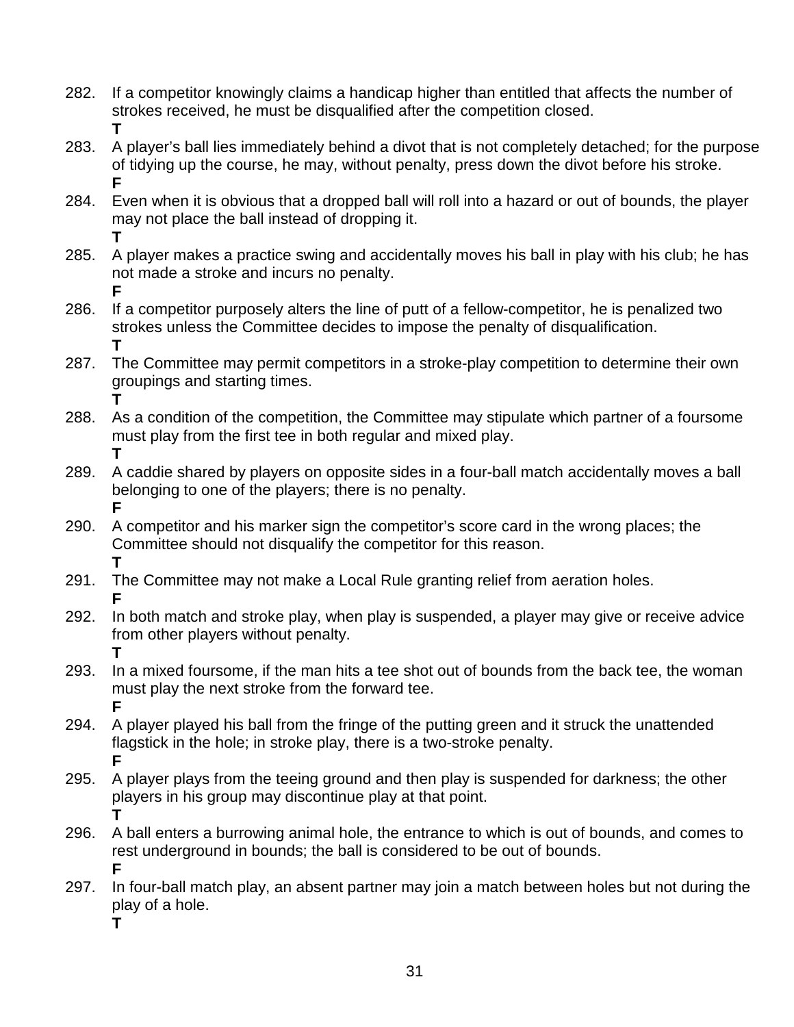- 282. If a competitor knowingly claims a handicap higher than entitled that affects the number of strokes received, he must be disqualified after the competition closed. **T**
- 283. A player's ball lies immediately behind a divot that is not completely detached; for the purpose of tidying up the course, he may, without penalty, press down the divot before his stroke. **F**
- 284. Even when it is obvious that a dropped ball will roll into a hazard or out of bounds, the player may not place the ball instead of dropping it. **T**
- 285. A player makes a practice swing and accidentally moves his ball in play with his club; he has not made a stroke and incurs no penalty. **F**
- 286. If a competitor purposely alters the line of putt of a fellow-competitor, he is penalized two strokes unless the Committee decides to impose the penalty of disqualification. **T**
- 287. The Committee may permit competitors in a stroke-play competition to determine their own groupings and starting times. **T**
- 288. As a condition of the competition, the Committee may stipulate which partner of a foursome must play from the first tee in both regular and mixed play. **T**
- 289. A caddie shared by players on opposite sides in a four-ball match accidentally moves a ball belonging to one of the players; there is no penalty. **F**
- 290. A competitor and his marker sign the competitor's score card in the wrong places; the Committee should not disqualify the competitor for this reason. **T**
- 291. The Committee may not make a Local Rule granting relief from aeration holes. **F**
- 292. In both match and stroke play, when play is suspended, a player may give or receive advice from other players without penalty. **T**
- 293. In a mixed foursome, if the man hits a tee shot out of bounds from the back tee, the woman must play the next stroke from the forward tee. **F**
- 294. A player played his ball from the fringe of the putting green and it struck the unattended flagstick in the hole; in stroke play, there is a two-stroke penalty. **F**
- 295. A player plays from the teeing ground and then play is suspended for darkness; the other players in his group may discontinue play at that point. **T**
- 296. A ball enters a burrowing animal hole, the entrance to which is out of bounds, and comes to rest underground in bounds; the ball is considered to be out of bounds. **F**
- 297. In four-ball match play, an absent partner may join a match between holes but not during the play of a hole.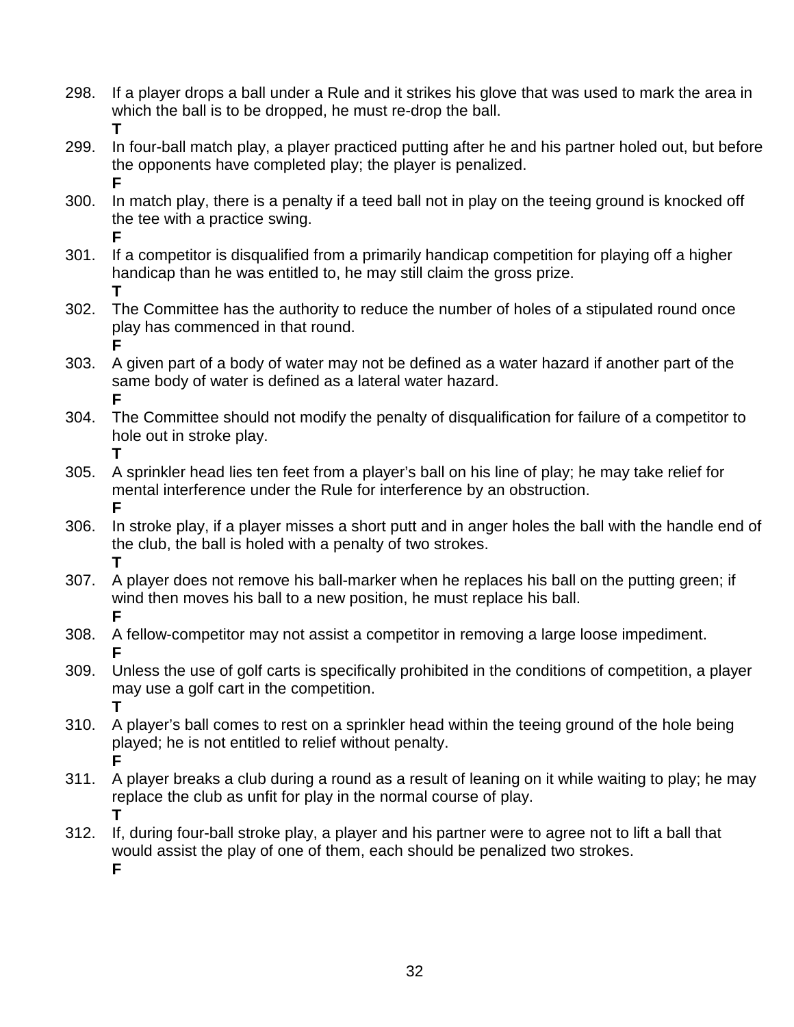- 298. If a player drops a ball under a Rule and it strikes his glove that was used to mark the area in which the ball is to be dropped, he must re-drop the ball. **T**
- 299. In four-ball match play, a player practiced putting after he and his partner holed out, but before the opponents have completed play; the player is penalized. **F**
- 300. In match play, there is a penalty if a teed ball not in play on the teeing ground is knocked off the tee with a practice swing.
- **F** 301. If a competitor is disqualified from a primarily handicap competition for playing off a higher handicap than he was entitled to, he may still claim the gross prize. **T**
- 302. The Committee has the authority to reduce the number of holes of a stipulated round once play has commenced in that round. **F**
- 303. A given part of a body of water may not be defined as a water hazard if another part of the same body of water is defined as a lateral water hazard. **F**
- 304. The Committee should not modify the penalty of disqualification for failure of a competitor to hole out in stroke play. **T**
- 305. A sprinkler head lies ten feet from a player's ball on his line of play; he may take relief for mental interference under the Rule for interference by an obstruction. **F**
- 306. In stroke play, if a player misses a short putt and in anger holes the ball with the handle end of the club, the ball is holed with a penalty of two strokes. **T**
- 307. A player does not remove his ball-marker when he replaces his ball on the putting green; if wind then moves his ball to a new position, he must replace his ball. **F**
- 308. A fellow-competitor may not assist a competitor in removing a large loose impediment. **F**
- 309. Unless the use of golf carts is specifically prohibited in the conditions of competition, a player may use a golf cart in the competition. **T**
- 310. A player's ball comes to rest on a sprinkler head within the teeing ground of the hole being played; he is not entitled to relief without penalty. **F**
- 311. A player breaks a club during a round as a result of leaning on it while waiting to play; he may replace the club as unfit for play in the normal course of play. **T**
- 312. If, during four-ball stroke play, a player and his partner were to agree not to lift a ball that would assist the play of one of them, each should be penalized two strokes. **F**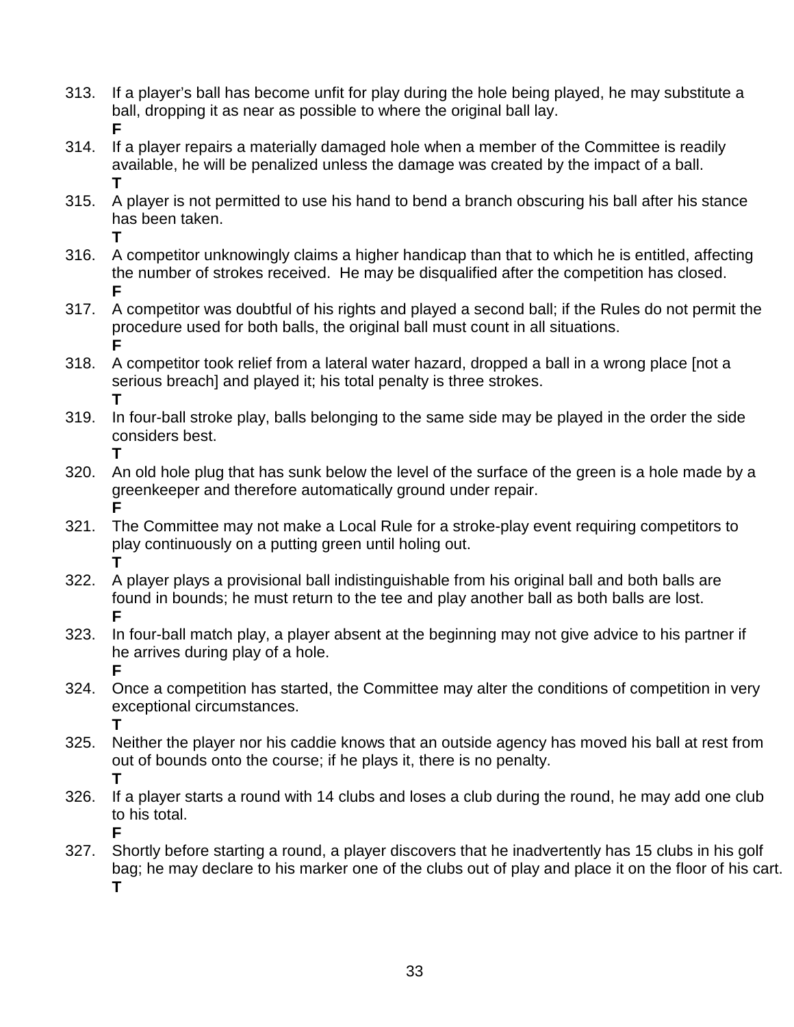- 313. If a player's ball has become unfit for play during the hole being played, he may substitute a ball, dropping it as near as possible to where the original ball lay. **F**
- 314. If a player repairs a materially damaged hole when a member of the Committee is readily available, he will be penalized unless the damage was created by the impact of a ball. **T**

**T**

- 315. A player is not permitted to use his hand to bend a branch obscuring his ball after his stance has been taken.
- 316. A competitor unknowingly claims a higher handicap than that to which he is entitled, affecting the number of strokes received. He may be disqualified after the competition has closed. **F**
- 317. A competitor was doubtful of his rights and played a second ball; if the Rules do not permit the procedure used for both balls, the original ball must count in all situations. **F**
- 318. A competitor took relief from a lateral water hazard, dropped a ball in a wrong place [not a serious breach] and played it; his total penalty is three strokes. **T**
- 319. In four-ball stroke play, balls belonging to the same side may be played in the order the side considers best. **T**
- 320. An old hole plug that has sunk below the level of the surface of the green is a hole made by a greenkeeper and therefore automatically ground under repair. **F**
- 321. The Committee may not make a Local Rule for a stroke-play event requiring competitors to play continuously on a putting green until holing out. **T**
- 322. A player plays a provisional ball indistinguishable from his original ball and both balls are found in bounds; he must return to the tee and play another ball as both balls are lost. **F**
- 323. In four-ball match play, a player absent at the beginning may not give advice to his partner if he arrives during play of a hole. **F**
- 324. Once a competition has started, the Committee may alter the conditions of competition in very exceptional circumstances. **T**
- 325. Neither the player nor his caddie knows that an outside agency has moved his ball at rest from out of bounds onto the course; if he plays it, there is no penalty. **T**
- 326. If a player starts a round with 14 clubs and loses a club during the round, he may add one club to his total. **F**
- 327. Shortly before starting a round, a player discovers that he inadvertently has 15 clubs in his golf bag; he may declare to his marker one of the clubs out of play and place it on the floor of his cart. **T**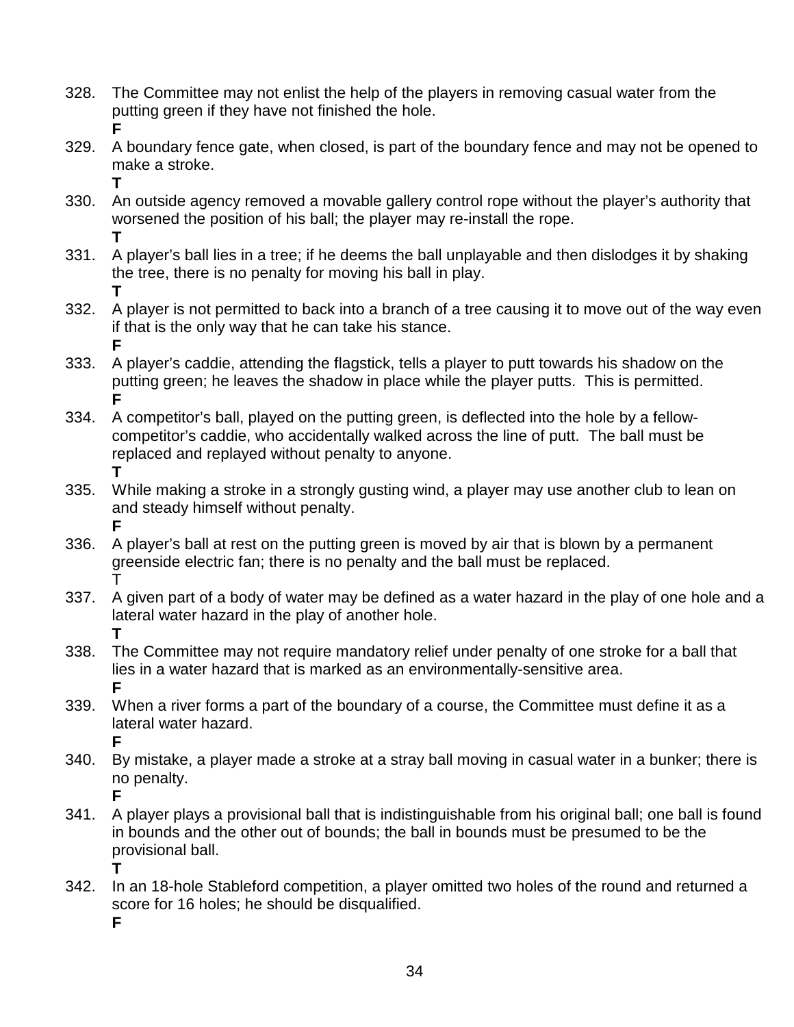- 328. The Committee may not enlist the help of the players in removing casual water from the putting green if they have not finished the hole. **F**
- 329. A boundary fence gate, when closed, is part of the boundary fence and may not be opened to make a stroke. **T**
- 330. An outside agency removed a movable gallery control rope without the player's authority that worsened the position of his ball; the player may re-install the rope. **T**
- 331. A player's ball lies in a tree; if he deems the ball unplayable and then dislodges it by shaking the tree, there is no penalty for moving his ball in play. **T**
- 332. A player is not permitted to back into a branch of a tree causing it to move out of the way even if that is the only way that he can take his stance. **F**
- 333. A player's caddie, attending the flagstick, tells a player to putt towards his shadow on the putting green; he leaves the shadow in place while the player putts. This is permitted. **F**
- 334. A competitor's ball, played on the putting green, is deflected into the hole by a fellowcompetitor's caddie, who accidentally walked across the line of putt. The ball must be replaced and replayed without penalty to anyone. **T**
- 335. While making a stroke in a strongly gusting wind, a player may use another club to lean on and steady himself without penalty. **F**
- 336. A player's ball at rest on the putting green is moved by air that is blown by a permanent greenside electric fan; there is no penalty and the ball must be replaced. T
- 337. A given part of a body of water may be defined as a water hazard in the play of one hole and a lateral water hazard in the play of another hole. **T**
- 338. The Committee may not require mandatory relief under penalty of one stroke for a ball that lies in a water hazard that is marked as an environmentally-sensitive area. **F**
- 339. When a river forms a part of the boundary of a course, the Committee must define it as a lateral water hazard. **F**
- 340. By mistake, a player made a stroke at a stray ball moving in casual water in a bunker; there is no penalty. **F**
- 341. A player plays a provisional ball that is indistinguishable from his original ball; one ball is found in bounds and the other out of bounds; the ball in bounds must be presumed to be the provisional ball. **T**
- 342. In an 18-hole Stableford competition, a player omitted two holes of the round and returned a score for 16 holes; he should be disqualified.

**F**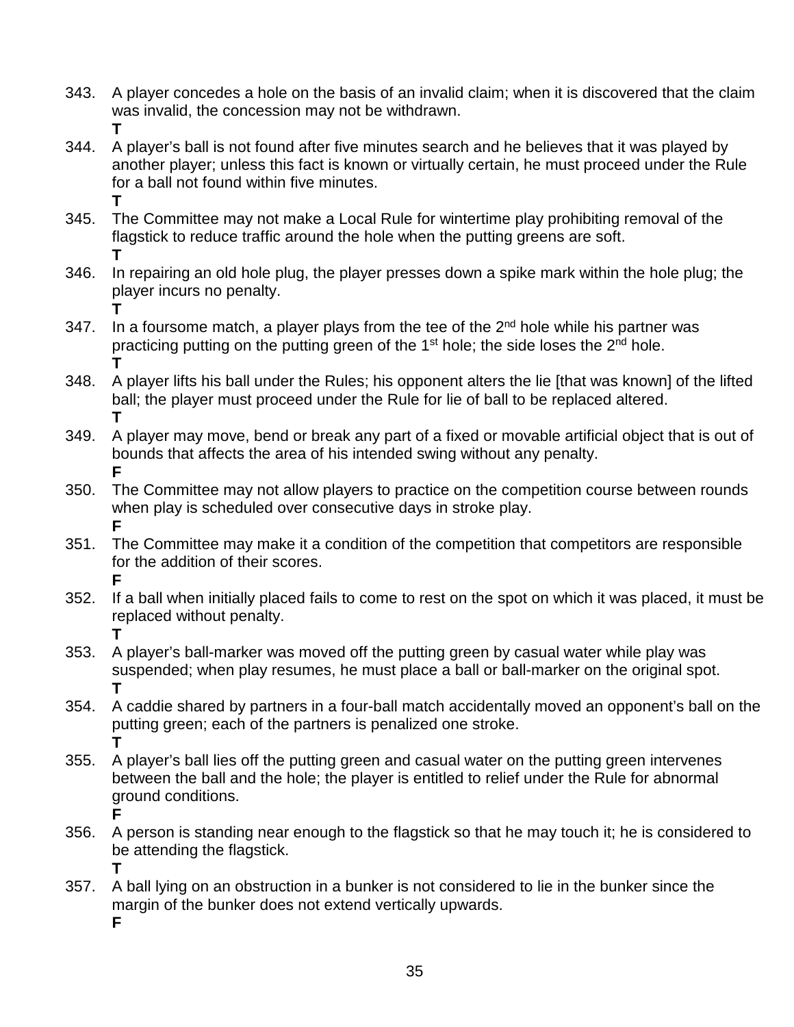- 343. A player concedes a hole on the basis of an invalid claim; when it is discovered that the claim was invalid, the concession may not be withdrawn. **T**
- 344. A player's ball is not found after five minutes search and he believes that it was played by another player; unless this fact is known or virtually certain, he must proceed under the Rule for a ball not found within five minutes. **T**
- 345. The Committee may not make a Local Rule for wintertime play prohibiting removal of the flagstick to reduce traffic around the hole when the putting greens are soft. **T**
- 346. In repairing an old hole plug, the player presses down a spike mark within the hole plug; the player incurs no penalty. **T**
- 347. In a foursome match, a player plays from the tee of the  $2<sup>nd</sup>$  hole while his partner was practicing putting on the putting green of the  $1<sup>st</sup>$  hole; the side loses the  $2<sup>nd</sup>$  hole. **T**
- 348. A player lifts his ball under the Rules; his opponent alters the lie [that was known] of the lifted ball; the player must proceed under the Rule for lie of ball to be replaced altered. **T**
- 349. A player may move, bend or break any part of a fixed or movable artificial object that is out of bounds that affects the area of his intended swing without any penalty. **F**
- 350. The Committee may not allow players to practice on the competition course between rounds when play is scheduled over consecutive days in stroke play. **F**
- 351. The Committee may make it a condition of the competition that competitors are responsible for the addition of their scores. **F**
- 352. If a ball when initially placed fails to come to rest on the spot on which it was placed, it must be replaced without penalty. **T**
- 353. A player's ball-marker was moved off the putting green by casual water while play was suspended; when play resumes, he must place a ball or ball-marker on the original spot. **T**
- 354. A caddie shared by partners in a four-ball match accidentally moved an opponent's ball on the putting green; each of the partners is penalized one stroke. **T**
- 355. A player's ball lies off the putting green and casual water on the putting green intervenes between the ball and the hole; the player is entitled to relief under the Rule for abnormal ground conditions. **F**
- 356. A person is standing near enough to the flagstick so that he may touch it; he is considered to be attending the flagstick.
	- **T**
	-
- 357. A ball lying on an obstruction in a bunker is not considered to lie in the bunker since the margin of the bunker does not extend vertically upwards.

**F**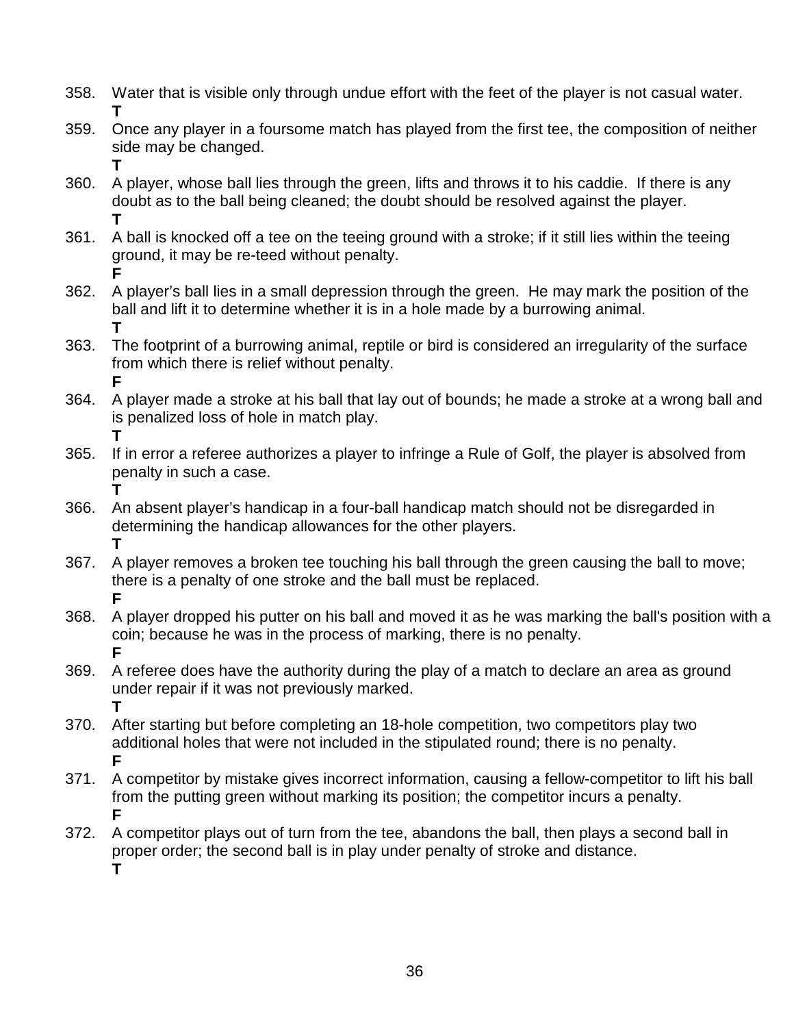- 358. Water that is visible only through undue effort with the feet of the player is not casual water. **T**
- 359. Once any player in a foursome match has played from the first tee, the composition of neither side may be changed.
- 360. A player, whose ball lies through the green, lifts and throws it to his caddie. If there is any doubt as to the ball being cleaned; the doubt should be resolved against the player. **T**
- 361. A ball is knocked off a tee on the teeing ground with a stroke; if it still lies within the teeing ground, it may be re-teed without penalty.
- **F** 362. A player's ball lies in a small depression through the green. He may mark the position of the ball and lift it to determine whether it is in a hole made by a burrowing animal. **T**
- 363. The footprint of a burrowing animal, reptile or bird is considered an irregularity of the surface from which there is relief without penalty. **F**
- 364. A player made a stroke at his ball that lay out of bounds; he made a stroke at a wrong ball and is penalized loss of hole in match play. **T**
- 365. If in error a referee authorizes a player to infringe a Rule of Golf, the player is absolved from penalty in such a case.
	- **T**

**T**

- 366. An absent player's handicap in a four-ball handicap match should not be disregarded in determining the handicap allowances for the other players. **T**
- 367. A player removes a broken tee touching his ball through the green causing the ball to move; there is a penalty of one stroke and the ball must be replaced. **F**
- 368. A player dropped his putter on his ball and moved it as he was marking the ball's position with a coin; because he was in the process of marking, there is no penalty. **F**
- 369. A referee does have the authority during the play of a match to declare an area as ground under repair if it was not previously marked. **T**
- 370. After starting but before completing an 18-hole competition, two competitors play two additional holes that were not included in the stipulated round; there is no penalty. **F**
- 371. A competitor by mistake gives incorrect information, causing a fellow-competitor to lift his ball from the putting green without marking its position; the competitor incurs a penalty. **F**
- 372. A competitor plays out of turn from the tee, abandons the ball, then plays a second ball in proper order; the second ball is in play under penalty of stroke and distance. **T**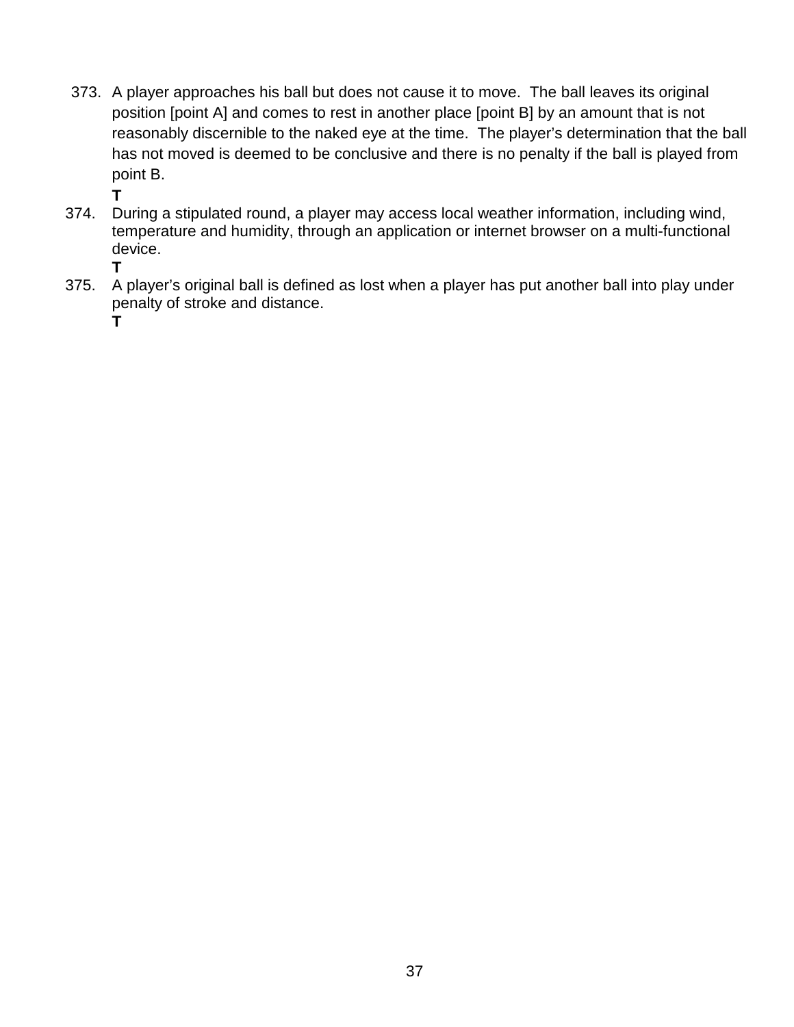373. A player approaches his ball but does not cause it to move. The ball leaves its original position [point A] and comes to rest in another place [point B] by an amount that is not reasonably discernible to the naked eye at the time. The player's determination that the ball has not moved is deemed to be conclusive and there is no penalty if the ball is played from point B.

**T**

- 374. During a stipulated round, a player may access local weather information, including wind, temperature and humidity, through an application or internet browser on a multi-functional device.
	- **T**
- 375. A player's original ball is defined as lost when a player has put another ball into play under penalty of stroke and distance.

**T**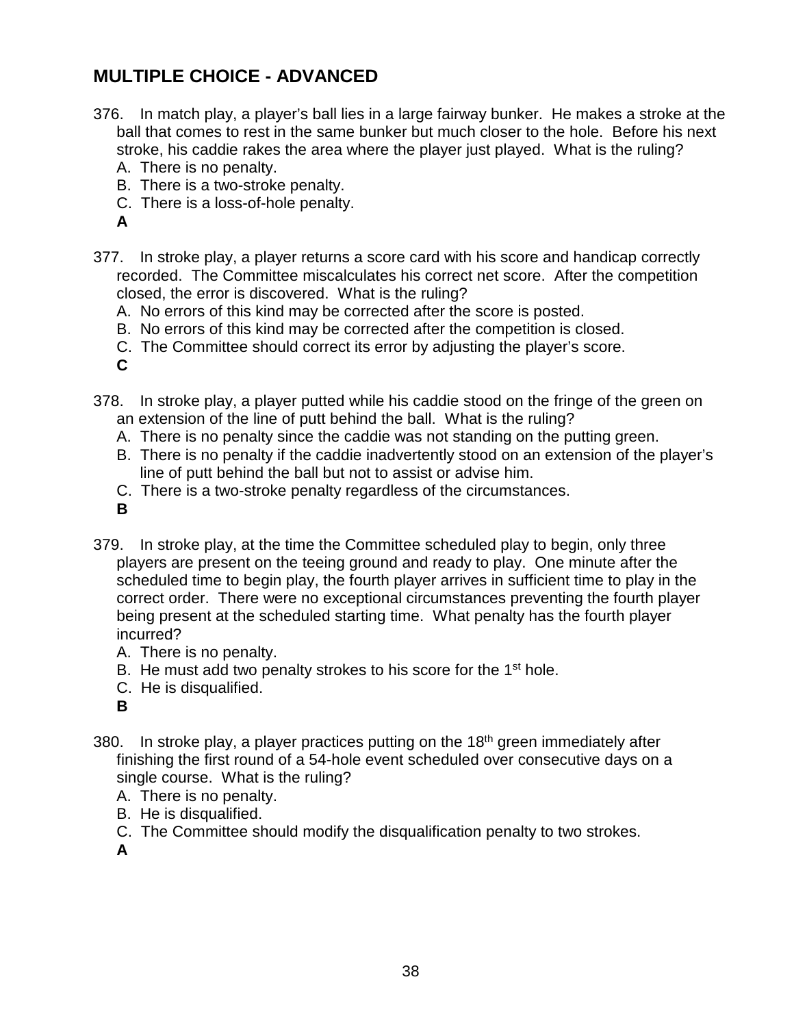#### **MULTIPLE CHOICE - ADVANCED**

- 376. In match play, a player's ball lies in a large fairway bunker. He makes a stroke at the ball that comes to rest in the same bunker but much closer to the hole. Before his next stroke, his caddie rakes the area where the player just played. What is the ruling?
	- A. There is no penalty.
	- B. There is a two-stroke penalty.
	- C. There is a loss-of-hole penalty.
	- **A**
- 377. In stroke play, a player returns a score card with his score and handicap correctly recorded. The Committee miscalculates his correct net score. After the competition closed, the error is discovered. What is the ruling?
	- A. No errors of this kind may be corrected after the score is posted.
	- B. No errors of this kind may be corrected after the competition is closed.
	- C. The Committee should correct its error by adjusting the player's score.

**C**

- 378. In stroke play, a player putted while his caddie stood on the fringe of the green on an extension of the line of putt behind the ball. What is the ruling?
	- A. There is no penalty since the caddie was not standing on the putting green.
	- B. There is no penalty if the caddie inadvertently stood on an extension of the player's line of putt behind the ball but not to assist or advise him.
	- C. There is a two-stroke penalty regardless of the circumstances.
	- **B**
- 379. In stroke play, at the time the Committee scheduled play to begin, only three players are present on the teeing ground and ready to play. One minute after the scheduled time to begin play, the fourth player arrives in sufficient time to play in the correct order. There were no exceptional circumstances preventing the fourth player being present at the scheduled starting time. What penalty has the fourth player incurred?
	- A. There is no penalty.
	- B. He must add two penalty strokes to his score for the 1<sup>st</sup> hole.
	- C. He is disqualified.
	- **B**
- 380. In stroke play, a player practices putting on the  $18<sup>th</sup>$  green immediately after finishing the first round of a 54-hole event scheduled over consecutive days on a single course. What is the ruling?
	- A. There is no penalty.
	- B. He is disqualified.
	- C. The Committee should modify the disqualification penalty to two strokes.

**A**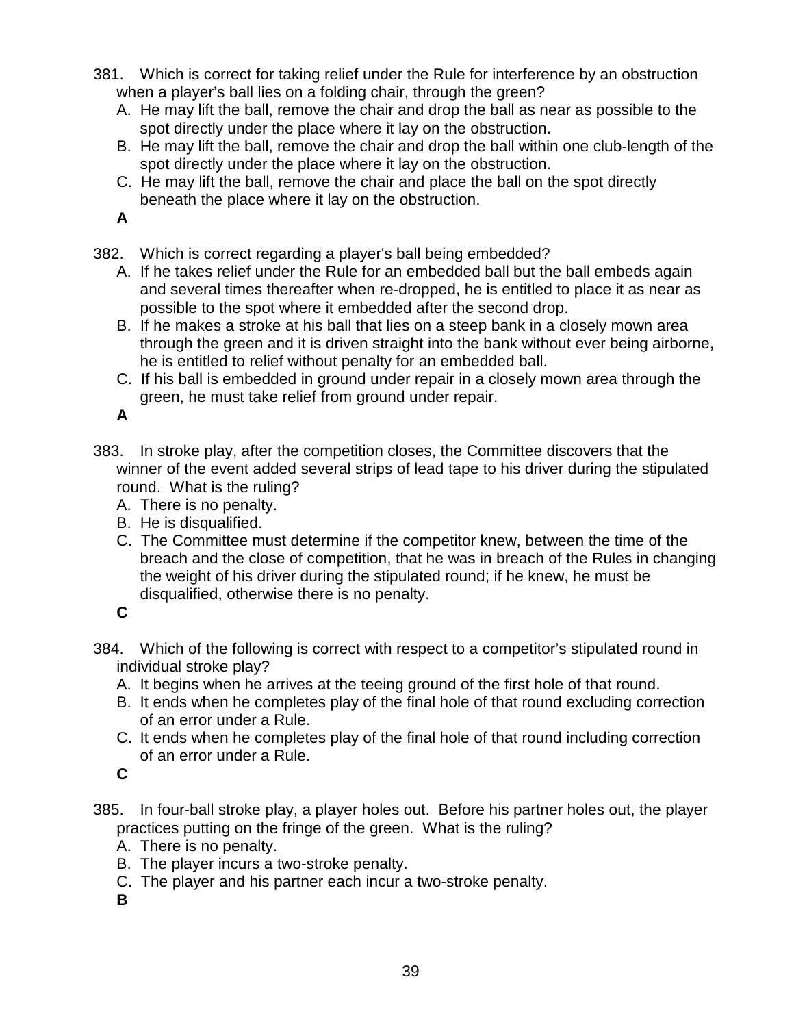- 381. Which is correct for taking relief under the Rule for interference by an obstruction when a player's ball lies on a folding chair, through the green?
	- A. He may lift the ball, remove the chair and drop the ball as near as possible to the spot directly under the place where it lay on the obstruction.
	- B. He may lift the ball, remove the chair and drop the ball within one club-length of the spot directly under the place where it lay on the obstruction.
	- C. He may lift the ball, remove the chair and place the ball on the spot directly beneath the place where it lay on the obstruction.

- 382. Which is correct regarding a player's ball being embedded?
	- A. If he takes relief under the Rule for an embedded ball but the ball embeds again and several times thereafter when re-dropped, he is entitled to place it as near as possible to the spot where it embedded after the second drop.
	- B. If he makes a stroke at his ball that lies on a steep bank in a closely mown area through the green and it is driven straight into the bank without ever being airborne, he is entitled to relief without penalty for an embedded ball.
	- C. If his ball is embedded in ground under repair in a closely mown area through the green, he must take relief from ground under repair.

**A**

- 383. In stroke play, after the competition closes, the Committee discovers that the winner of the event added several strips of lead tape to his driver during the stipulated round. What is the ruling?
	- A. There is no penalty.
	- B. He is disqualified.
	- C. The Committee must determine if the competitor knew, between the time of the breach and the close of competition, that he was in breach of the Rules in changing the weight of his driver during the stipulated round; if he knew, he must be disqualified, otherwise there is no penalty.

**C**

- 384. Which of the following is correct with respect to a competitor's stipulated round in individual stroke play?
	- A. It begins when he arrives at the teeing ground of the first hole of that round.
	- B. It ends when he completes play of the final hole of that round excluding correction of an error under a Rule.
	- C. It ends when he completes play of the final hole of that round including correction of an error under a Rule.

**C**

- 385. In four-ball stroke play, a player holes out. Before his partner holes out, the player practices putting on the fringe of the green. What is the ruling?
	- A. There is no penalty.
	- B. The player incurs a two-stroke penalty.
	- C. The player and his partner each incur a two-stroke penalty.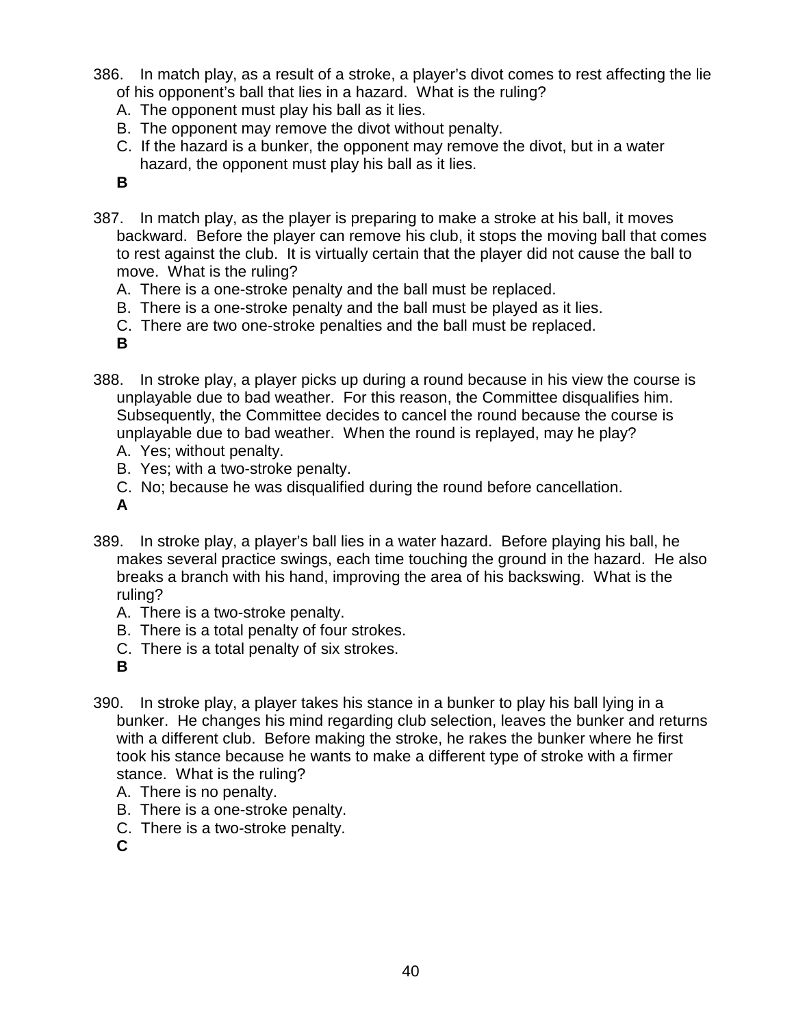- 386. In match play, as a result of a stroke, a player's divot comes to rest affecting the lie of his opponent's ball that lies in a hazard. What is the ruling?
	- A. The opponent must play his ball as it lies.
	- B. The opponent may remove the divot without penalty.
	- C. If the hazard is a bunker, the opponent may remove the divot, but in a water hazard, the opponent must play his ball as it lies.
	- **B**
- 387. In match play, as the player is preparing to make a stroke at his ball, it moves backward. Before the player can remove his club, it stops the moving ball that comes to rest against the club. It is virtually certain that the player did not cause the ball to move. What is the ruling?
	- A. There is a one-stroke penalty and the ball must be replaced.
	- B. There is a one-stroke penalty and the ball must be played as it lies.
	- C. There are two one-stroke penalties and the ball must be replaced.
	- **B**
- 388. In stroke play, a player picks up during a round because in his view the course is unplayable due to bad weather. For this reason, the Committee disqualifies him. Subsequently, the Committee decides to cancel the round because the course is unplayable due to bad weather. When the round is replayed, may he play?
	- A. Yes; without penalty.
	- B. Yes; with a two-stroke penalty.
	- C. No; because he was disqualified during the round before cancellation.
	- **A**
- 389. In stroke play, a player's ball lies in a water hazard. Before playing his ball, he makes several practice swings, each time touching the ground in the hazard. He also breaks a branch with his hand, improving the area of his backswing. What is the ruling?
	- A. There is a two-stroke penalty.
	- B. There is a total penalty of four strokes.
	- C. There is a total penalty of six strokes.
	- **B**
- 390. In stroke play, a player takes his stance in a bunker to play his ball lying in a bunker. He changes his mind regarding club selection, leaves the bunker and returns with a different club. Before making the stroke, he rakes the bunker where he first took his stance because he wants to make a different type of stroke with a firmer stance. What is the ruling?
	- A. There is no penalty.
	- B. There is a one-stroke penalty.
	- C. There is a two-stroke penalty.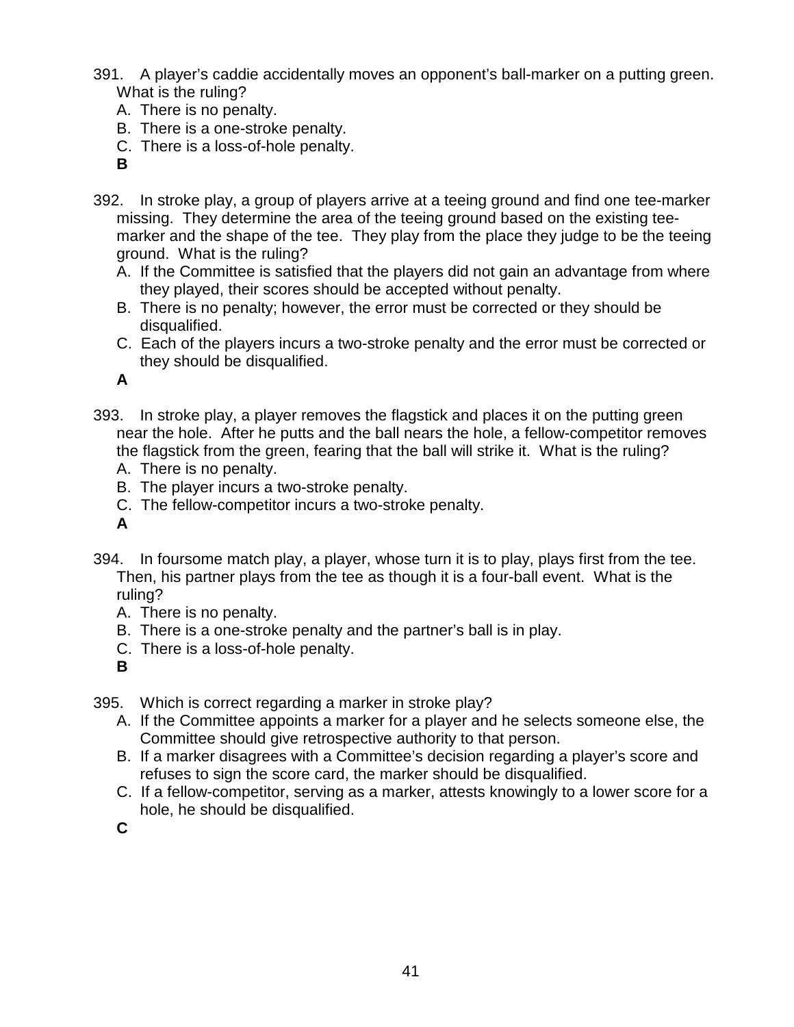- 391. A player's caddie accidentally moves an opponent's ball-marker on a putting green. What is the ruling?
	- A. There is no penalty.
	- B. There is a one-stroke penalty.
	- C. There is a loss-of-hole penalty.
	- **B**
- 392. In stroke play, a group of players arrive at a teeing ground and find one tee-marker missing. They determine the area of the teeing ground based on the existing teemarker and the shape of the tee. They play from the place they judge to be the teeing ground. What is the ruling?
	- A. If the Committee is satisfied that the players did not gain an advantage from where they played, their scores should be accepted without penalty.
	- B. There is no penalty; however, the error must be corrected or they should be disqualified.
	- C. Each of the players incurs a two-stroke penalty and the error must be corrected or they should be disqualified.

- 393. In stroke play, a player removes the flagstick and places it on the putting green near the hole. After he putts and the ball nears the hole, a fellow-competitor removes the flagstick from the green, fearing that the ball will strike it. What is the ruling?
	- A. There is no penalty.
	- B. The player incurs a two-stroke penalty.
	- C. The fellow-competitor incurs a two-stroke penalty.
	- **A**
- 394. In foursome match play, a player, whose turn it is to play, plays first from the tee. Then, his partner plays from the tee as though it is a four-ball event. What is the ruling?
	- A. There is no penalty.
	- B. There is a one-stroke penalty and the partner's ball is in play.
	- C. There is a loss-of-hole penalty.
	- **B**

395. Which is correct regarding a marker in stroke play?

- A. If the Committee appoints a marker for a player and he selects someone else, the Committee should give retrospective authority to that person.
- B. If a marker disagrees with a Committee's decision regarding a player's score and refuses to sign the score card, the marker should be disqualified.
- C. If a fellow-competitor, serving as a marker, attests knowingly to a lower score for a hole, he should be disqualified.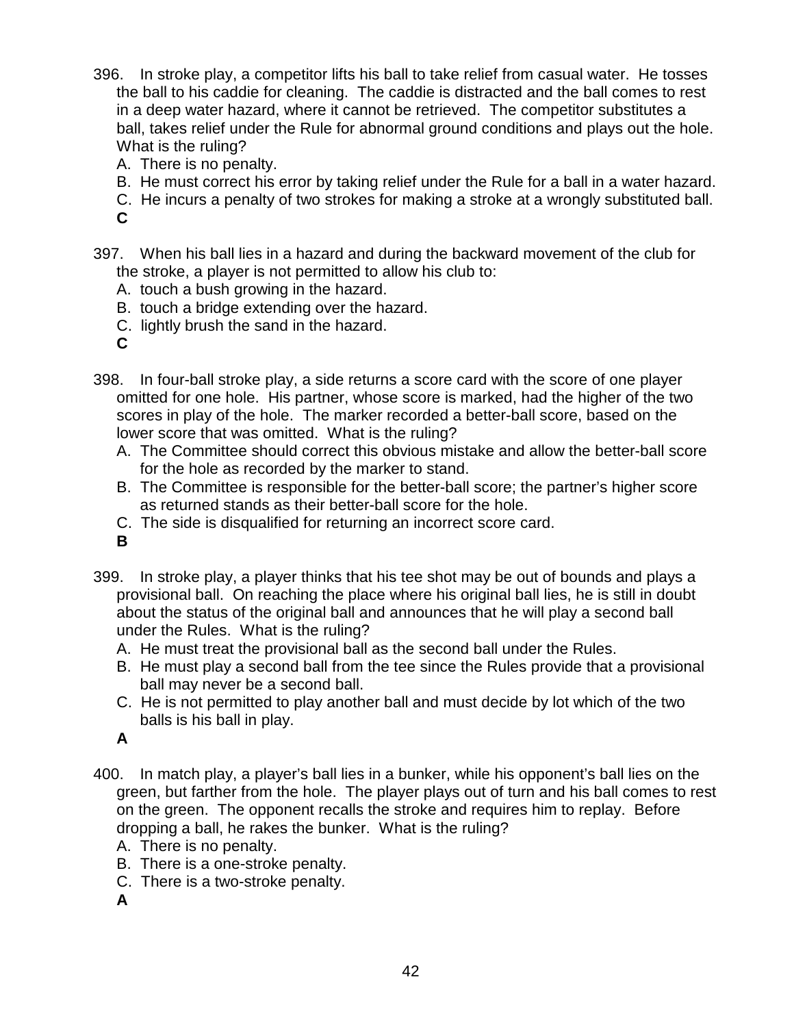- 396. In stroke play, a competitor lifts his ball to take relief from casual water. He tosses the ball to his caddie for cleaning. The caddie is distracted and the ball comes to rest in a deep water hazard, where it cannot be retrieved. The competitor substitutes a ball, takes relief under the Rule for abnormal ground conditions and plays out the hole. What is the ruling?
	- A. There is no penalty.
	- B. He must correct his error by taking relief under the Rule for a ball in a water hazard.
	- C. He incurs a penalty of two strokes for making a stroke at a wrongly substituted ball.
	- **C**
- 397. When his ball lies in a hazard and during the backward movement of the club for the stroke, a player is not permitted to allow his club to:
	- A. touch a bush growing in the hazard.
	- B. touch a bridge extending over the hazard.
	- C. lightly brush the sand in the hazard.
	- **C**
- 398. In four-ball stroke play, a side returns a score card with the score of one player omitted for one hole. His partner, whose score is marked, had the higher of the two scores in play of the hole. The marker recorded a better-ball score, based on the lower score that was omitted. What is the ruling?
	- A. The Committee should correct this obvious mistake and allow the better-ball score for the hole as recorded by the marker to stand.
	- B. The Committee is responsible for the better-ball score; the partner's higher score as returned stands as their better-ball score for the hole.
	- C. The side is disqualified for returning an incorrect score card.
	- **B**
- 399. In stroke play, a player thinks that his tee shot may be out of bounds and plays a provisional ball. On reaching the place where his original ball lies, he is still in doubt about the status of the original ball and announces that he will play a second ball under the Rules. What is the ruling?
	- A. He must treat the provisional ball as the second ball under the Rules.
	- B. He must play a second ball from the tee since the Rules provide that a provisional ball may never be a second ball.
	- C. He is not permitted to play another ball and must decide by lot which of the two balls is his ball in play.
	- **A**
- 400. In match play, a player's ball lies in a bunker, while his opponent's ball lies on the green, but farther from the hole. The player plays out of turn and his ball comes to rest on the green. The opponent recalls the stroke and requires him to replay. Before dropping a ball, he rakes the bunker. What is the ruling?
	- A. There is no penalty.
	- B. There is a one-stroke penalty.
	- C. There is a two-stroke penalty.
	- **A**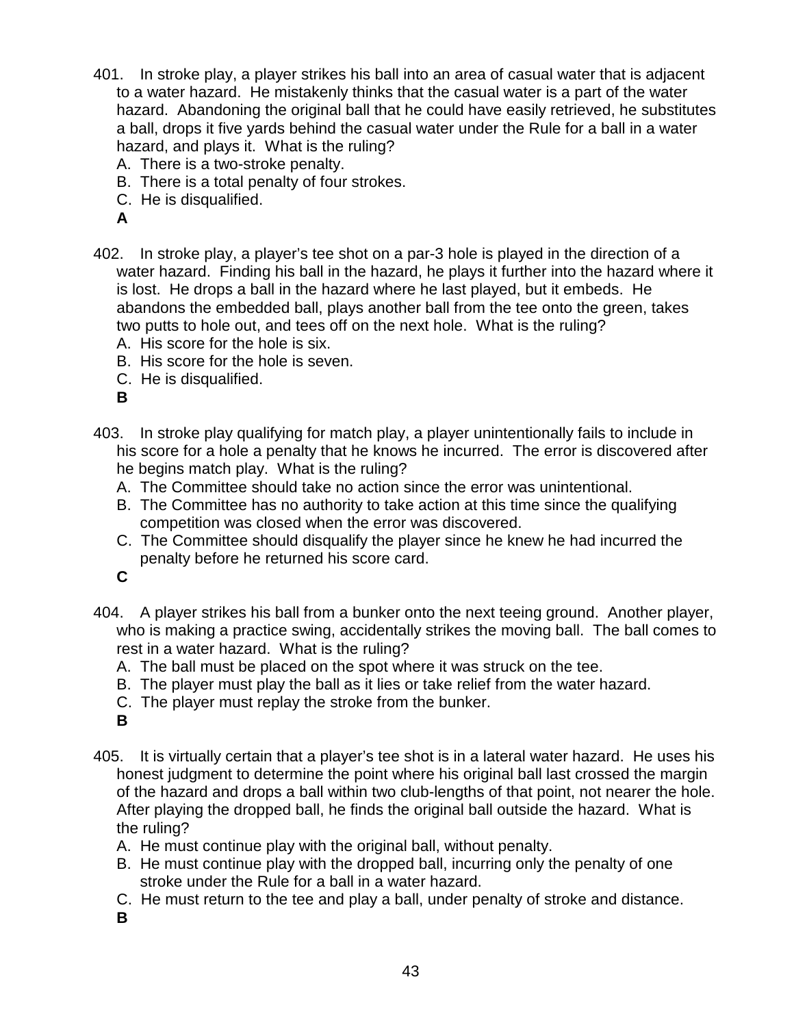- 401. In stroke play, a player strikes his ball into an area of casual water that is adjacent to a water hazard. He mistakenly thinks that the casual water is a part of the water hazard. Abandoning the original ball that he could have easily retrieved, he substitutes a ball, drops it five yards behind the casual water under the Rule for a ball in a water hazard, and plays it. What is the ruling?
	- A. There is a two-stroke penalty.
	- B. There is a total penalty of four strokes.
	- C. He is disqualified.
	- **A**
- 402. In stroke play, a player's tee shot on a par-3 hole is played in the direction of a water hazard. Finding his ball in the hazard, he plays it further into the hazard where it is lost. He drops a ball in the hazard where he last played, but it embeds. He abandons the embedded ball, plays another ball from the tee onto the green, takes two putts to hole out, and tees off on the next hole. What is the ruling?
	- A. His score for the hole is six.
	- B. His score for the hole is seven.
	- C. He is disqualified.

- 403. In stroke play qualifying for match play, a player unintentionally fails to include in his score for a hole a penalty that he knows he incurred. The error is discovered after he begins match play. What is the ruling?
	- A. The Committee should take no action since the error was unintentional.
	- B. The Committee has no authority to take action at this time since the qualifying competition was closed when the error was discovered.
	- C. The Committee should disqualify the player since he knew he had incurred the penalty before he returned his score card.

**C**

- 404. A player strikes his ball from a bunker onto the next teeing ground. Another player, who is making a practice swing, accidentally strikes the moving ball. The ball comes to rest in a water hazard. What is the ruling?
	- A. The ball must be placed on the spot where it was struck on the tee.
	- B. The player must play the ball as it lies or take relief from the water hazard.
	- C. The player must replay the stroke from the bunker.
	- **B**
- 405. It is virtually certain that a player's tee shot is in a lateral water hazard. He uses his honest judgment to determine the point where his original ball last crossed the margin of the hazard and drops a ball within two club-lengths of that point, not nearer the hole. After playing the dropped ball, he finds the original ball outside the hazard. What is the ruling?
	- A. He must continue play with the original ball, without penalty.
	- B. He must continue play with the dropped ball, incurring only the penalty of one stroke under the Rule for a ball in a water hazard.
	- C. He must return to the tee and play a ball, under penalty of stroke and distance.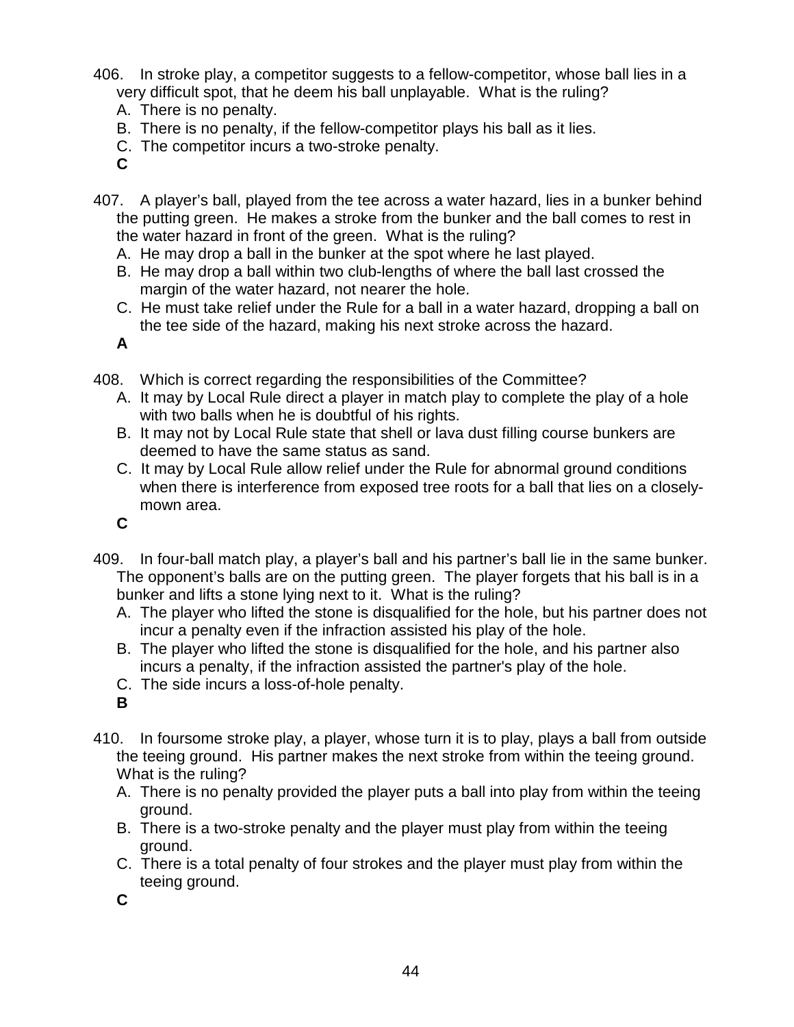406. In stroke play, a competitor suggests to a fellow-competitor, whose ball lies in a very difficult spot, that he deem his ball unplayable. What is the ruling?

- A. There is no penalty.
- B. There is no penalty, if the fellow-competitor plays his ball as it lies.
- C. The competitor incurs a two-stroke penalty.
- **C**
- 407. A player's ball, played from the tee across a water hazard, lies in a bunker behind the putting green. He makes a stroke from the bunker and the ball comes to rest in the water hazard in front of the green. What is the ruling?
	- A. He may drop a ball in the bunker at the spot where he last played.
	- B. He may drop a ball within two club-lengths of where the ball last crossed the margin of the water hazard, not nearer the hole.
	- C. He must take relief under the Rule for a ball in a water hazard, dropping a ball on the tee side of the hazard, making his next stroke across the hazard.

**A**

- 408. Which is correct regarding the responsibilities of the Committee?
	- A. It may by Local Rule direct a player in match play to complete the play of a hole with two balls when he is doubtful of his rights.
	- B. It may not by Local Rule state that shell or lava dust filling course bunkers are deemed to have the same status as sand.
	- C. It may by Local Rule allow relief under the Rule for abnormal ground conditions when there is interference from exposed tree roots for a ball that lies on a closelymown area.
	- **C**
- 409. In four-ball match play, a player's ball and his partner's ball lie in the same bunker. The opponent's balls are on the putting green. The player forgets that his ball is in a bunker and lifts a stone lying next to it. What is the ruling?
	- A. The player who lifted the stone is disqualified for the hole, but his partner does not incur a penalty even if the infraction assisted his play of the hole.
	- B. The player who lifted the stone is disqualified for the hole, and his partner also incurs a penalty, if the infraction assisted the partner's play of the hole.
	- C. The side incurs a loss-of-hole penalty.
	- **B**
- 410. In foursome stroke play, a player, whose turn it is to play, plays a ball from outside the teeing ground. His partner makes the next stroke from within the teeing ground. What is the ruling?
	- A. There is no penalty provided the player puts a ball into play from within the teeing ground.
	- B. There is a two-stroke penalty and the player must play from within the teeing ground.
	- C. There is a total penalty of four strokes and the player must play from within the teeing ground.
	- **C**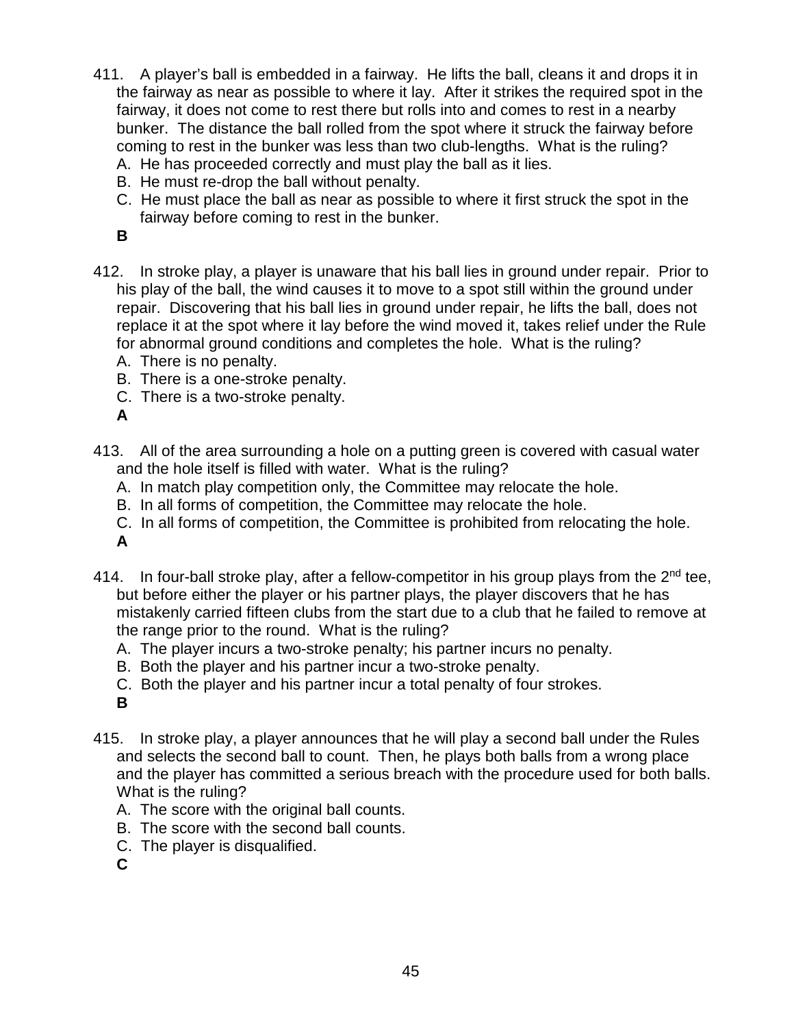- 411. A player's ball is embedded in a fairway. He lifts the ball, cleans it and drops it in the fairway as near as possible to where it lay. After it strikes the required spot in the fairway, it does not come to rest there but rolls into and comes to rest in a nearby bunker. The distance the ball rolled from the spot where it struck the fairway before coming to rest in the bunker was less than two club-lengths. What is the ruling? A. He has proceeded correctly and must play the ball as it lies.
	-
	- B. He must re-drop the ball without penalty.
	- C. He must place the ball as near as possible to where it first struck the spot in the fairway before coming to rest in the bunker.
	- **B**
- 412. In stroke play, a player is unaware that his ball lies in ground under repair. Prior to his play of the ball, the wind causes it to move to a spot still within the ground under repair. Discovering that his ball lies in ground under repair, he lifts the ball, does not replace it at the spot where it lay before the wind moved it, takes relief under the Rule for abnormal ground conditions and completes the hole. What is the ruling?
	- A. There is no penalty.
	- B. There is a one-stroke penalty.
	- C. There is a two-stroke penalty.

- 413. All of the area surrounding a hole on a putting green is covered with casual water and the hole itself is filled with water. What is the ruling?
	- A. In match play competition only, the Committee may relocate the hole.
	- B. In all forms of competition, the Committee may relocate the hole.
	- C. In all forms of competition, the Committee is prohibited from relocating the hole.

**A**

- 414. In four-ball stroke play, after a fellow-competitor in his group plays from the  $2<sup>nd</sup>$  tee, but before either the player or his partner plays, the player discovers that he has mistakenly carried fifteen clubs from the start due to a club that he failed to remove at the range prior to the round. What is the ruling?
	- A. The player incurs a two-stroke penalty; his partner incurs no penalty.
	- B. Both the player and his partner incur a two-stroke penalty.
	- C. Both the player and his partner incur a total penalty of four strokes.

**B**

- 415. In stroke play, a player announces that he will play a second ball under the Rules and selects the second ball to count. Then, he plays both balls from a wrong place and the player has committed a serious breach with the procedure used for both balls. What is the ruling?
	- A. The score with the original ball counts.
	- B. The score with the second ball counts.
	- C. The player is disqualified.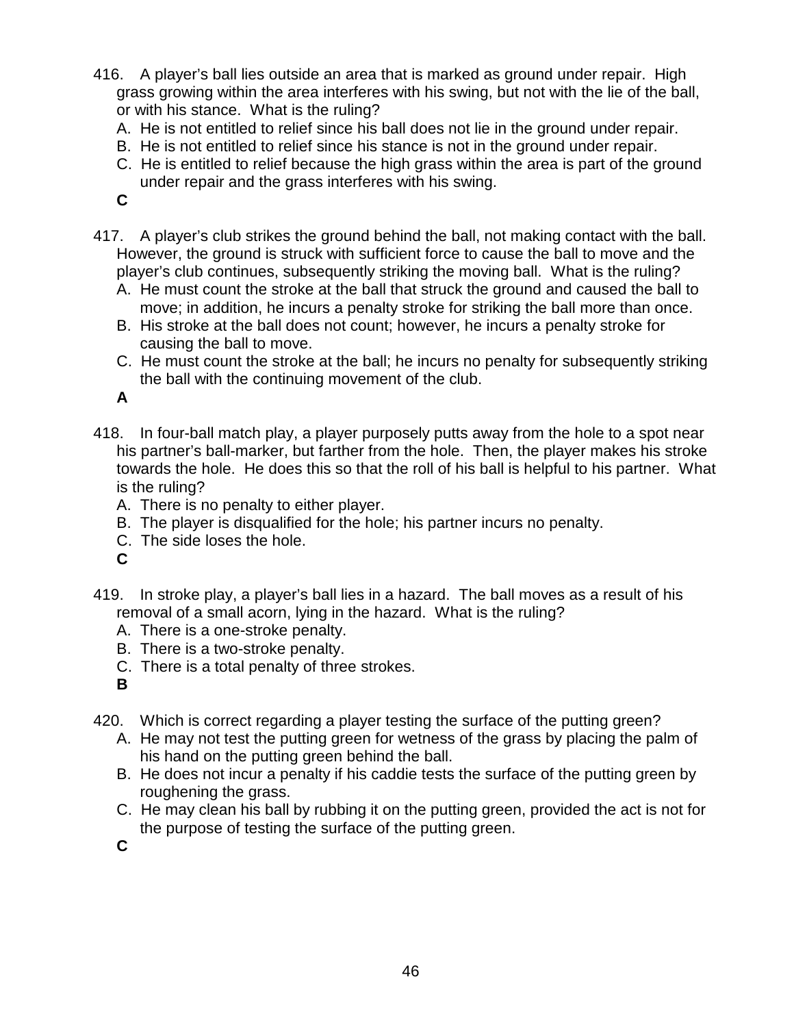- 416. A player's ball lies outside an area that is marked as ground under repair. High grass growing within the area interferes with his swing, but not with the lie of the ball, or with his stance. What is the ruling?
	- A. He is not entitled to relief since his ball does not lie in the ground under repair.
	- B. He is not entitled to relief since his stance is not in the ground under repair.
	- C. He is entitled to relief because the high grass within the area is part of the ground under repair and the grass interferes with his swing.
	- **C**
- 417. A player's club strikes the ground behind the ball, not making contact with the ball. However, the ground is struck with sufficient force to cause the ball to move and the player's club continues, subsequently striking the moving ball. What is the ruling?
	- A. He must count the stroke at the ball that struck the ground and caused the ball to move; in addition, he incurs a penalty stroke for striking the ball more than once.
	- B. His stroke at the ball does not count; however, he incurs a penalty stroke for causing the ball to move.
	- C. He must count the stroke at the ball; he incurs no penalty for subsequently striking the ball with the continuing movement of the club.

- 418. In four-ball match play, a player purposely putts away from the hole to a spot near his partner's ball-marker, but farther from the hole. Then, the player makes his stroke towards the hole. He does this so that the roll of his ball is helpful to his partner. What is the ruling?
	- A. There is no penalty to either player.
	- B. The player is disqualified for the hole; his partner incurs no penalty.
	- C. The side loses the hole.
	- **C**
- 419. In stroke play, a player's ball lies in a hazard. The ball moves as a result of his removal of a small acorn, lying in the hazard. What is the ruling?
	- A. There is a one-stroke penalty.
	- B. There is a two-stroke penalty.
	- C. There is a total penalty of three strokes.

**B**

- 420. Which is correct regarding a player testing the surface of the putting green?
	- A. He may not test the putting green for wetness of the grass by placing the palm of his hand on the putting green behind the ball.
	- B. He does not incur a penalty if his caddie tests the surface of the putting green by roughening the grass.
	- C. He may clean his ball by rubbing it on the putting green, provided the act is not for the purpose of testing the surface of the putting green.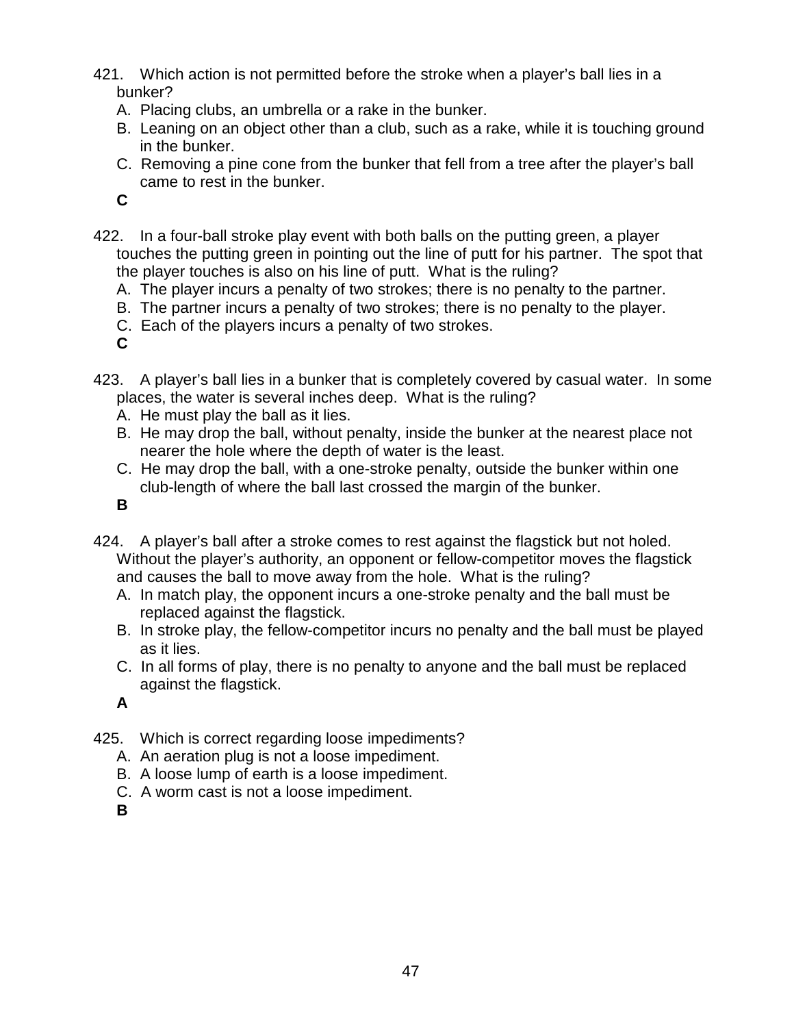- 421. Which action is not permitted before the stroke when a player's ball lies in a bunker?
	- A. Placing clubs, an umbrella or a rake in the bunker.
	- B. Leaning on an object other than a club, such as a rake, while it is touching ground in the bunker.
	- C. Removing a pine cone from the bunker that fell from a tree after the player's ball came to rest in the bunker.

- 422. In a four-ball stroke play event with both balls on the putting green, a player touches the putting green in pointing out the line of putt for his partner. The spot that the player touches is also on his line of putt. What is the ruling?
	- A. The player incurs a penalty of two strokes; there is no penalty to the partner.
	- B. The partner incurs a penalty of two strokes; there is no penalty to the player.
	- C. Each of the players incurs a penalty of two strokes.

**C**

- 423. A player's ball lies in a bunker that is completely covered by casual water. In some places, the water is several inches deep. What is the ruling?
	- A. He must play the ball as it lies.
	- B. He may drop the ball, without penalty, inside the bunker at the nearest place not nearer the hole where the depth of water is the least.
	- C. He may drop the ball, with a one-stroke penalty, outside the bunker within one club-length of where the ball last crossed the margin of the bunker.

**B**

- 424. A player's ball after a stroke comes to rest against the flagstick but not holed. Without the player's authority, an opponent or fellow-competitor moves the flagstick and causes the ball to move away from the hole. What is the ruling?
	- A. In match play, the opponent incurs a one-stroke penalty and the ball must be replaced against the flagstick.
	- B. In stroke play, the fellow-competitor incurs no penalty and the ball must be played as it lies.
	- C. In all forms of play, there is no penalty to anyone and the ball must be replaced against the flagstick.

**A**

- 425. Which is correct regarding loose impediments?
	- A. An aeration plug is not a loose impediment.
	- B. A loose lump of earth is a loose impediment.
	- C. A worm cast is not a loose impediment.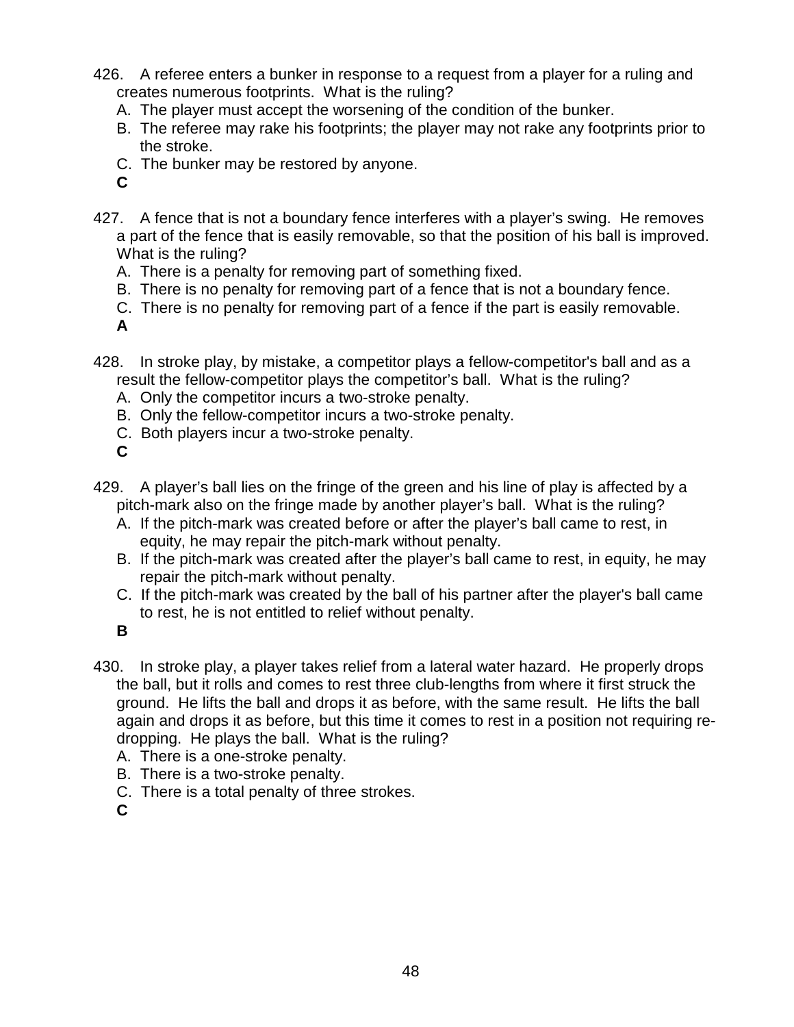- 426. A referee enters a bunker in response to a request from a player for a ruling and creates numerous footprints. What is the ruling?
	- A. The player must accept the worsening of the condition of the bunker.
	- B. The referee may rake his footprints; the player may not rake any footprints prior to the stroke.
	- C. The bunker may be restored by anyone.
	- **C**
- 427. A fence that is not a boundary fence interferes with a player's swing. He removes a part of the fence that is easily removable, so that the position of his ball is improved. What is the ruling?
	- A. There is a penalty for removing part of something fixed.
	- B. There is no penalty for removing part of a fence that is not a boundary fence.
	- C. There is no penalty for removing part of a fence if the part is easily removable.
	- **A**
- 428. In stroke play, by mistake, a competitor plays a fellow-competitor's ball and as a result the fellow-competitor plays the competitor's ball. What is the ruling?
	- A. Only the competitor incurs a two-stroke penalty.
	- B. Only the fellow-competitor incurs a two-stroke penalty.
	- C. Both players incur a two-stroke penalty.
	- **C**
- 429. A player's ball lies on the fringe of the green and his line of play is affected by a pitch-mark also on the fringe made by another player's ball. What is the ruling?
	- A. If the pitch-mark was created before or after the player's ball came to rest, in equity, he may repair the pitch-mark without penalty.
	- B. If the pitch-mark was created after the player's ball came to rest, in equity, he may repair the pitch-mark without penalty.
	- C. If the pitch-mark was created by the ball of his partner after the player's ball came to rest, he is not entitled to relief without penalty.
	- **B**
- 430. In stroke play, a player takes relief from a lateral water hazard. He properly drops the ball, but it rolls and comes to rest three club-lengths from where it first struck the ground. He lifts the ball and drops it as before, with the same result. He lifts the ball again and drops it as before, but this time it comes to rest in a position not requiring redropping. He plays the ball. What is the ruling?
	- A. There is a one-stroke penalty.
	- B. There is a two-stroke penalty.
	- C. There is a total penalty of three strokes.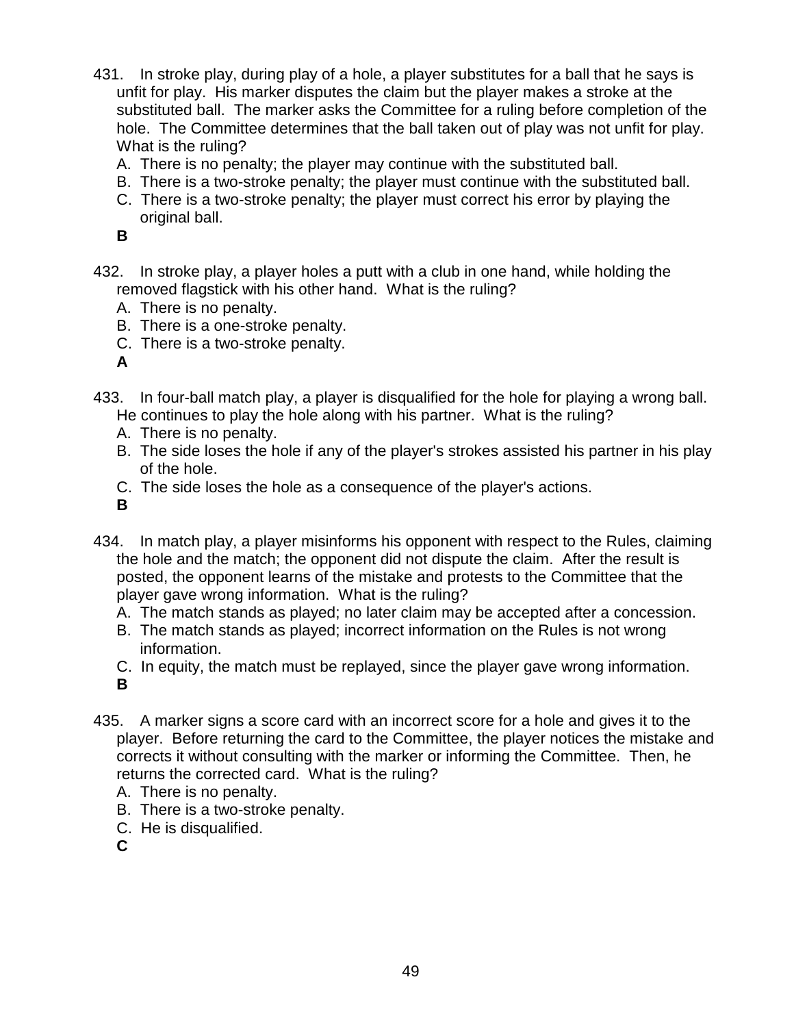- 431. In stroke play, during play of a hole, a player substitutes for a ball that he says is unfit for play. His marker disputes the claim but the player makes a stroke at the substituted ball. The marker asks the Committee for a ruling before completion of the hole. The Committee determines that the ball taken out of play was not unfit for play. What is the ruling?
	- A. There is no penalty; the player may continue with the substituted ball.
	- B. There is a two-stroke penalty; the player must continue with the substituted ball.
	- C. There is a two-stroke penalty; the player must correct his error by playing the original ball.

- 432. In stroke play, a player holes a putt with a club in one hand, while holding the removed flagstick with his other hand. What is the ruling?
	- A. There is no penalty.
	- B. There is a one-stroke penalty.
	- C. There is a two-stroke penalty.

**A**

- 433. In four-ball match play, a player is disqualified for the hole for playing a wrong ball. He continues to play the hole along with his partner. What is the ruling?
	- A. There is no penalty.
	- B. The side loses the hole if any of the player's strokes assisted his partner in his play of the hole.
	- C. The side loses the hole as a consequence of the player's actions.

**B**

- 434. In match play, a player misinforms his opponent with respect to the Rules, claiming the hole and the match; the opponent did not dispute the claim. After the result is posted, the opponent learns of the mistake and protests to the Committee that the player gave wrong information. What is the ruling?
	- A. The match stands as played; no later claim may be accepted after a concession.
	- B. The match stands as played; incorrect information on the Rules is not wrong information.
	- C. In equity, the match must be replayed, since the player gave wrong information. **B**
- 435. A marker signs a score card with an incorrect score for a hole and gives it to the player. Before returning the card to the Committee, the player notices the mistake and corrects it without consulting with the marker or informing the Committee. Then, he returns the corrected card. What is the ruling?
	- A. There is no penalty.
	- B. There is a two-stroke penalty.
	- C. He is disqualified.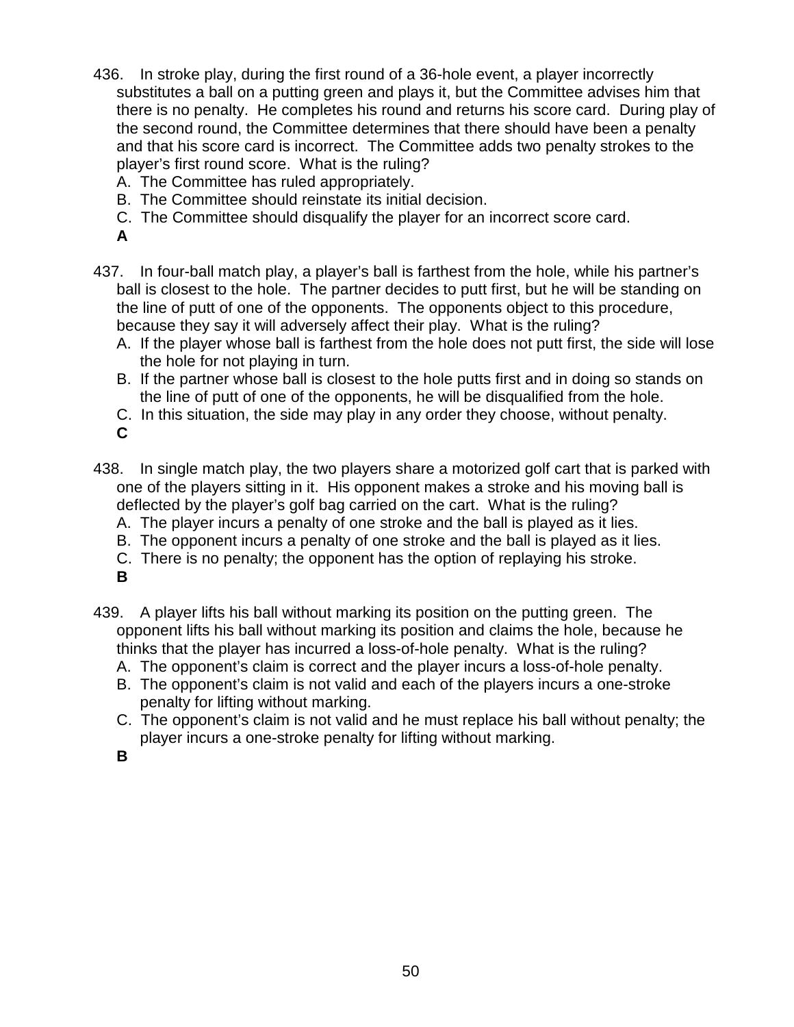- 436. In stroke play, during the first round of a 36-hole event, a player incorrectly substitutes a ball on a putting green and plays it, but the Committee advises him that there is no penalty. He completes his round and returns his score card. During play of the second round, the Committee determines that there should have been a penalty and that his score card is incorrect. The Committee adds two penalty strokes to the player's first round score. What is the ruling?
	- A. The Committee has ruled appropriately.
	- B. The Committee should reinstate its initial decision.
	- C. The Committee should disqualify the player for an incorrect score card.
	- **A**
- 437. In four-ball match play, a player's ball is farthest from the hole, while his partner's ball is closest to the hole. The partner decides to putt first, but he will be standing on the line of putt of one of the opponents. The opponents object to this procedure, because they say it will adversely affect their play. What is the ruling?
	- A. If the player whose ball is farthest from the hole does not putt first, the side will lose the hole for not playing in turn.
	- B. If the partner whose ball is closest to the hole putts first and in doing so stands on the line of putt of one of the opponents, he will be disqualified from the hole.
	- C. In this situation, the side may play in any order they choose, without penalty.
	- **C**
- 438. In single match play, the two players share a motorized golf cart that is parked with one of the players sitting in it. His opponent makes a stroke and his moving ball is deflected by the player's golf bag carried on the cart. What is the ruling?
	- A. The player incurs a penalty of one stroke and the ball is played as it lies.
	- B. The opponent incurs a penalty of one stroke and the ball is played as it lies.
	- C. There is no penalty; the opponent has the option of replaying his stroke.
	- **B**
- 439. A player lifts his ball without marking its position on the putting green. The opponent lifts his ball without marking its position and claims the hole, because he thinks that the player has incurred a loss-of-hole penalty. What is the ruling?
	- A. The opponent's claim is correct and the player incurs a loss-of-hole penalty.
	- B. The opponent's claim is not valid and each of the players incurs a one-stroke penalty for lifting without marking.
	- C. The opponent's claim is not valid and he must replace his ball without penalty; the player incurs a one-stroke penalty for lifting without marking.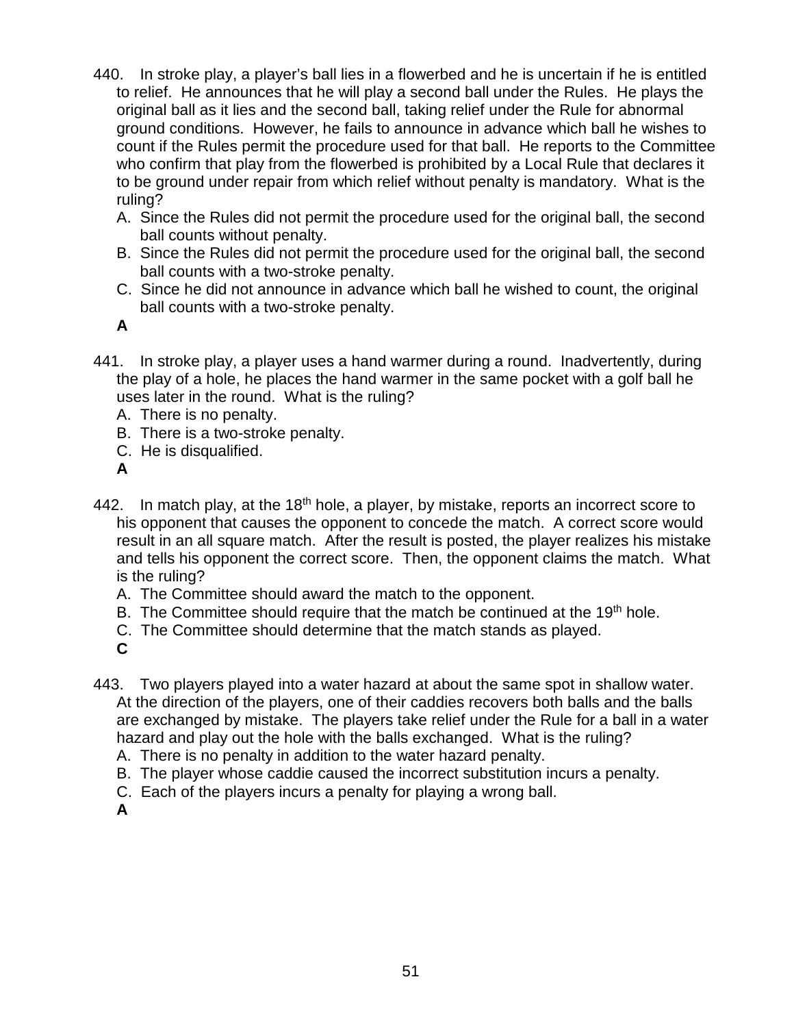- 440. In stroke play, a player's ball lies in a flowerbed and he is uncertain if he is entitled to relief. He announces that he will play a second ball under the Rules. He plays the original ball as it lies and the second ball, taking relief under the Rule for abnormal ground conditions. However, he fails to announce in advance which ball he wishes to count if the Rules permit the procedure used for that ball. He reports to the Committee who confirm that play from the flowerbed is prohibited by a Local Rule that declares it to be ground under repair from which relief without penalty is mandatory. What is the ruling?
	- A. Since the Rules did not permit the procedure used for the original ball, the second ball counts without penalty.
	- B. Since the Rules did not permit the procedure used for the original ball, the second ball counts with a two-stroke penalty.
	- C. Since he did not announce in advance which ball he wished to count, the original ball counts with a two-stroke penalty.
	- **A**
- 441. In stroke play, a player uses a hand warmer during a round. Inadvertently, during the play of a hole, he places the hand warmer in the same pocket with a golf ball he uses later in the round. What is the ruling?
	- A. There is no penalty.
	- B. There is a two-stroke penalty.
	- C. He is disqualified.
	- **A**
- 442. In match play, at the 18<sup>th</sup> hole, a player, by mistake, reports an incorrect score to his opponent that causes the opponent to concede the match. A correct score would result in an all square match. After the result is posted, the player realizes his mistake and tells his opponent the correct score. Then, the opponent claims the match. What is the ruling?
	- A. The Committee should award the match to the opponent.
	- B. The Committee should require that the match be continued at the 19th hole.
	- C. The Committee should determine that the match stands as played.
	- **C**
- 443. Two players played into a water hazard at about the same spot in shallow water. At the direction of the players, one of their caddies recovers both balls and the balls are exchanged by mistake. The players take relief under the Rule for a ball in a water hazard and play out the hole with the balls exchanged. What is the ruling?
	- A. There is no penalty in addition to the water hazard penalty.
	- B. The player whose caddie caused the incorrect substitution incurs a penalty.
	- C. Each of the players incurs a penalty for playing a wrong ball.
	- **A**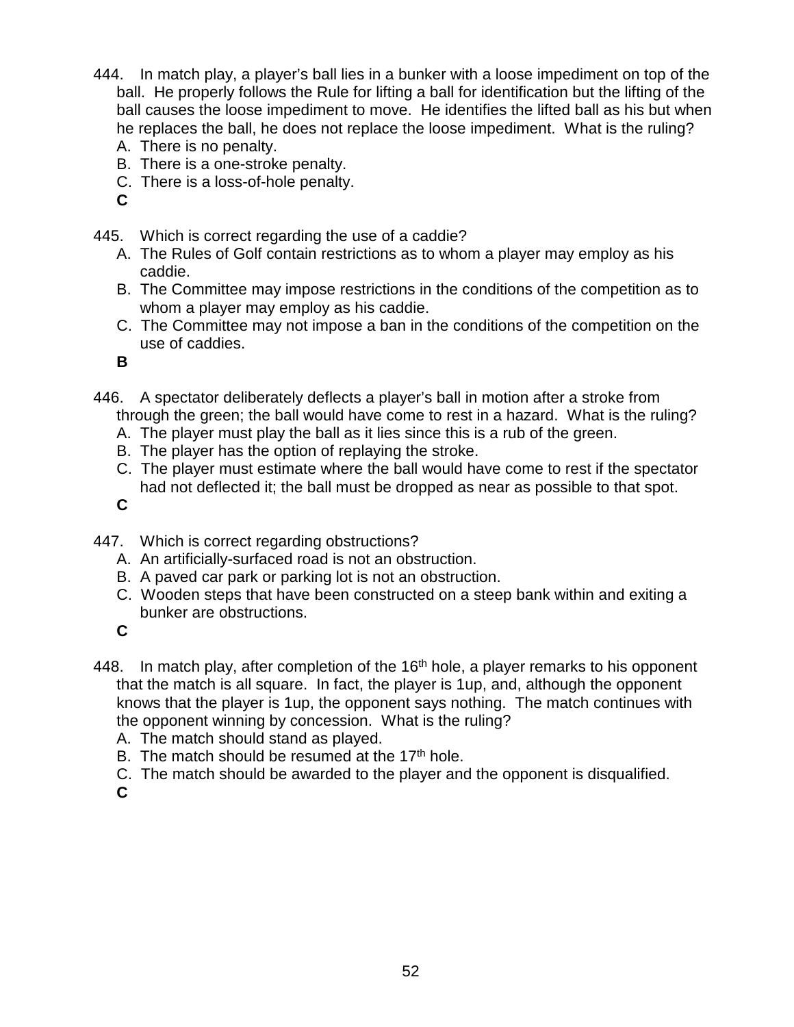- 444. In match play, a player's ball lies in a bunker with a loose impediment on top of the ball. He properly follows the Rule for lifting a ball for identification but the lifting of the ball causes the loose impediment to move. He identifies the lifted ball as his but when he replaces the ball, he does not replace the loose impediment. What is the ruling?
	- A. There is no penalty.
	- B. There is a one-stroke penalty.
	- C. There is a loss-of-hole penalty.
	- **C**
- 445. Which is correct regarding the use of a caddie?
	- A. The Rules of Golf contain restrictions as to whom a player may employ as his caddie.
	- B. The Committee may impose restrictions in the conditions of the competition as to whom a player may employ as his caddie.
	- C. The Committee may not impose a ban in the conditions of the competition on the use of caddies.

- 446. A spectator deliberately deflects a player's ball in motion after a stroke from through the green; the ball would have come to rest in a hazard. What is the ruling?
	- A. The player must play the ball as it lies since this is a rub of the green.
	- B. The player has the option of replaying the stroke.
	- C. The player must estimate where the ball would have come to rest if the spectator had not deflected it; the ball must be dropped as near as possible to that spot.

**C**

- 447. Which is correct regarding obstructions?
	- A. An artificially-surfaced road is not an obstruction.
	- B. A paved car park or parking lot is not an obstruction.
	- C. Wooden steps that have been constructed on a steep bank within and exiting a bunker are obstructions.

- 448. In match play, after completion of the  $16<sup>th</sup>$  hole, a player remarks to his opponent that the match is all square. In fact, the player is 1up, and, although the opponent knows that the player is 1up, the opponent says nothing. The match continues with the opponent winning by concession. What is the ruling?
	- A. The match should stand as played.
	- B. The match should be resumed at the  $17<sup>th</sup>$  hole.
	- C. The match should be awarded to the player and the opponent is disqualified. **C**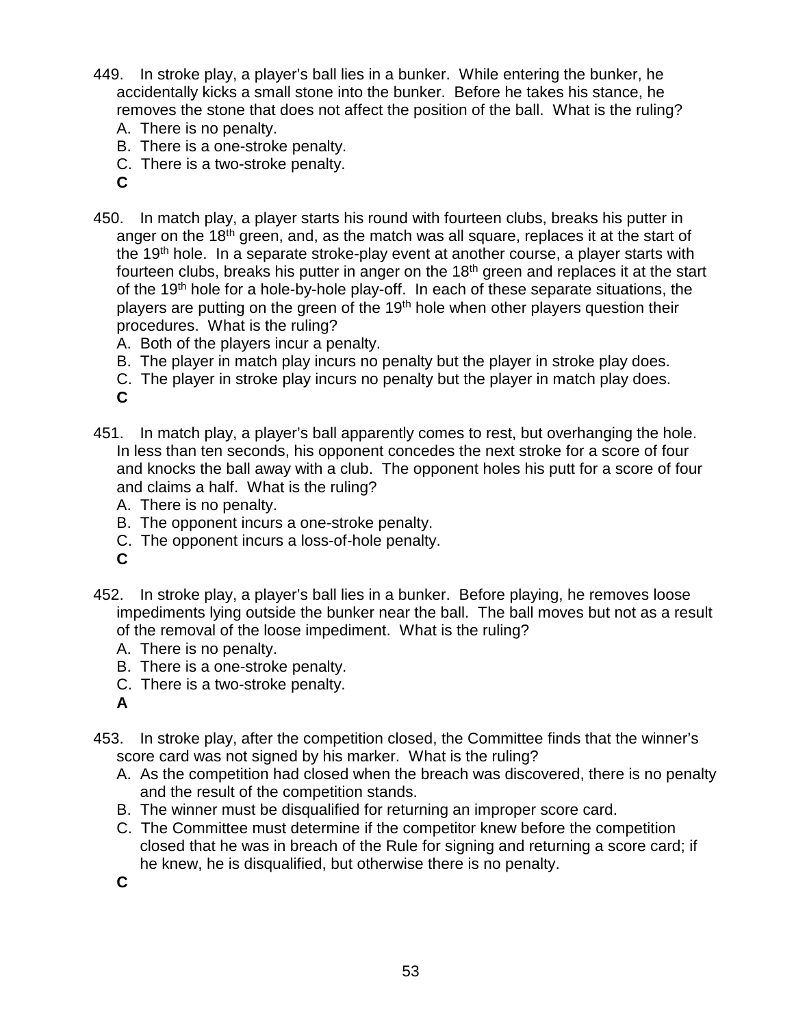- 449. In stroke play, a player's ball lies in a bunker. While entering the bunker, he accidentally kicks a small stone into the bunker. Before he takes his stance, he removes the stone that does not affect the position of the ball. What is the ruling?
	- A. There is no penalty.
	- B. There is a one-stroke penalty.
	- C. There is a two-stroke penalty.
	- **C**
- 450. In match play, a player starts his round with fourteen clubs, breaks his putter in anger on the 18<sup>th</sup> green, and, as the match was all square, replaces it at the start of the 19<sup>th</sup> hole. In a separate stroke-play event at another course, a player starts with fourteen clubs, breaks his putter in anger on the  $18<sup>th</sup>$  green and replaces it at the start of the 19<sup>th</sup> hole for a hole-by-hole play-off. In each of these separate situations, the players are putting on the green of the 19<sup>th</sup> hole when other players question their procedures. What is the ruling?
	- A. Both of the players incur a penalty.
	- B. The player in match play incurs no penalty but the player in stroke play does.
	- C. The player in stroke play incurs no penalty but the player in match play does.
	- **C**
- 451. In match play, a player's ball apparently comes to rest, but overhanging the hole. In less than ten seconds, his opponent concedes the next stroke for a score of four and knocks the ball away with a club. The opponent holes his putt for a score of four and claims a half. What is the ruling?
	- A. There is no penalty.
	- B. The opponent incurs a one-stroke penalty.
	- C. The opponent incurs a loss-of-hole penalty.
	- **C**
- 452. In stroke play, a player's ball lies in a bunker. Before playing, he removes loose impediments lying outside the bunker near the ball. The ball moves but not as a result of the removal of the loose impediment. What is the ruling?
	- A. There is no penalty.
	- B. There is a one-stroke penalty.
	- C. There is a two-stroke penalty.
	- **A**
- 453. In stroke play, after the competition closed, the Committee finds that the winner's score card was not signed by his marker. What is the ruling?
	- A. As the competition had closed when the breach was discovered, there is no penalty and the result of the competition stands.
	- B. The winner must be disqualified for returning an improper score card.
	- C. The Committee must determine if the competitor knew before the competition closed that he was in breach of the Rule for signing and returning a score card; if he knew, he is disqualified, but otherwise there is no penalty.
	- **C**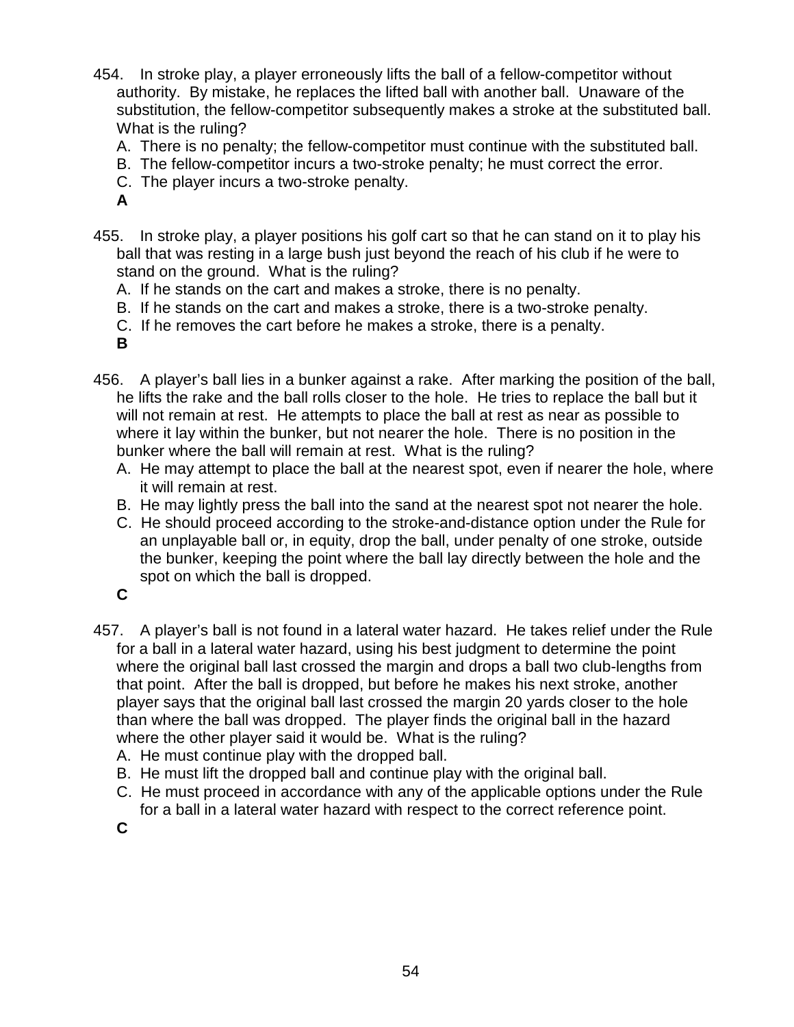- 454. In stroke play, a player erroneously lifts the ball of a fellow-competitor without authority. By mistake, he replaces the lifted ball with another ball. Unaware of the substitution, the fellow-competitor subsequently makes a stroke at the substituted ball. What is the ruling?
	- A. There is no penalty; the fellow-competitor must continue with the substituted ball.
	- B. The fellow-competitor incurs a two-stroke penalty; he must correct the error.
	- C. The player incurs a two-stroke penalty.
	- **A**
- 455. In stroke play, a player positions his golf cart so that he can stand on it to play his ball that was resting in a large bush just beyond the reach of his club if he were to stand on the ground. What is the ruling?
	- A. If he stands on the cart and makes a stroke, there is no penalty.
	- B. If he stands on the cart and makes a stroke, there is a two-stroke penalty.
	- C. If he removes the cart before he makes a stroke, there is a penalty.
	- **B**
- 456. A player's ball lies in a bunker against a rake. After marking the position of the ball, he lifts the rake and the ball rolls closer to the hole. He tries to replace the ball but it will not remain at rest. He attempts to place the ball at rest as near as possible to where it lay within the bunker, but not nearer the hole. There is no position in the bunker where the ball will remain at rest. What is the ruling?
	- A. He may attempt to place the ball at the nearest spot, even if nearer the hole, where it will remain at rest.
	- B. He may lightly press the ball into the sand at the nearest spot not nearer the hole.
	- C. He should proceed according to the stroke-and-distance option under the Rule for an unplayable ball or, in equity, drop the ball, under penalty of one stroke, outside the bunker, keeping the point where the ball lay directly between the hole and the spot on which the ball is dropped.
	- **C**
- 457. A player's ball is not found in a lateral water hazard. He takes relief under the Rule for a ball in a lateral water hazard, using his best judgment to determine the point where the original ball last crossed the margin and drops a ball two club-lengths from that point. After the ball is dropped, but before he makes his next stroke, another player says that the original ball last crossed the margin 20 yards closer to the hole than where the ball was dropped. The player finds the original ball in the hazard where the other player said it would be. What is the ruling?
	- A. He must continue play with the dropped ball.
	- B. He must lift the dropped ball and continue play with the original ball.
	- C. He must proceed in accordance with any of the applicable options under the Rule for a ball in a lateral water hazard with respect to the correct reference point.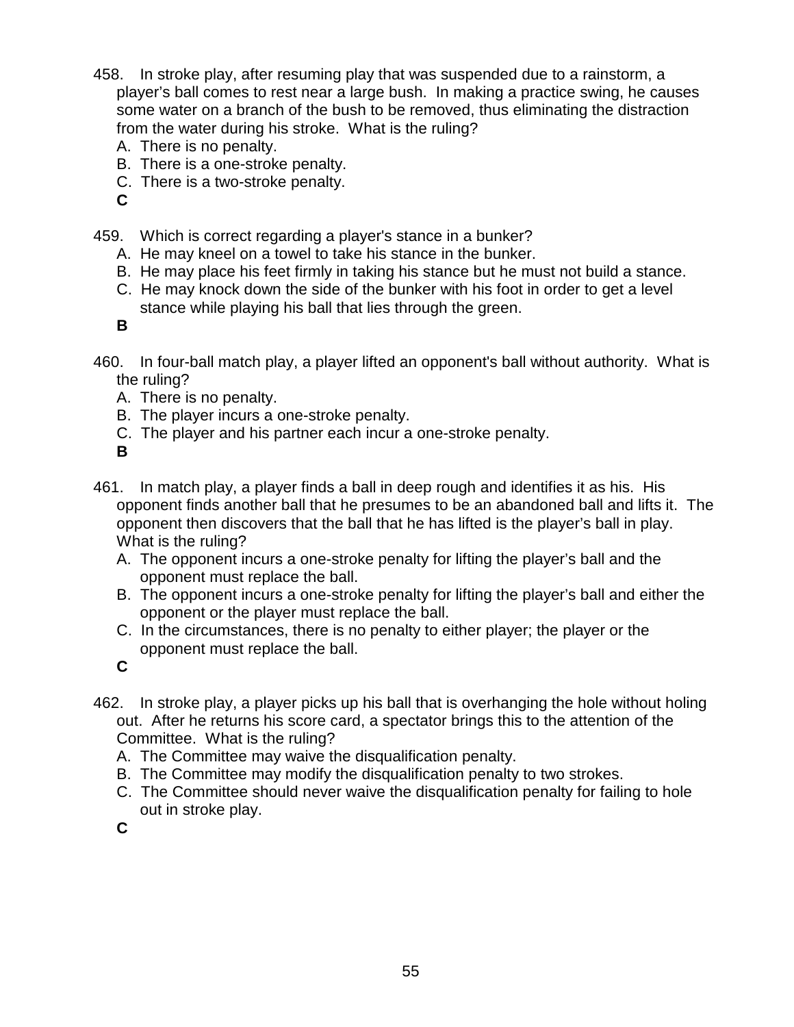- 458. In stroke play, after resuming play that was suspended due to a rainstorm, a player's ball comes to rest near a large bush. In making a practice swing, he causes some water on a branch of the bush to be removed, thus eliminating the distraction from the water during his stroke. What is the ruling?
	- A. There is no penalty.
	- B. There is a one-stroke penalty.
	- C. There is a two-stroke penalty.
	- **C**
- 459. Which is correct regarding a player's stance in a bunker?
	- A. He may kneel on a towel to take his stance in the bunker.
	- B. He may place his feet firmly in taking his stance but he must not build a stance.
	- C. He may knock down the side of the bunker with his foot in order to get a level stance while playing his ball that lies through the green.

- 460. In four-ball match play, a player lifted an opponent's ball without authority. What is the ruling?
	- A. There is no penalty.
	- B. The player incurs a one-stroke penalty.
	- C. The player and his partner each incur a one-stroke penalty.

**B**

- 461. In match play, a player finds a ball in deep rough and identifies it as his. His opponent finds another ball that he presumes to be an abandoned ball and lifts it. The opponent then discovers that the ball that he has lifted is the player's ball in play. What is the ruling?
	- A. The opponent incurs a one-stroke penalty for lifting the player's ball and the opponent must replace the ball.
	- B. The opponent incurs a one-stroke penalty for lifting the player's ball and either the opponent or the player must replace the ball.
	- C. In the circumstances, there is no penalty to either player; the player or the opponent must replace the ball.

**C**

- 462. In stroke play, a player picks up his ball that is overhanging the hole without holing out. After he returns his score card, a spectator brings this to the attention of the Committee. What is the ruling?
	- A. The Committee may waive the disqualification penalty.
	- B. The Committee may modify the disqualification penalty to two strokes.
	- C. The Committee should never waive the disqualification penalty for failing to hole out in stroke play.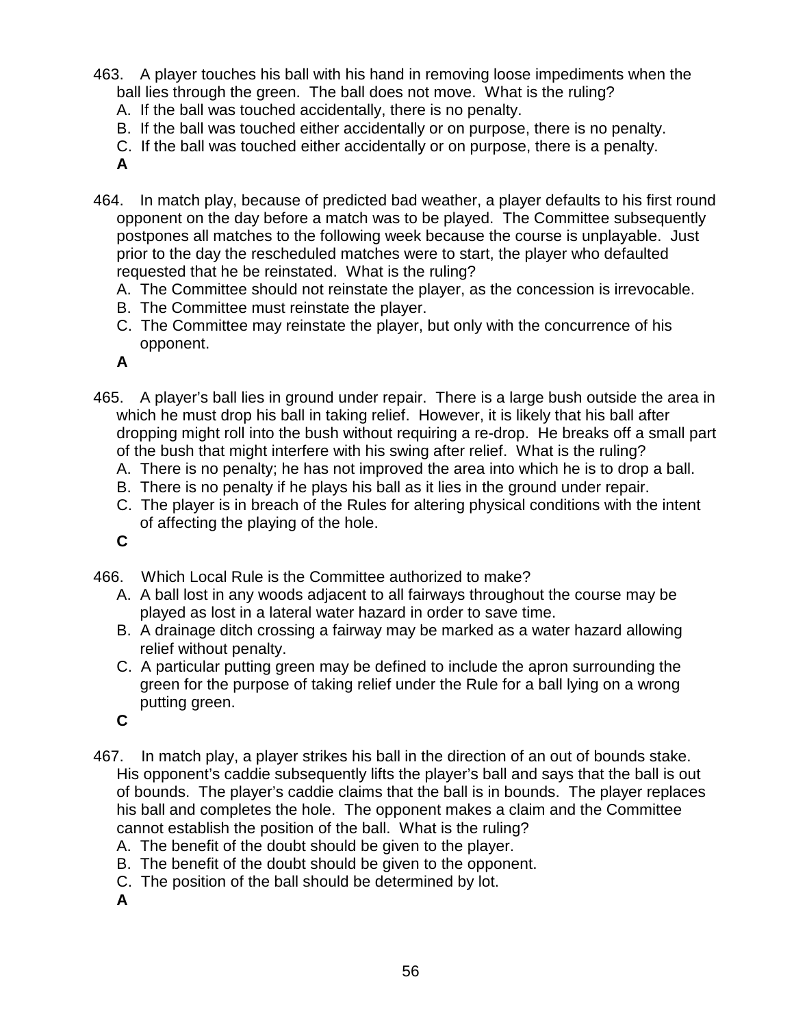- 463. A player touches his ball with his hand in removing loose impediments when the ball lies through the green. The ball does not move. What is the ruling?
	- A. If the ball was touched accidentally, there is no penalty.
	- B. If the ball was touched either accidentally or on purpose, there is no penalty.
	- C. If the ball was touched either accidentally or on purpose, there is a penalty.
	- **A**
- 464. In match play, because of predicted bad weather, a player defaults to his first round opponent on the day before a match was to be played. The Committee subsequently postpones all matches to the following week because the course is unplayable. Just prior to the day the rescheduled matches were to start, the player who defaulted requested that he be reinstated. What is the ruling?
	- A. The Committee should not reinstate the player, as the concession is irrevocable.
	- B. The Committee must reinstate the player.
	- C. The Committee may reinstate the player, but only with the concurrence of his opponent.
	- **A**
- 465. A player's ball lies in ground under repair. There is a large bush outside the area in which he must drop his ball in taking relief. However, it is likely that his ball after dropping might roll into the bush without requiring a re-drop. He breaks off a small part of the bush that might interfere with his swing after relief. What is the ruling?
	- A. There is no penalty; he has not improved the area into which he is to drop a ball.
	- B. There is no penalty if he plays his ball as it lies in the ground under repair.
	- C. The player is in breach of the Rules for altering physical conditions with the intent of affecting the playing of the hole.
	- **C**
- 466. Which Local Rule is the Committee authorized to make?
	- A. A ball lost in any woods adjacent to all fairways throughout the course may be played as lost in a lateral water hazard in order to save time.
	- B. A drainage ditch crossing a fairway may be marked as a water hazard allowing relief without penalty.
	- C. A particular putting green may be defined to include the apron surrounding the green for the purpose of taking relief under the Rule for a ball lying on a wrong putting green.
	- **C**
- 467. In match play, a player strikes his ball in the direction of an out of bounds stake. His opponent's caddie subsequently lifts the player's ball and says that the ball is out of bounds. The player's caddie claims that the ball is in bounds. The player replaces his ball and completes the hole. The opponent makes a claim and the Committee cannot establish the position of the ball. What is the ruling?
	- A. The benefit of the doubt should be given to the player.
	- B. The benefit of the doubt should be given to the opponent.
	- C. The position of the ball should be determined by lot.
	- **A**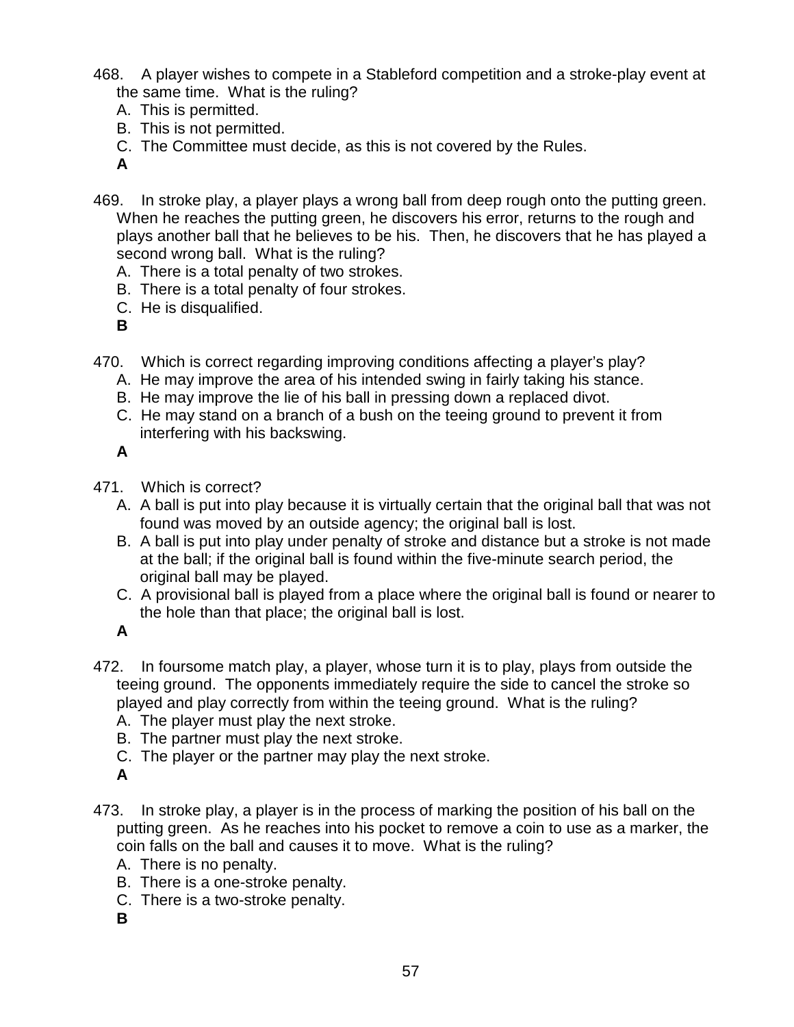- 468. A player wishes to compete in a Stableford competition and a stroke-play event at the same time. What is the ruling?
	- A. This is permitted.
	- B. This is not permitted.
	- C. The Committee must decide, as this is not covered by the Rules.

- 469. In stroke play, a player plays a wrong ball from deep rough onto the putting green. When he reaches the putting green, he discovers his error, returns to the rough and plays another ball that he believes to be his. Then, he discovers that he has played a second wrong ball. What is the ruling?
	- A. There is a total penalty of two strokes.
	- B. There is a total penalty of four strokes.
	- C. He is disqualified.
	- **B**
- 470. Which is correct regarding improving conditions affecting a player's play?
	- A. He may improve the area of his intended swing in fairly taking his stance.
	- B. He may improve the lie of his ball in pressing down a replaced divot.
	- C. He may stand on a branch of a bush on the teeing ground to prevent it from interfering with his backswing.

**A**

- 471. Which is correct?
	- A. A ball is put into play because it is virtually certain that the original ball that was not found was moved by an outside agency; the original ball is lost.
	- B. A ball is put into play under penalty of stroke and distance but a stroke is not made at the ball; if the original ball is found within the five-minute search period, the original ball may be played.
	- C. A provisional ball is played from a place where the original ball is found or nearer to the hole than that place; the original ball is lost.

**A**

- 472. In foursome match play, a player, whose turn it is to play, plays from outside the teeing ground. The opponents immediately require the side to cancel the stroke so played and play correctly from within the teeing ground. What is the ruling?
	- A. The player must play the next stroke.
	- B. The partner must play the next stroke.
	- C. The player or the partner may play the next stroke.
	- **A**
- 473. In stroke play, a player is in the process of marking the position of his ball on the putting green. As he reaches into his pocket to remove a coin to use as a marker, the coin falls on the ball and causes it to move. What is the ruling?
	- A. There is no penalty.
	- B. There is a one-stroke penalty.
	- C. There is a two-stroke penalty.
	- **B**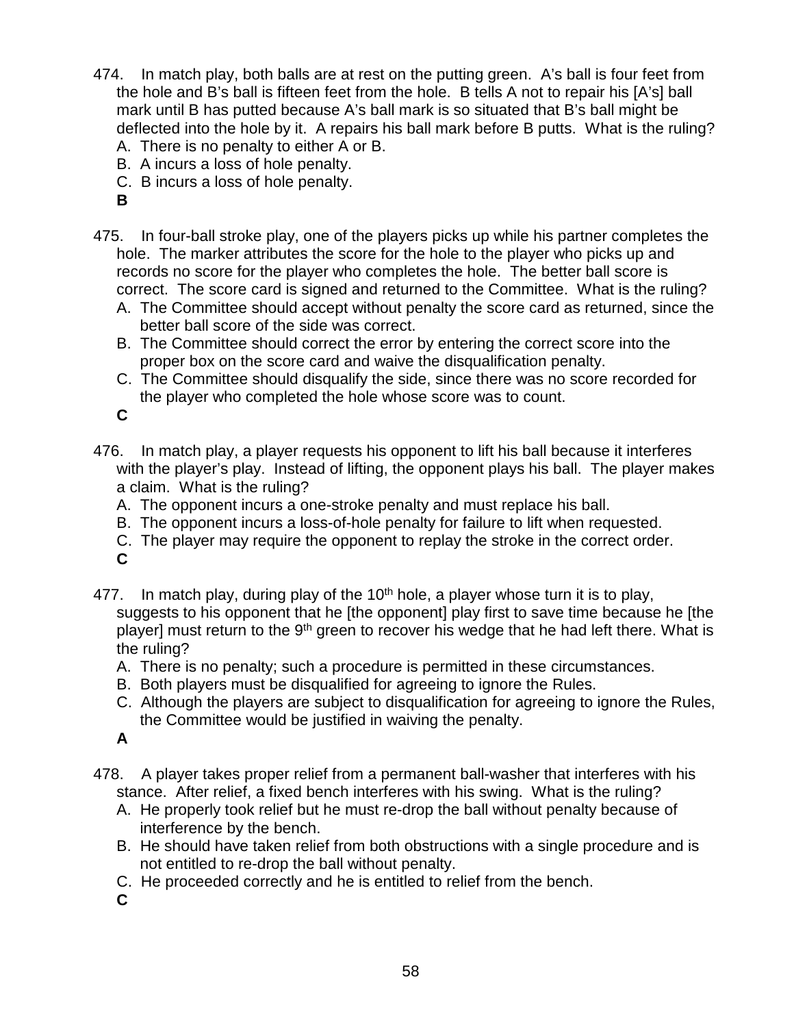- 474. In match play, both balls are at rest on the putting green. A's ball is four feet from the hole and B's ball is fifteen feet from the hole. B tells A not to repair his [A's] ball mark until B has putted because A's ball mark is so situated that B's ball might be deflected into the hole by it. A repairs his ball mark before B putts. What is the ruling?
	- A. There is no penalty to either A or B.
	- B. A incurs a loss of hole penalty.
	- C. B incurs a loss of hole penalty.
	- **B**
- 475. In four-ball stroke play, one of the players picks up while his partner completes the hole. The marker attributes the score for the hole to the player who picks up and records no score for the player who completes the hole. The better ball score is correct. The score card is signed and returned to the Committee. What is the ruling?
	- A. The Committee should accept without penalty the score card as returned, since the better ball score of the side was correct.
	- B. The Committee should correct the error by entering the correct score into the proper box on the score card and waive the disqualification penalty.
	- C. The Committee should disqualify the side, since there was no score recorded for the player who completed the hole whose score was to count.

- 476. In match play, a player requests his opponent to lift his ball because it interferes with the player's play. Instead of lifting, the opponent plays his ball. The player makes a claim. What is the ruling?
	- A. The opponent incurs a one-stroke penalty and must replace his ball.
	- B. The opponent incurs a loss-of-hole penalty for failure to lift when requested.
	- C. The player may require the opponent to replay the stroke in the correct order.
	- **C**
- 477. In match play, during play of the  $10<sup>th</sup>$  hole, a player whose turn it is to play, suggests to his opponent that he [the opponent] play first to save time because he [the player] must return to the 9<sup>th</sup> green to recover his wedge that he had left there. What is the ruling?
	- A. There is no penalty; such a procedure is permitted in these circumstances.
	- B. Both players must be disqualified for agreeing to ignore the Rules.
	- C. Although the players are subject to disqualification for agreeing to ignore the Rules, the Committee would be justified in waiving the penalty.

**A**

- 478. A player takes proper relief from a permanent ball-washer that interferes with his stance. After relief, a fixed bench interferes with his swing. What is the ruling?
	- A. He properly took relief but he must re-drop the ball without penalty because of interference by the bench.
	- B. He should have taken relief from both obstructions with a single procedure and is not entitled to re-drop the ball without penalty.
	- C. He proceeded correctly and he is entitled to relief from the bench.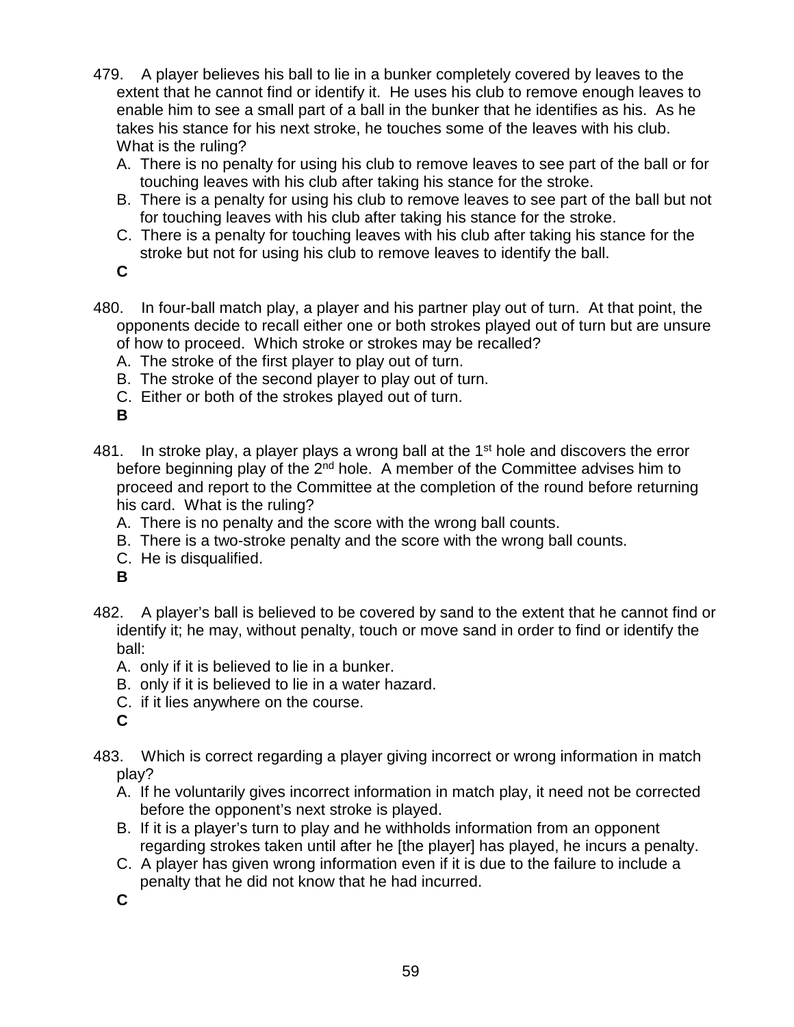- 479. A player believes his ball to lie in a bunker completely covered by leaves to the extent that he cannot find or identify it. He uses his club to remove enough leaves to enable him to see a small part of a ball in the bunker that he identifies as his. As he takes his stance for his next stroke, he touches some of the leaves with his club. What is the ruling?
	- A. There is no penalty for using his club to remove leaves to see part of the ball or for touching leaves with his club after taking his stance for the stroke.
	- B. There is a penalty for using his club to remove leaves to see part of the ball but not for touching leaves with his club after taking his stance for the stroke.
	- C. There is a penalty for touching leaves with his club after taking his stance for the stroke but not for using his club to remove leaves to identify the ball.
	- **C**
- 480. In four-ball match play, a player and his partner play out of turn. At that point, the opponents decide to recall either one or both strokes played out of turn but are unsure of how to proceed. Which stroke or strokes may be recalled?
	- A. The stroke of the first player to play out of turn.
	- B. The stroke of the second player to play out of turn.
	- C. Either or both of the strokes played out of turn.

- 481. In stroke play, a player plays a wrong ball at the  $1<sup>st</sup>$  hole and discovers the error before beginning play of the  $2<sup>nd</sup>$  hole. A member of the Committee advises him to proceed and report to the Committee at the completion of the round before returning his card. What is the ruling?
	- A. There is no penalty and the score with the wrong ball counts.
	- B. There is a two-stroke penalty and the score with the wrong ball counts.
	- C. He is disqualified.
	- **B**
- 482. A player's ball is believed to be covered by sand to the extent that he cannot find or identify it; he may, without penalty, touch or move sand in order to find or identify the ball:
	- A. only if it is believed to lie in a bunker.
	- B. only if it is believed to lie in a water hazard.
	- C. if it lies anywhere on the course.
	- **C**
- 483. Which is correct regarding a player giving incorrect or wrong information in match play?
	- A. If he voluntarily gives incorrect information in match play, it need not be corrected before the opponent's next stroke is played.
	- B. If it is a player's turn to play and he withholds information from an opponent regarding strokes taken until after he [the player] has played, he incurs a penalty.
	- C. A player has given wrong information even if it is due to the failure to include a penalty that he did not know that he had incurred.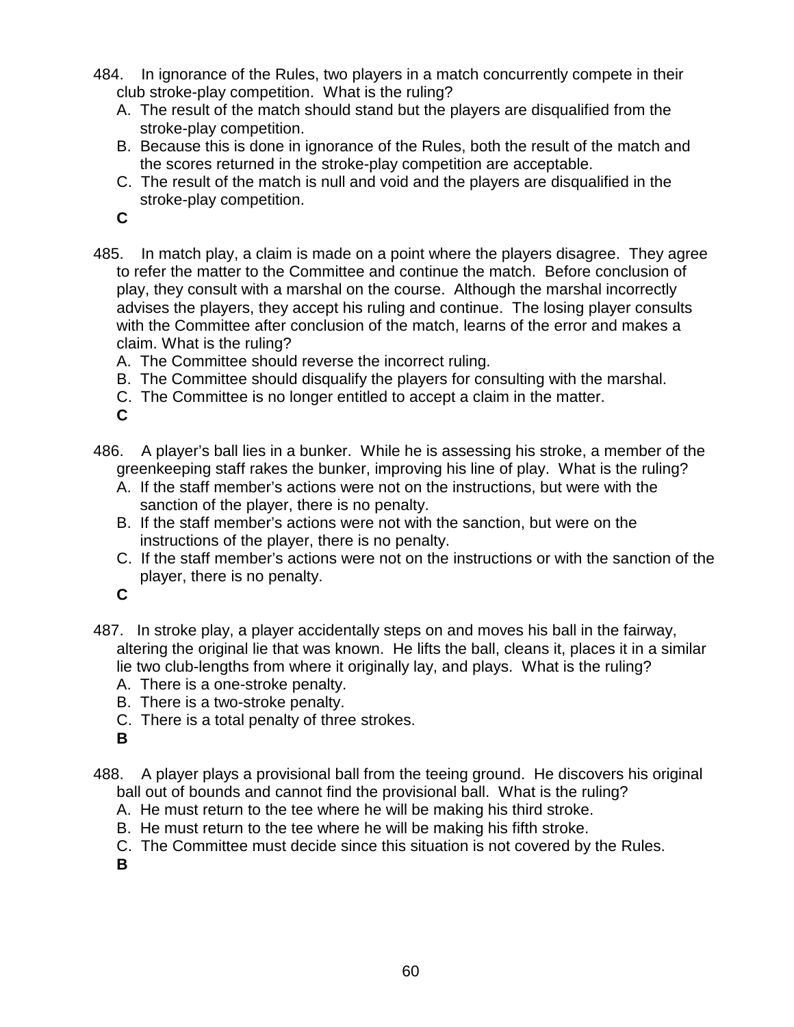- 484. In ignorance of the Rules, two players in a match concurrently compete in their club stroke-play competition. What is the ruling?
	- A. The result of the match should stand but the players are disqualified from the stroke-play competition.
	- B. Because this is done in ignorance of the Rules, both the result of the match and the scores returned in the stroke-play competition are acceptable.
	- C. The result of the match is null and void and the players are disqualified in the stroke-play competition.

- 485. In match play, a claim is made on a point where the players disagree. They agree to refer the matter to the Committee and continue the match. Before conclusion of play, they consult with a marshal on the course. Although the marshal incorrectly advises the players, they accept his ruling and continue. The losing player consults with the Committee after conclusion of the match, learns of the error and makes a claim. What is the ruling?
	- A. The Committee should reverse the incorrect ruling.
	- B. The Committee should disqualify the players for consulting with the marshal.
	- C. The Committee is no longer entitled to accept a claim in the matter.

**C**

- 486. A player's ball lies in a bunker. While he is assessing his stroke, a member of the greenkeeping staff rakes the bunker, improving his line of play. What is the ruling?
	- A. If the staff member's actions were not on the instructions, but were with the sanction of the player, there is no penalty.
	- B. If the staff member's actions were not with the sanction, but were on the instructions of the player, there is no penalty.
	- C. If the staff member's actions were not on the instructions or with the sanction of the player, there is no penalty.

**C**

- 487. In stroke play, a player accidentally steps on and moves his ball in the fairway, altering the original lie that was known. He lifts the ball, cleans it, places it in a similar lie two club-lengths from where it originally lay, and plays. What is the ruling?
	- A. There is a one-stroke penalty.
	- B. There is a two-stroke penalty.
	- C. There is a total penalty of three strokes.
	- **B**
- 488. A player plays a provisional ball from the teeing ground. He discovers his original ball out of bounds and cannot find the provisional ball. What is the ruling?
	- A. He must return to the tee where he will be making his third stroke.
	- B. He must return to the tee where he will be making his fifth stroke.
	- C. The Committee must decide since this situation is not covered by the Rules.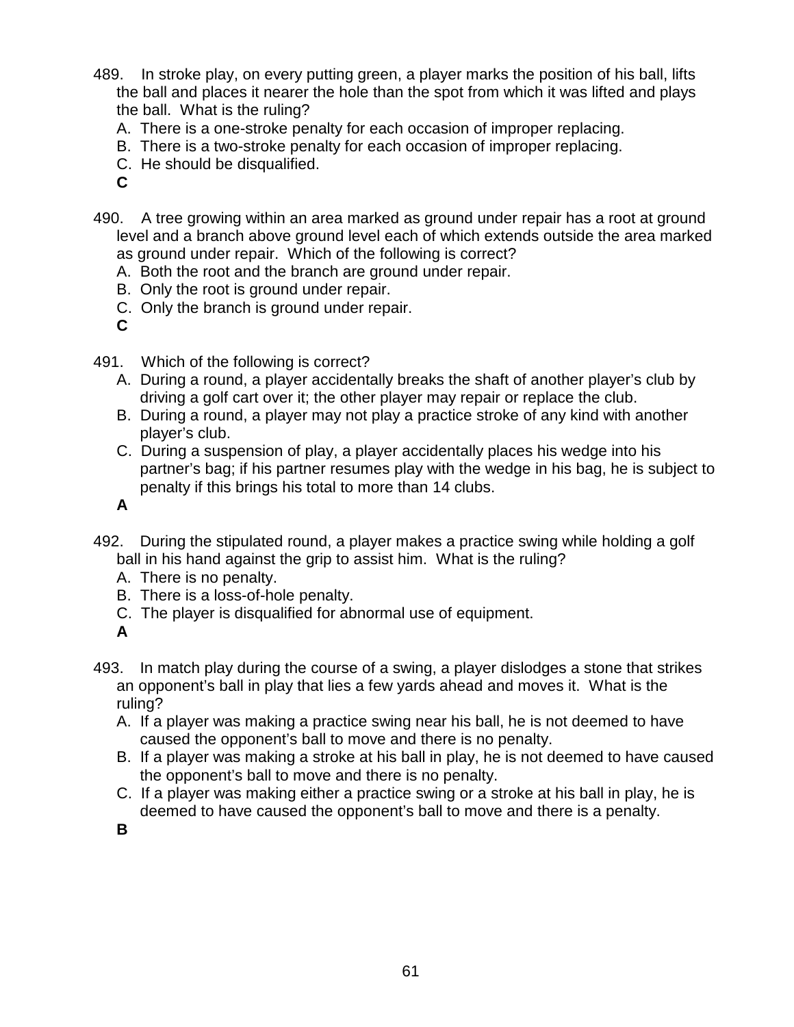- 489. In stroke play, on every putting green, a player marks the position of his ball, lifts the ball and places it nearer the hole than the spot from which it was lifted and plays the ball. What is the ruling?
	- A. There is a one-stroke penalty for each occasion of improper replacing.
	- B. There is a two-stroke penalty for each occasion of improper replacing.
	- C. He should be disqualified.
	- **C**
- 490. A tree growing within an area marked as ground under repair has a root at ground level and a branch above ground level each of which extends outside the area marked as ground under repair. Which of the following is correct?
	- A. Both the root and the branch are ground under repair.
	- B. Only the root is ground under repair.
	- C. Only the branch is ground under repair.
	- **C**
- 491. Which of the following is correct?
	- A. During a round, a player accidentally breaks the shaft of another player's club by driving a golf cart over it; the other player may repair or replace the club.
	- B. During a round, a player may not play a practice stroke of any kind with another player's club.
	- C. During a suspension of play, a player accidentally places his wedge into his partner's bag; if his partner resumes play with the wedge in his bag, he is subject to penalty if this brings his total to more than 14 clubs.

- 492. During the stipulated round, a player makes a practice swing while holding a golf ball in his hand against the grip to assist him. What is the ruling?
	- A. There is no penalty.
	- B. There is a loss-of-hole penalty.
	- C. The player is disqualified for abnormal use of equipment.

#### **A**

- 493. In match play during the course of a swing, a player dislodges a stone that strikes an opponent's ball in play that lies a few yards ahead and moves it. What is the ruling?
	- A. If a player was making a practice swing near his ball, he is not deemed to have caused the opponent's ball to move and there is no penalty.
	- B. If a player was making a stroke at his ball in play, he is not deemed to have caused the opponent's ball to move and there is no penalty.
	- C. If a player was making either a practice swing or a stroke at his ball in play, he is deemed to have caused the opponent's ball to move and there is a penalty.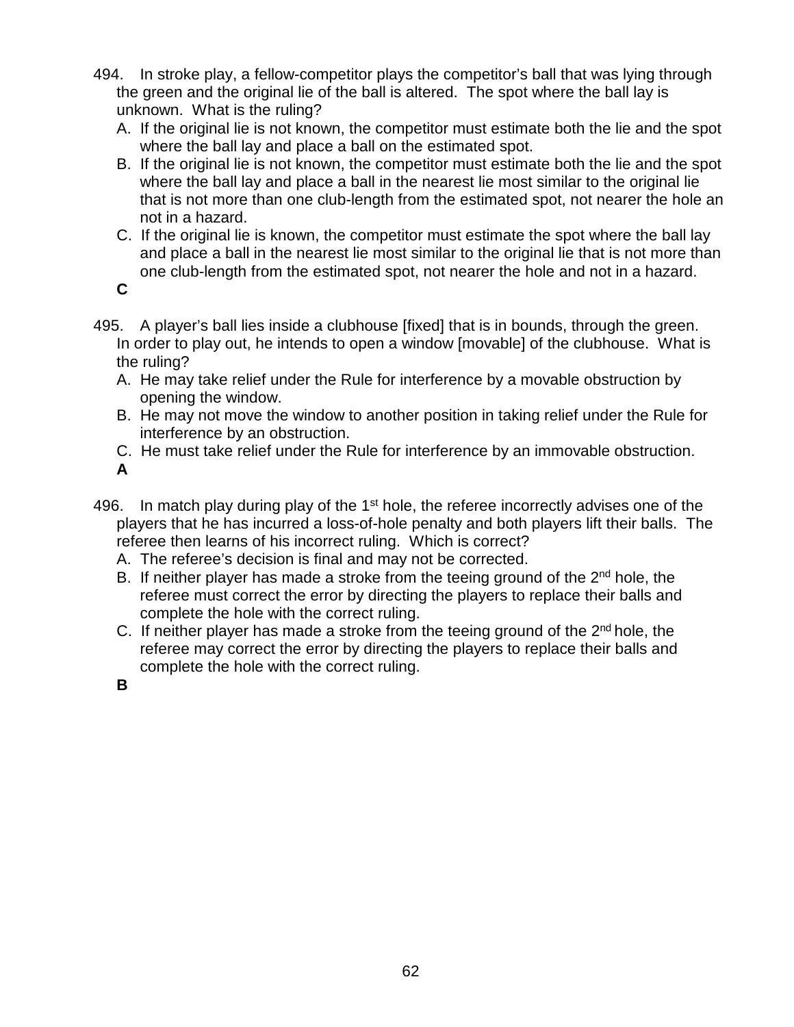- 494. In stroke play, a fellow-competitor plays the competitor's ball that was lying through the green and the original lie of the ball is altered. The spot where the ball lay is unknown. What is the ruling?
	- A. If the original lie is not known, the competitor must estimate both the lie and the spot where the ball lay and place a ball on the estimated spot.
	- B. If the original lie is not known, the competitor must estimate both the lie and the spot where the ball lay and place a ball in the nearest lie most similar to the original lie that is not more than one club-length from the estimated spot, not nearer the hole an not in a hazard.
	- C. If the original lie is known, the competitor must estimate the spot where the ball lay and place a ball in the nearest lie most similar to the original lie that is not more than one club-length from the estimated spot, not nearer the hole and not in a hazard.
	- **C**
- 495. A player's ball lies inside a clubhouse [fixed] that is in bounds, through the green. In order to play out, he intends to open a window [movable] of the clubhouse. What is the ruling?
	- A. He may take relief under the Rule for interference by a movable obstruction by opening the window.
	- B. He may not move the window to another position in taking relief under the Rule for interference by an obstruction.
	- C. He must take relief under the Rule for interference by an immovable obstruction.

- 496. In match play during play of the  $1<sup>st</sup>$  hole, the referee incorrectly advises one of the players that he has incurred a loss-of-hole penalty and both players lift their balls. The referee then learns of his incorrect ruling. Which is correct?
	- A. The referee's decision is final and may not be corrected.
	- B. If neither player has made a stroke from the teeing ground of the 2<sup>nd</sup> hole, the referee must correct the error by directing the players to replace their balls and complete the hole with the correct ruling.
	- C. If neither player has made a stroke from the teeing ground of the  $2<sup>nd</sup>$  hole, the referee may correct the error by directing the players to replace their balls and complete the hole with the correct ruling.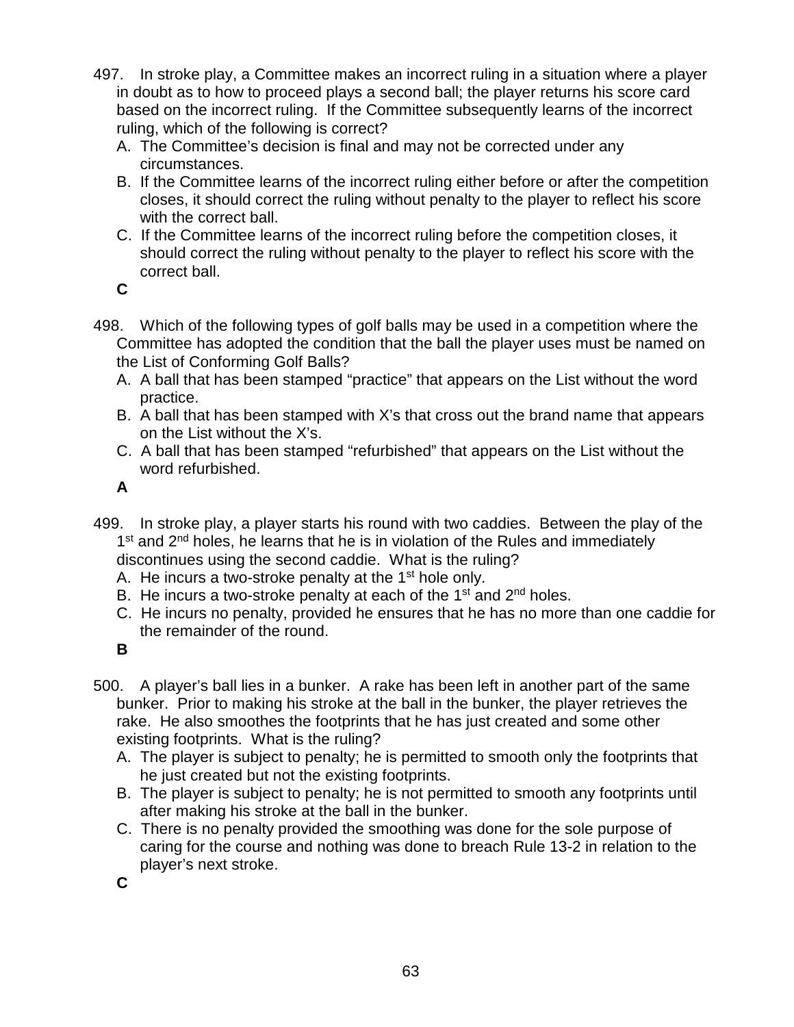- 497. In stroke play, a Committee makes an incorrect ruling in a situation where a player in doubt as to how to proceed plays a second ball; the player returns his score card based on the incorrect ruling. If the Committee subsequently learns of the incorrect ruling, which of the following is correct?
	- A. The Committee's decision is final and may not be corrected under any circumstances.
	- B. If the Committee learns of the incorrect ruling either before or after the competition closes, it should correct the ruling without penalty to the player to reflect his score with the correct ball.
	- C. If the Committee learns of the incorrect ruling before the competition closes, it should correct the ruling without penalty to the player to reflect his score with the correct ball.

- 498. Which of the following types of golf balls may be used in a competition where the Committee has adopted the condition that the ball the player uses must be named on the List of Conforming Golf Balls?
	- A. A ball that has been stamped "practice" that appears on the List without the word practice.
	- B. A ball that has been stamped with X's that cross out the brand name that appears on the List without the X's.
	- C. A ball that has been stamped "refurbished" that appears on the List without the word refurbished.

**A**

- 499. In stroke play, a player starts his round with two caddies. Between the play of the  $1<sup>st</sup>$  and  $2<sup>nd</sup>$  holes, he learns that he is in violation of the Rules and immediately discontinues using the second caddie. What is the ruling?
	- A. He incurs a two-stroke penalty at the  $1<sup>st</sup>$  hole only.
	- B. He incurs a two-stroke penalty at each of the  $1<sup>st</sup>$  and  $2<sup>nd</sup>$  holes.
	- C. He incurs no penalty, provided he ensures that he has no more than one caddie for the remainder of the round.

**B**

- 500. A player's ball lies in a bunker. A rake has been left in another part of the same bunker. Prior to making his stroke at the ball in the bunker, the player retrieves the rake. He also smoothes the footprints that he has just created and some other existing footprints. What is the ruling?
	- A. The player is subject to penalty; he is permitted to smooth only the footprints that he just created but not the existing footprints.
	- B. The player is subject to penalty; he is not permitted to smooth any footprints until after making his stroke at the ball in the bunker.
	- C. There is no penalty provided the smoothing was done for the sole purpose of caring for the course and nothing was done to breach Rule 13-2 in relation to the player's next stroke.